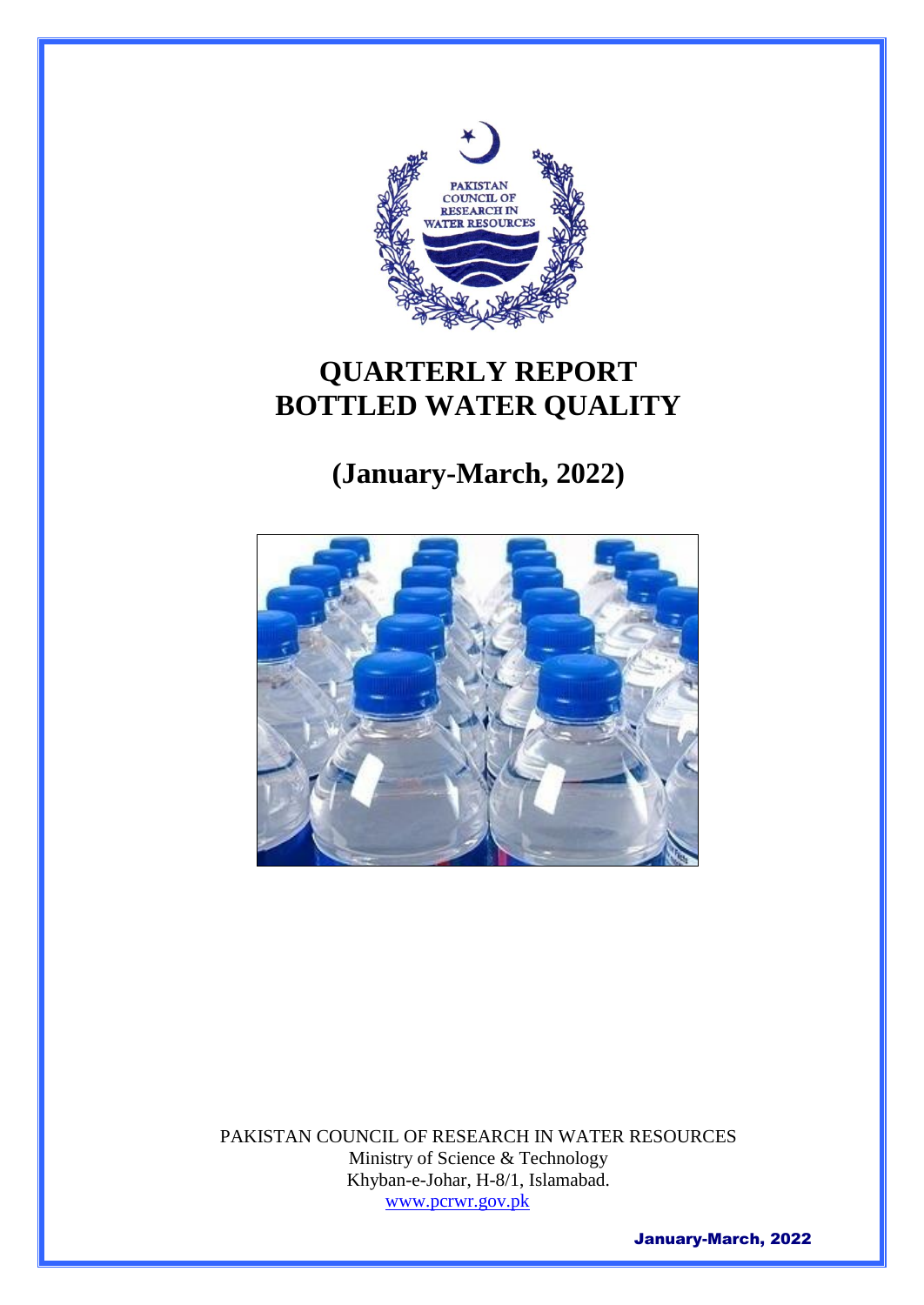

# **QUARTERLY REPORT BOTTLED WATER QUALITY**

# **(January-March, 2022)**



PAKISTAN COUNCIL OF RESEARCH IN WATER RESOURCES Ministry of Science & Technology Khyban-e-Johar, H-8/1, Islamabad. [www.pcrwr.gov.pk](http://www.pcrwr.gov.pk/)

January-March, 2022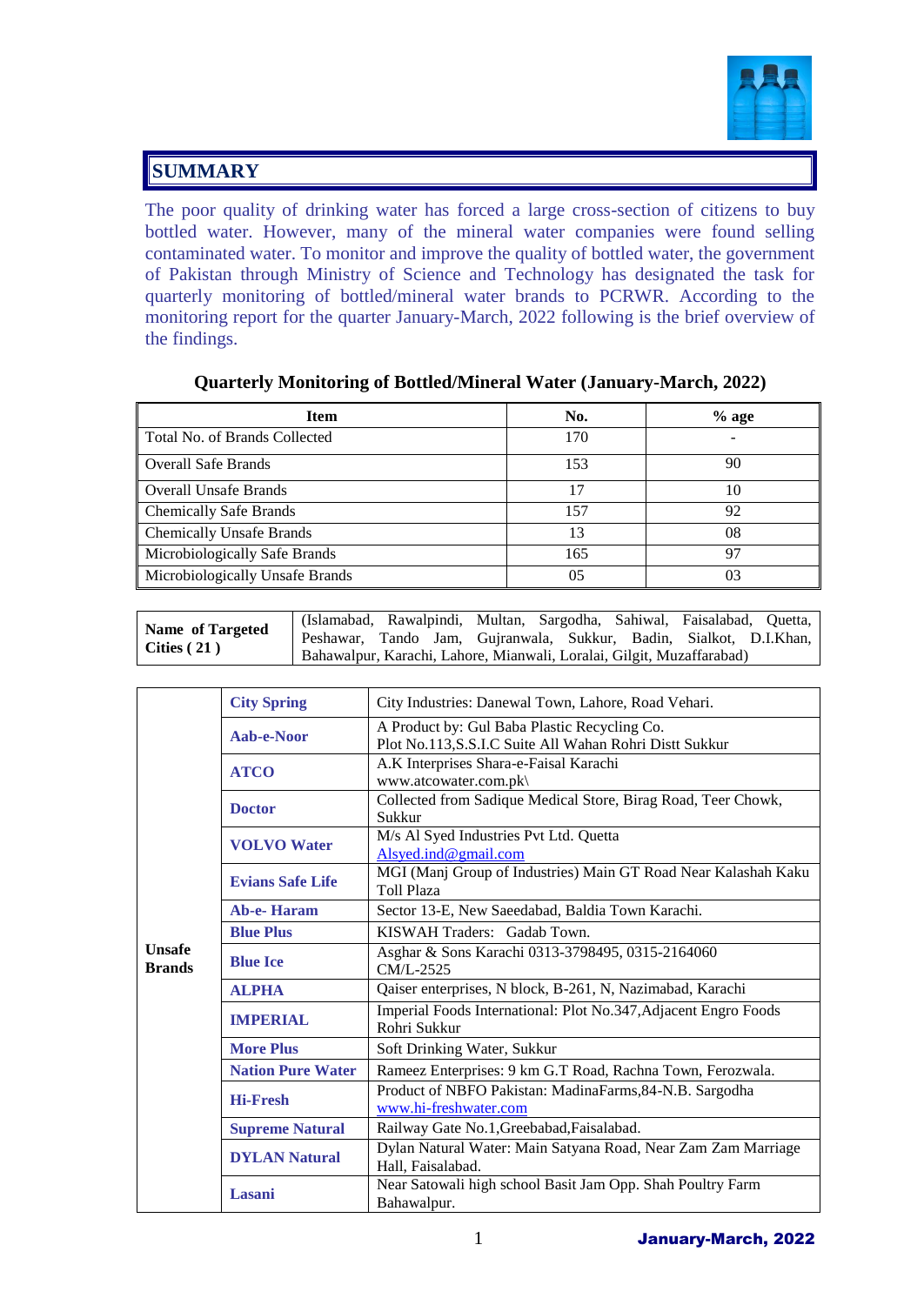

#### **SUMMARY**

The poor quality of drinking water has forced a large cross-section of citizens to buy bottled water. However, many of the mineral water companies were found selling contaminated water. To monitor and improve the quality of bottled water, the government of Pakistan through Ministry of Science and Technology has designated the task for quarterly monitoring of bottled/mineral water brands to PCRWR. According to the monitoring report for the quarter January-March, 2022 following is the brief overview of the findings.

| <b>Item</b>                     | No. | $%$ age |
|---------------------------------|-----|---------|
| Total No. of Brands Collected   | 170 |         |
| <b>Overall Safe Brands</b>      | 153 | 90      |
| <b>Overall Unsafe Brands</b>    | 17  | 10      |
| <b>Chemically Safe Brands</b>   | 157 | 92      |
| <b>Chemically Unsafe Brands</b> | 13  | 08      |
| Microbiologically Safe Brands   | 165 | 97      |
| Microbiologically Unsafe Brands | 05  |         |

#### **Quarterly Monitoring of Bottled/Mineral Water (January-March, 2022)**

| <b>Name of Targeted</b> |                                                                       | (Islamabad, Rawalpindi, Multan, Sargodha, Sahiwal, Faisalabad, Quetta, |  |  |  |  |  |  |
|-------------------------|-----------------------------------------------------------------------|------------------------------------------------------------------------|--|--|--|--|--|--|
| Cities $(21)$           | Peshawar, Tando Jam, Gujranwala, Sukkur, Badin, Sialkot, D.I.Khan,    |                                                                        |  |  |  |  |  |  |
|                         | Bahawalpur, Karachi, Lahore, Mianwali, Loralai, Gilgit, Muzaffarabad) |                                                                        |  |  |  |  |  |  |

|                                | <b>City Spring</b>       | City Industries: Danewal Town, Lahore, Road Vehari.                                                     |  |  |  |  |
|--------------------------------|--------------------------|---------------------------------------------------------------------------------------------------------|--|--|--|--|
|                                | Aab-e-Noor               | A Product by: Gul Baba Plastic Recycling Co.<br>Plot No.113, S.S.I.C Suite All Wahan Rohri Distt Sukkur |  |  |  |  |
|                                | <b>ATCO</b>              | A.K Interprises Shara-e-Faisal Karachi<br>www.atcowater.com.pk\                                         |  |  |  |  |
|                                | <b>Doctor</b>            | Collected from Sadique Medical Store, Birag Road, Teer Chowk,<br>Sukkur                                 |  |  |  |  |
|                                | <b>VOLVO</b> Water       | M/s Al Syed Industries Pvt Ltd. Quetta<br>Alsyed.ind@gmail.com                                          |  |  |  |  |
|                                | <b>Evians Safe Life</b>  | MGI (Manj Group of Industries) Main GT Road Near Kalashah Kaku<br><b>Toll Plaza</b>                     |  |  |  |  |
|                                | Ab-e-Haram               | Sector 13-E, New Saeedabad, Baldia Town Karachi.                                                        |  |  |  |  |
|                                | <b>Blue Plus</b>         | KISWAH Traders: Gadab Town.                                                                             |  |  |  |  |
| <b>Unsafe</b><br><b>Brands</b> | <b>Blue Ice</b>          | Asghar & Sons Karachi 0313-3798495, 0315-2164060<br>CM/L-2525                                           |  |  |  |  |
|                                | <b>ALPHA</b>             | Qaiser enterprises, N block, B-261, N, Nazimabad, Karachi                                               |  |  |  |  |
|                                | <b>IMPERIAL</b>          | Imperial Foods International: Plot No.347, Adjacent Engro Foods<br>Rohri Sukkur                         |  |  |  |  |
|                                | <b>More Plus</b>         | Soft Drinking Water, Sukkur                                                                             |  |  |  |  |
|                                | <b>Nation Pure Water</b> | Rameez Enterprises: 9 km G.T Road, Rachna Town, Ferozwala.                                              |  |  |  |  |
|                                | <b>Hi-Fresh</b>          | Product of NBFO Pakistan: MadinaFarms, 84-N.B. Sargodha<br>www.hi-freshwater.com                        |  |  |  |  |
|                                | <b>Supreme Natural</b>   | Railway Gate No.1, Greebabad, Faisalabad.                                                               |  |  |  |  |
|                                | <b>DYLAN Natural</b>     | Dylan Natural Water: Main Satyana Road, Near Zam Zam Marriage<br>Hall, Faisalabad.                      |  |  |  |  |
|                                | Lasani                   | Near Satowali high school Basit Jam Opp. Shah Poultry Farm<br>Bahawalpur.                               |  |  |  |  |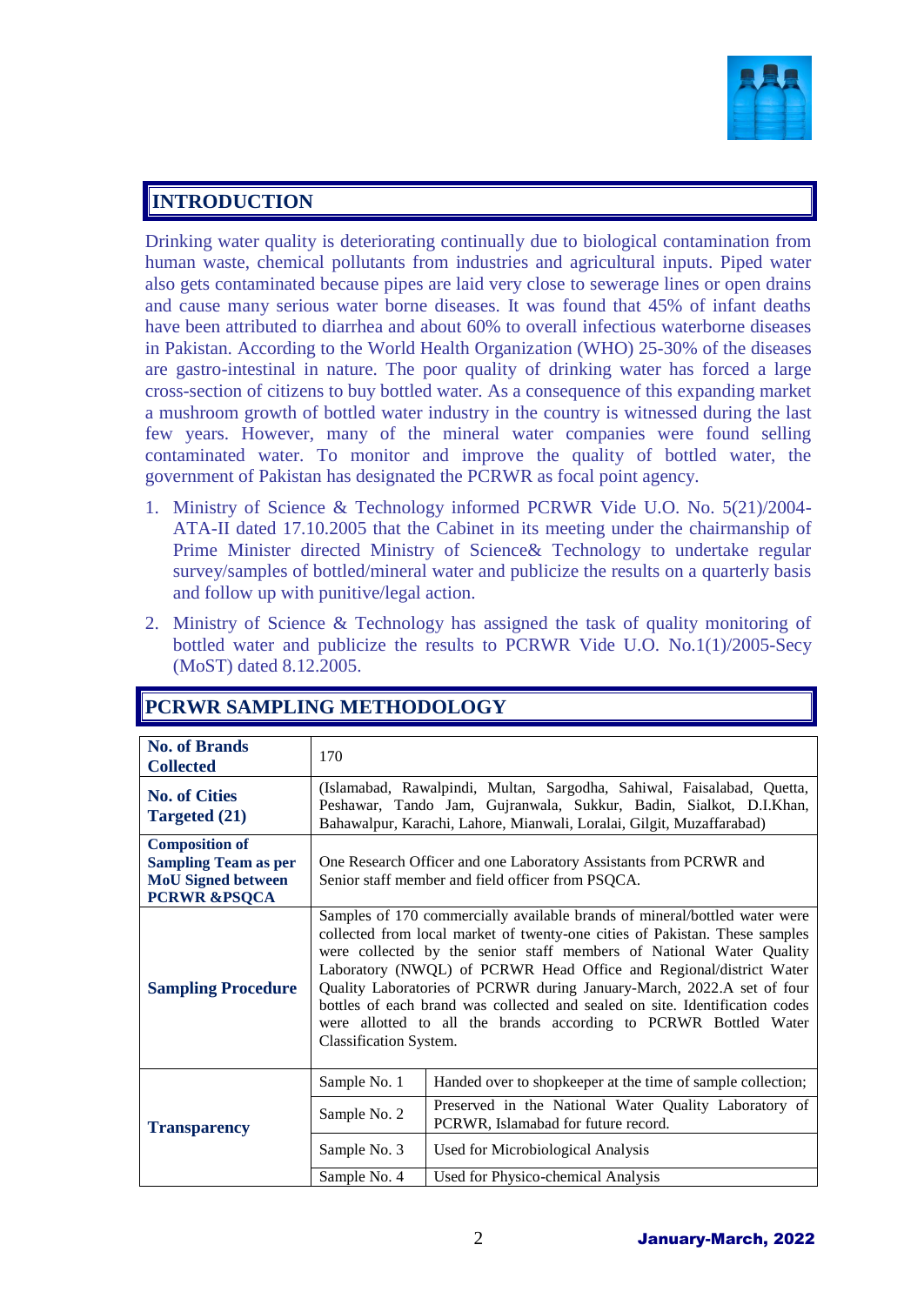

#### **INTRODUCTION**

Drinking water quality is deteriorating continually due to biological contamination from human waste, chemical pollutants from industries and agricultural inputs. Piped water also gets contaminated because pipes are laid very close to sewerage lines or open drains and cause many serious water borne diseases. It was found that 45% of infant deaths have been attributed to diarrhea and about 60% to overall infectious waterborne diseases in Pakistan. According to the World Health Organization (WHO) 25-30% of the diseases are gastro-intestinal in nature. The poor quality of drinking water has forced a large cross-section of citizens to buy bottled water. As a consequence of this expanding market a mushroom growth of bottled water industry in the country is witnessed during the last few years. However, many of the mineral water companies were found selling contaminated water. To monitor and improve the quality of bottled water, the government of Pakistan has designated the PCRWR as focal point agency.

- 1. Ministry of Science & Technology informed PCRWR Vide U.O. No. 5(21)/2004- ATA-II dated 17.10.2005 that the Cabinet in its meeting under the chairmanship of Prime Minister directed Ministry of Science& Technology to undertake regular survey/samples of bottled/mineral water and publicize the results on a quarterly basis and follow up with punitive/legal action.
- 2. Ministry of Science & Technology has assigned the task of quality monitoring of bottled water and publicize the results to PCRWR Vide U.O. No.1(1)/2005-Secy (MoST) dated 8.12.2005.

| <b>No. of Brands</b><br><b>Collected</b>                                                                     | 170                                                                                                                                                                                                                                                                                                                                                                                                                                                                                                                                                             |                                                                                              |  |  |  |  |  |
|--------------------------------------------------------------------------------------------------------------|-----------------------------------------------------------------------------------------------------------------------------------------------------------------------------------------------------------------------------------------------------------------------------------------------------------------------------------------------------------------------------------------------------------------------------------------------------------------------------------------------------------------------------------------------------------------|----------------------------------------------------------------------------------------------|--|--|--|--|--|
| <b>No. of Cities</b><br><b>Targeted (21)</b>                                                                 | (Islamabad, Rawalpindi, Multan, Sargodha, Sahiwal, Faisalabad, Quetta,<br>Peshawar, Tando Jam, Gujranwala, Sukkur, Badin, Sialkot, D.I.Khan,<br>Bahawalpur, Karachi, Lahore, Mianwali, Loralai, Gilgit, Muzaffarabad)                                                                                                                                                                                                                                                                                                                                           |                                                                                              |  |  |  |  |  |
| <b>Composition of</b><br><b>Sampling Team as per</b><br><b>MoU</b> Signed between<br><b>PCRWR &amp;PSQCA</b> | One Research Officer and one Laboratory Assistants from PCRWR and<br>Senior staff member and field officer from PSQCA.                                                                                                                                                                                                                                                                                                                                                                                                                                          |                                                                                              |  |  |  |  |  |
| <b>Sampling Procedure</b>                                                                                    | Samples of 170 commercially available brands of mineral/bottled water were<br>collected from local market of twenty-one cities of Pakistan. These samples<br>were collected by the senior staff members of National Water Quality<br>Laboratory (NWQL) of PCRWR Head Office and Regional/district Water<br>Quality Laboratories of PCRWR during January-March, 2022.A set of four<br>bottles of each brand was collected and sealed on site. Identification codes<br>were allotted to all the brands according to PCRWR Bottled Water<br>Classification System. |                                                                                              |  |  |  |  |  |
|                                                                                                              | Sample No. 1                                                                                                                                                                                                                                                                                                                                                                                                                                                                                                                                                    | Handed over to shopkeeper at the time of sample collection;                                  |  |  |  |  |  |
| <b>Transparency</b>                                                                                          | Sample No. 2                                                                                                                                                                                                                                                                                                                                                                                                                                                                                                                                                    | Preserved in the National Water Quality Laboratory of<br>PCRWR, Islamabad for future record. |  |  |  |  |  |
|                                                                                                              | Sample No. 3                                                                                                                                                                                                                                                                                                                                                                                                                                                                                                                                                    | Used for Microbiological Analysis                                                            |  |  |  |  |  |
|                                                                                                              | Sample No. 4                                                                                                                                                                                                                                                                                                                                                                                                                                                                                                                                                    | Used for Physico-chemical Analysis                                                           |  |  |  |  |  |

#### **PCRWR SAMPLING METHODOLOGY**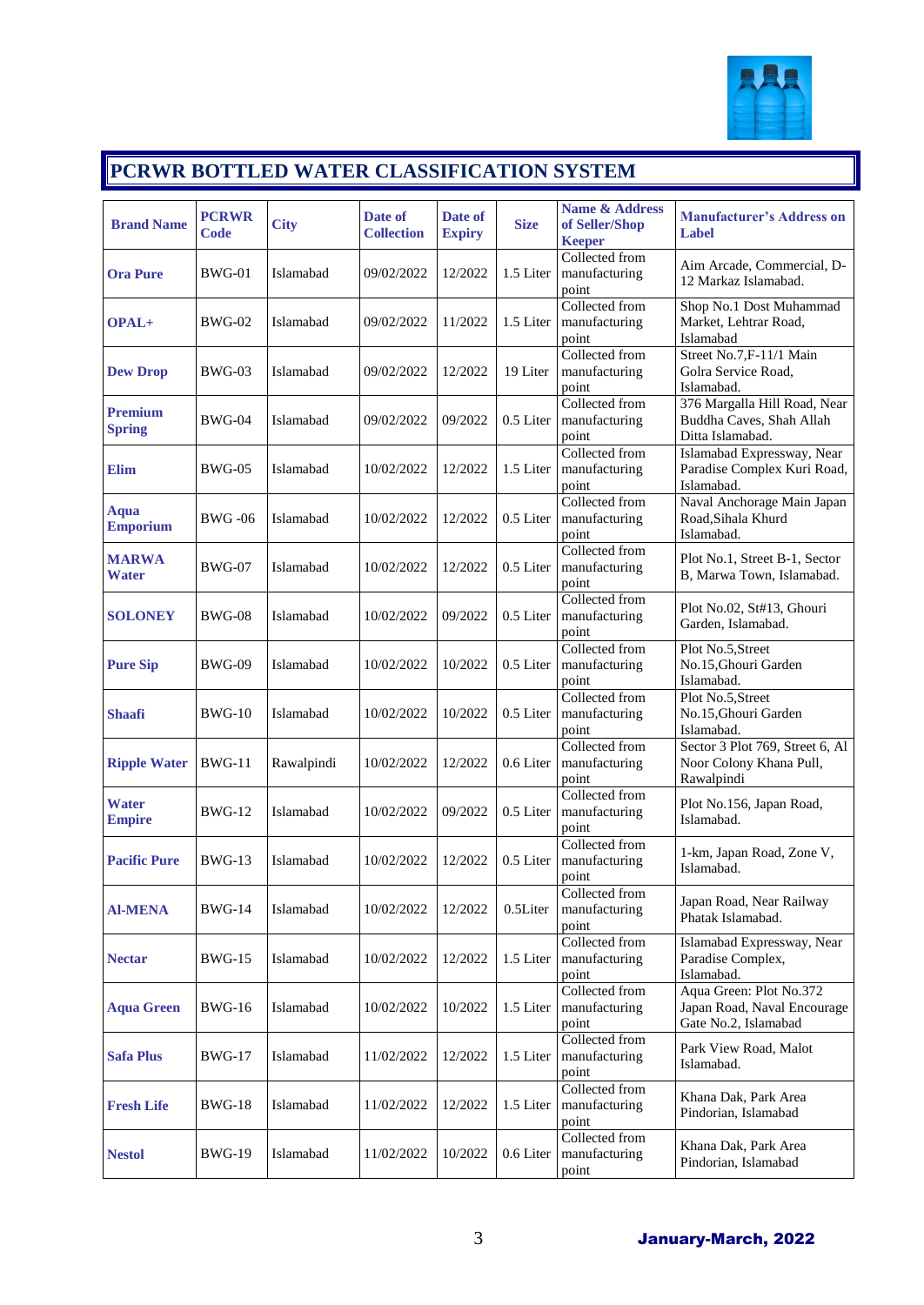

# **PCRWR BOTTLED WATER CLASSIFICATION SYSTEM**

| <b>Brand Name</b>               | <b>PCRWR</b><br><b>Code</b> | <b>City</b> | Date of<br><b>Collection</b> | Date of<br><b>Expiry</b> | <b>Size</b> | Name & Address<br>of Seller/Shop<br><b>Keeper</b> | <b>Manufacturer's Address on</b><br><b>Label</b>                               |
|---------------------------------|-----------------------------|-------------|------------------------------|--------------------------|-------------|---------------------------------------------------|--------------------------------------------------------------------------------|
| <b>Ora Pure</b>                 | $BWG-01$                    | Islamabad   | 09/02/2022                   | 12/2022                  | 1.5 Liter   | Collected from<br>manufacturing<br>point          | Aim Arcade, Commercial, D-<br>12 Markaz Islamabad.                             |
| OPAL+                           | <b>BWG-02</b>               | Islamabad   | 09/02/2022                   | 11/2022                  | 1.5 Liter   | Collected from<br>manufacturing<br>point          | Shop No.1 Dost Muhammad<br>Market, Lehtrar Road,<br>Islamabad                  |
| <b>Dew Drop</b>                 | BWG-03                      | Islamabad   | 09/02/2022                   | 12/2022                  | 19 Liter    | Collected from<br>manufacturing<br>point          | Street No.7, F-11/1 Main<br>Golra Service Road,<br>Islamabad.                  |
| <b>Premium</b><br><b>Spring</b> | $BWG-04$                    | Islamabad   | 09/02/2022                   | 09/2022                  | 0.5 Liter   | Collected from<br>manufacturing<br>point          | 376 Margalla Hill Road, Near<br>Buddha Caves, Shah Allah<br>Ditta Islamabad.   |
| Elim                            | BWG-05                      | Islamabad   | 10/02/2022                   | 12/2022                  | 1.5 Liter   | Collected from<br>manufacturing<br>point          | Islamabad Expressway, Near<br>Paradise Complex Kuri Road,<br>Islamabad.        |
| <b>Aqua</b><br><b>Emporium</b>  | <b>BWG</b> -06              | Islamabad   | 10/02/2022                   | 12/2022                  | 0.5 Liter   | Collected from<br>manufacturing<br>point          | Naval Anchorage Main Japan<br>Road, Sihala Khurd<br>Islamabad.                 |
| <b>MARWA</b><br><b>Water</b>    | BWG-07                      | Islamabad   | 10/02/2022                   | 12/2022                  | 0.5 Liter   | Collected from<br>manufacturing<br>point          | Plot No.1, Street B-1, Sector<br>B, Marwa Town, Islamabad.                     |
| <b>SOLONEY</b>                  | <b>BWG-08</b>               | Islamabad   | 10/02/2022                   | 09/2022                  | 0.5 Liter   | Collected from<br>manufacturing<br>point          | Plot No.02, St#13, Ghouri<br>Garden, Islamabad.                                |
| <b>Pure Sip</b>                 | BWG-09                      | Islamabad   | 10/02/2022                   | 10/2022                  | 0.5 Liter   | Collected from<br>manufacturing<br>point          | Plot No.5, Street<br>No.15, Ghouri Garden<br>Islamabad.                        |
| <b>Shaafi</b>                   | $BWG-10$                    | Islamabad   | 10/02/2022                   | 10/2022                  | 0.5 Liter   | Collected from<br>manufacturing<br>point          | Plot No.5, Street<br>No.15, Ghouri Garden<br>Islamabad.                        |
| <b>Ripple Water</b>             | <b>BWG-11</b>               | Rawalpindi  | 10/02/2022                   | 12/2022                  | 0.6 Liter   | Collected from<br>manufacturing<br>point          | Sector 3 Plot 769, Street 6, Al<br>Noor Colony Khana Pull,<br>Rawalpindi       |
| <b>Water</b><br><b>Empire</b>   | <b>BWG-12</b>               | Islamabad   | 10/02/2022                   | 09/2022                  | $0.5$ Liter | Collected from<br>manufacturing<br>point          | Plot No.156, Japan Road,<br>Islamabad.                                         |
| <b>Pacific Pure</b>             | <b>BWG-13</b>               | Islamabad   | 10/02/2022                   | 12/2022                  | 0.5 Liter   | Collected from<br>manufacturing<br>point          | 1-km, Japan Road, Zone V,<br>Islamabad.                                        |
| <b>Al-MENA</b>                  | <b>BWG-14</b>               | Islamabad   | 10/02/2022                   | 12/2022                  | 0.5Liter    | Collected from<br>manufacturing<br>point          | Japan Road, Near Railway<br>Phatak Islamabad.                                  |
| <b>Nectar</b>                   | <b>BWG-15</b>               | Islamabad   | 10/02/2022                   | 12/2022                  | 1.5 Liter   | Collected from<br>manufacturing<br>point          | Islamabad Expressway, Near<br>Paradise Complex,<br>Islamabad.                  |
| <b>Aqua Green</b>               | <b>BWG-16</b>               | Islamabad   | 10/02/2022                   | 10/2022                  | 1.5 Liter   | Collected from<br>manufacturing<br>point          | Aqua Green: Plot No.372<br>Japan Road, Naval Encourage<br>Gate No.2, Islamabad |
| <b>Safa Plus</b>                | <b>BWG-17</b>               | Islamabad   | 11/02/2022                   | 12/2022                  | 1.5 Liter   | Collected from<br>manufacturing<br>point          | Park View Road, Malot<br>Islamabad.                                            |
| <b>Fresh Life</b>               | <b>BWG-18</b>               | Islamabad   | 11/02/2022                   | 12/2022                  | 1.5 Liter   | Collected from<br>manufacturing<br>point          | Khana Dak, Park Area<br>Pindorian, Islamabad                                   |
| <b>Nestol</b>                   | <b>BWG-19</b>               | Islamabad   | 11/02/2022                   | 10/2022                  | 0.6 Liter   | Collected from<br>manufacturing<br>point          | Khana Dak, Park Area<br>Pindorian, Islamabad                                   |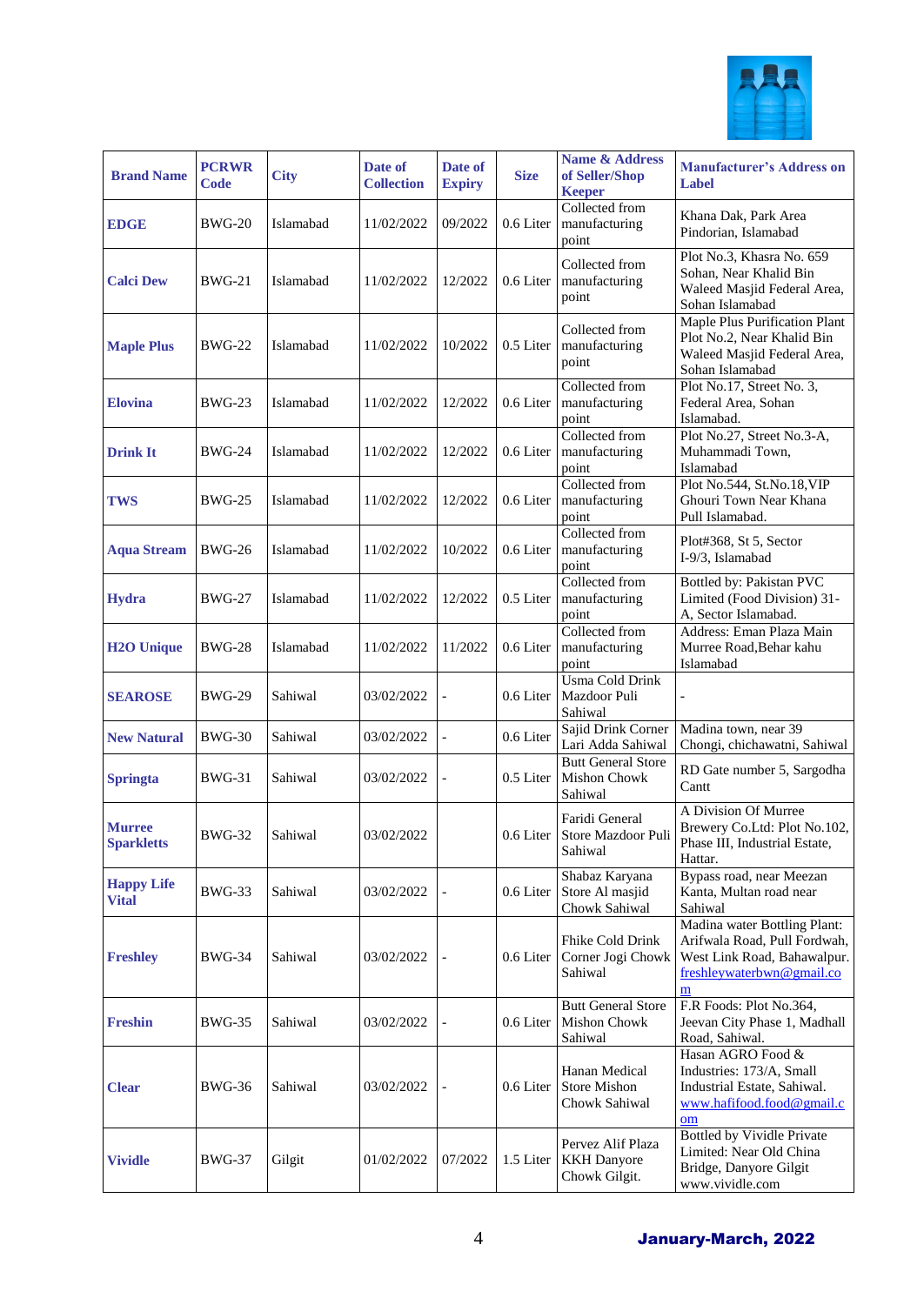

| <b>Brand Name</b>                  | <b>PCRWR</b><br><b>Code</b> | <b>City</b> | Date of<br><b>Collection</b> | Date of<br><b>Expiry</b> | <b>Size</b> | <b>Name &amp; Address</b><br>of Seller/Shop<br><b>Keeper</b> | <b>Manufacturer's Address on</b><br><b>Label</b>                                                                              |
|------------------------------------|-----------------------------|-------------|------------------------------|--------------------------|-------------|--------------------------------------------------------------|-------------------------------------------------------------------------------------------------------------------------------|
| <b>EDGE</b>                        | BWG-20                      | Islamabad   | 11/02/2022                   | 09/2022                  | 0.6 Liter   | Collected from<br>manufacturing<br>point                     | Khana Dak, Park Area<br>Pindorian, Islamabad                                                                                  |
| <b>Calci Dew</b>                   | <b>BWG-21</b>               | Islamabad   | 11/02/2022                   | 12/2022                  | 0.6 Liter   | Collected from<br>manufacturing<br>point                     | Plot No.3, Khasra No. 659<br>Sohan, Near Khalid Bin<br>Waleed Masjid Federal Area,<br>Sohan Islamabad                         |
| <b>Maple Plus</b>                  | <b>BWG-22</b>               | Islamabad   | 11/02/2022                   | 10/2022                  | 0.5 Liter   | Collected from<br>manufacturing<br>point                     | Maple Plus Purification Plant<br>Plot No.2, Near Khalid Bin<br>Waleed Masjid Federal Area,<br>Sohan Islamabad                 |
| <b>Elovina</b>                     | BWG-23                      | Islamabad   | 11/02/2022                   | 12/2022                  | 0.6 Liter   | Collected from<br>manufacturing<br>point                     | Plot No.17, Street No. 3,<br>Federal Area, Sohan<br>Islamabad.                                                                |
| <b>Drink It</b>                    | <b>BWG-24</b>               | Islamabad   | 11/02/2022                   | 12/2022                  | 0.6 Liter   | Collected from<br>manufacturing<br>point                     | Plot No.27, Street No.3-A,<br>Muhammadi Town,<br>Islamabad                                                                    |
| <b>TWS</b>                         | <b>BWG-25</b>               | Islamabad   | 11/02/2022                   | 12/2022                  | 0.6 Liter   | Collected from<br>manufacturing<br>point                     | Plot No.544, St.No.18, VIP<br>Ghouri Town Near Khana<br>Pull Islamabad.                                                       |
| <b>Aqua Stream</b>                 | <b>BWG-26</b>               | Islamabad   | 11/02/2022                   | 10/2022                  | 0.6 Liter   | Collected from<br>manufacturing<br>point                     | Plot#368, St 5, Sector<br>I-9/3, Islamabad                                                                                    |
| Hydra                              | <b>BWG-27</b>               | Islamabad   | 11/02/2022                   | 12/2022                  | 0.5 Liter   | Collected from<br>manufacturing<br>point                     | Bottled by: Pakistan PVC<br>Limited (Food Division) 31-<br>A, Sector Islamabad.                                               |
| <b>H2O Unique</b>                  | <b>BWG-28</b>               | Islamabad   | 11/02/2022                   | 11/2022                  | 0.6 Liter   | Collected from<br>manufacturing<br>point                     | Address: Eman Plaza Main<br>Murree Road, Behar kahu<br>Islamabad                                                              |
| <b>SEAROSE</b>                     | <b>BWG-29</b>               | Sahiwal     | 03/02/2022                   | $\overline{\phantom{0}}$ | 0.6 Liter   | Usma Cold Drink<br>Mazdoor Puli<br>Sahiwal                   |                                                                                                                               |
| <b>New Natural</b>                 | <b>BWG-30</b>               | Sahiwal     | 03/02/2022                   |                          | 0.6 Liter   | Sajid Drink Corner<br>Lari Adda Sahiwal                      | Madina town, near 39<br>Chongi, chichawatni, Sahiwal                                                                          |
| <b>Springta</b>                    | <b>BWG-31</b>               | Sahiwal     | 03/02/2022                   | $\overline{\phantom{0}}$ | 0.5 Liter   | <b>Butt General Store</b><br>Mishon Chowk<br>Sahiwal         | RD Gate number 5, Sargodha<br>Cantt                                                                                           |
| <b>Murree</b><br><b>Sparkletts</b> | <b>BWG-32</b>               | Sahiwal     | 03/02/2022                   |                          | 0.6 Liter   | Faridi General<br>Store Mazdoor Puli<br>Sahiwal              | A Division Of Murree<br>Brewery Co.Ltd: Plot No.102,<br>Phase III, Industrial Estate,<br>Hattar.                              |
| <b>Happy Life</b><br><b>Vital</b>  | <b>BWG-33</b>               | Sahiwal     | 03/02/2022                   |                          | 0.6 Liter   | Shabaz Karyana<br>Store Al masjid<br>Chowk Sahiwal           | Bypass road, near Meezan<br>Kanta, Multan road near<br>Sahiwal                                                                |
| <b>Freshley</b>                    | <b>BWG-34</b>               | Sahiwal     | 03/02/2022                   | $\overline{\phantom{a}}$ | 0.6 Liter   | Fhike Cold Drink<br>Corner Jogi Chowk<br>Sahiwal             | Madina water Bottling Plant:<br>Arifwala Road, Pull Fordwah,<br>West Link Road, Bahawalpur.<br>freshleywaterbwn@gmail.co<br>m |
| <b>Freshin</b>                     | <b>BWG-35</b>               | Sahiwal     | 03/02/2022                   | $\overline{\phantom{0}}$ | 0.6 Liter   | <b>Butt General Store</b><br><b>Mishon Chowk</b><br>Sahiwal  | F.R Foods: Plot No.364,<br>Jeevan City Phase 1, Madhall<br>Road, Sahiwal.                                                     |
| <b>Clear</b>                       | BWG-36                      | Sahiwal     | 03/02/2022                   | $\overline{a}$           | 0.6 Liter   | Hanan Medical<br><b>Store Mishon</b><br>Chowk Sahiwal        | Hasan AGRO Food &<br>Industries: 173/A, Small<br>Industrial Estate, Sahiwal.<br>www.hafifood.food@gmail.c<br>om               |
| <b>Vividle</b>                     | <b>BWG-37</b>               | Gilgit      | 01/02/2022                   | 07/2022                  | 1.5 Liter   | Pervez Alif Plaza<br><b>KKH</b> Danyore<br>Chowk Gilgit.     | Bottled by Vividle Private<br>Limited: Near Old China<br>Bridge, Danyore Gilgit<br>www.vividle.com                            |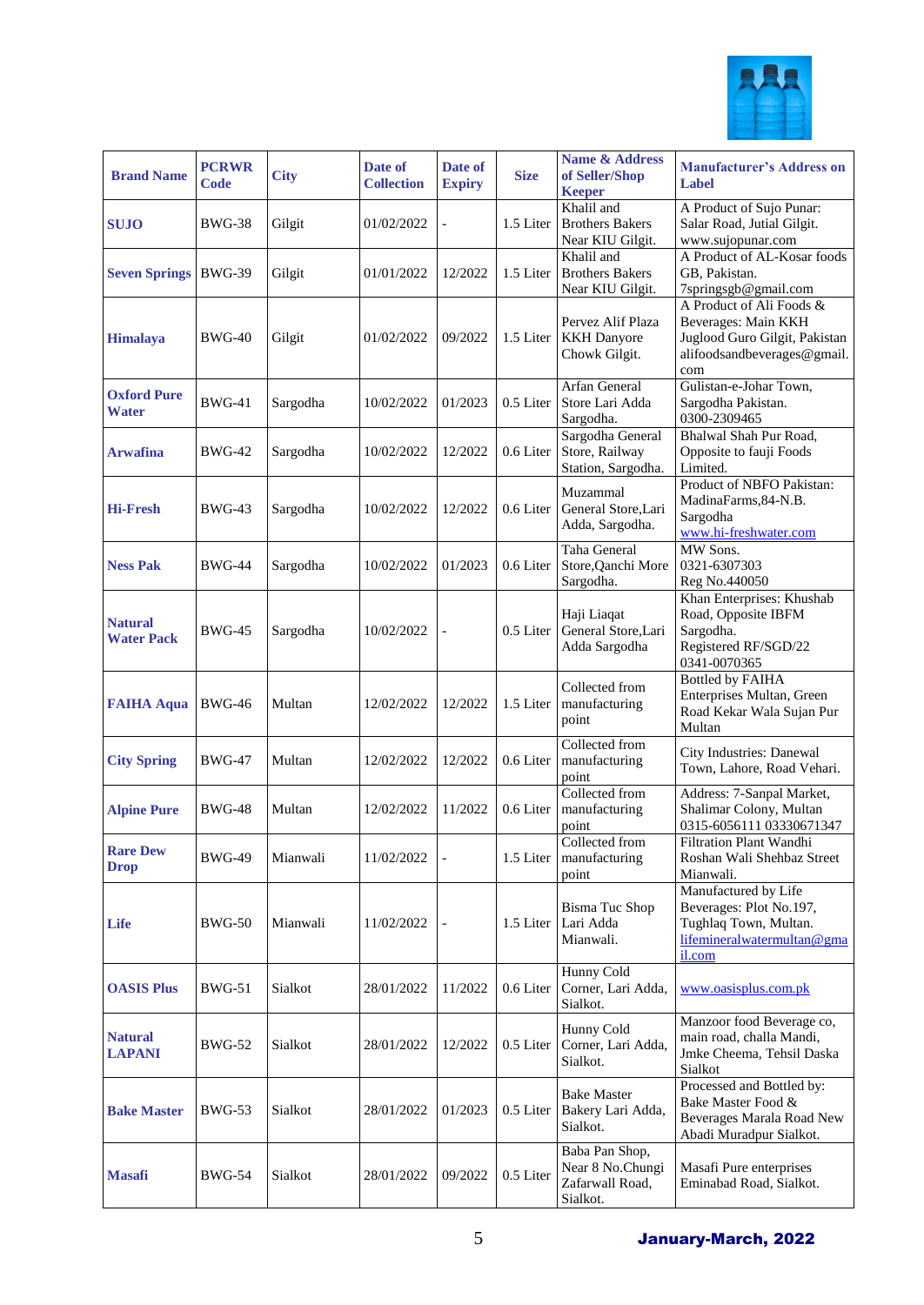

| <b>Brand Name</b>                   | <b>PCRWR</b><br>Code | <b>City</b> | Date of<br><b>Collection</b> | Date of<br><b>Expiry</b> | <b>Size</b> | <b>Name &amp; Address</b><br>of Seller/Shop<br><b>Keeper</b>      | <b>Manufacturer's Address on</b><br>Label                                                                              |
|-------------------------------------|----------------------|-------------|------------------------------|--------------------------|-------------|-------------------------------------------------------------------|------------------------------------------------------------------------------------------------------------------------|
| <b>SUJO</b>                         | <b>BWG-38</b>        | Gilgit      | 01/02/2022                   |                          | 1.5 Liter   | Khalil and<br><b>Brothers Bakers</b><br>Near KIU Gilgit.          | A Product of Sujo Punar:<br>Salar Road, Jutial Gilgit.<br>www.sujopunar.com                                            |
| <b>Seven Springs</b>                | <b>BWG-39</b>        | Gilgit      | 01/01/2022                   | 12/2022                  | 1.5 Liter   | Khalil and<br><b>Brothers Bakers</b><br>Near KIU Gilgit.          | A Product of AL-Kosar foods<br>GB, Pakistan.<br>7springsgb@gmail.com                                                   |
| <b>Himalaya</b>                     | <b>BWG-40</b>        | Gilgit      | 01/02/2022                   | 09/2022                  | 1.5 Liter   | Pervez Alif Plaza<br><b>KKH</b> Danyore<br>Chowk Gilgit.          | A Product of Ali Foods &<br>Beverages: Main KKH<br>Juglood Guro Gilgit, Pakistan<br>alifoodsandbeverages@gmail.<br>com |
| <b>Oxford Pure</b><br>Water         | <b>BWG-41</b>        | Sargodha    | 10/02/2022                   | 01/2023                  | 0.5 Liter   | Arfan General<br>Store Lari Adda<br>Sargodha.                     | Gulistan-e-Johar Town,<br>Sargodha Pakistan.<br>0300-2309465                                                           |
| <b>Arwafina</b>                     | <b>BWG-42</b>        | Sargodha    | 10/02/2022                   | 12/2022                  | 0.6 Liter   | Sargodha General<br>Store, Railway<br>Station, Sargodha.          | Bhalwal Shah Pur Road,<br>Opposite to fauji Foods<br>Limited.                                                          |
| <b>Hi-Fresh</b>                     | <b>BWG-43</b>        | Sargodha    | 10/02/2022                   | 12/2022                  | 0.6 Liter   | Muzammal<br>General Store, Lari<br>Adda, Sargodha.                | Product of NBFO Pakistan:<br>MadinaFarms, 84-N.B.<br>Sargodha<br>www.hi-freshwater.com                                 |
| <b>Ness Pak</b>                     | <b>BWG-44</b>        | Sargodha    | 10/02/2022                   | 01/2023                  | 0.6 Liter   | Taha General<br>Store, Qanchi More<br>Sargodha.                   | MW Sons.<br>0321-6307303<br>Reg No.440050                                                                              |
| <b>Natural</b><br><b>Water Pack</b> | <b>BWG-45</b>        | Sargodha    | 10/02/2022                   | $\overline{a}$           | 0.5 Liter   | Haji Liaqat<br>General Store, Lari<br>Adda Sargodha               | Khan Enterprises: Khushab<br>Road, Opposite IBFM<br>Sargodha.<br>Registered RF/SGD/22<br>0341-0070365                  |
| <b>FAIHA Aqua</b>                   | <b>BWG-46</b>        | Multan      | 12/02/2022                   | 12/2022                  | 1.5 Liter   | Collected from<br>manufacturing<br>point                          | <b>Bottled by FAIHA</b><br>Enterprises Multan, Green<br>Road Kekar Wala Sujan Pur<br>Multan                            |
| <b>City Spring</b>                  | <b>BWG-47</b>        | Multan      | 12/02/2022                   | 12/2022                  | 0.6 Liter   | Collected from<br>manufacturing<br>point                          | City Industries: Danewal<br>Town, Lahore, Road Vehari.                                                                 |
| <b>Alpine Pure</b>                  | <b>BWG-48</b>        | Multan      | 12/02/2022                   | 11/2022                  | 0.6 Liter   | Collected from<br>manufacturing<br>point                          | Address: 7-Sanpal Market,<br>Shalimar Colony, Multan<br>0315-6056111 03330671347                                       |
| <b>Rare Dew</b><br><b>Drop</b>      | <b>BWG-49</b>        | Mianwali    | 11/02/2022                   |                          |             | Collected from<br>1.5 Liter   manufacturing<br>point              | Filtration Plant Wandhi<br>Roshan Wali Shehbaz Street<br>Mianwali.                                                     |
| Life                                | <b>BWG-50</b>        | Mianwali    | 11/02/2022                   |                          | 1.5 Liter   | <b>Bisma Tuc Shop</b><br>Lari Adda<br>Mianwali.                   | Manufactured by Life<br>Beverages: Plot No.197,<br>Tughlaq Town, Multan.<br>lifemineralwatermultan@gma<br>il.com       |
| <b>OASIS Plus</b>                   | <b>BWG-51</b>        | Sialkot     | 28/01/2022                   | 11/2022                  | 0.6 Liter   | Hunny Cold<br>Corner, Lari Adda,<br>Sialkot.                      | www.oasisplus.com.pk                                                                                                   |
| <b>Natural</b><br><b>LAPANI</b>     | <b>BWG-52</b>        | Sialkot     | 28/01/2022                   | 12/2022                  | 0.5 Liter   | Hunny Cold<br>Corner, Lari Adda,<br>Sialkot.                      | Manzoor food Beverage co,<br>main road, challa Mandi,<br>Jmke Cheema, Tehsil Daska<br>Sialkot                          |
| <b>Bake Master</b>                  | <b>BWG-53</b>        | Sialkot     | 28/01/2022                   | 01/2023                  | 0.5 Liter   | <b>Bake Master</b><br>Bakery Lari Adda,<br>Sialkot.               | Processed and Bottled by:<br>Bake Master Food &<br>Beverages Marala Road New<br>Abadi Muradpur Sialkot.                |
| <b>Masafi</b>                       | <b>BWG-54</b>        | Sialkot     | 28/01/2022                   | 09/2022                  | 0.5 Liter   | Baba Pan Shop,<br>Near 8 No.Chungi<br>Zafarwall Road,<br>Sialkot. | Masafi Pure enterprises<br>Eminabad Road, Sialkot.                                                                     |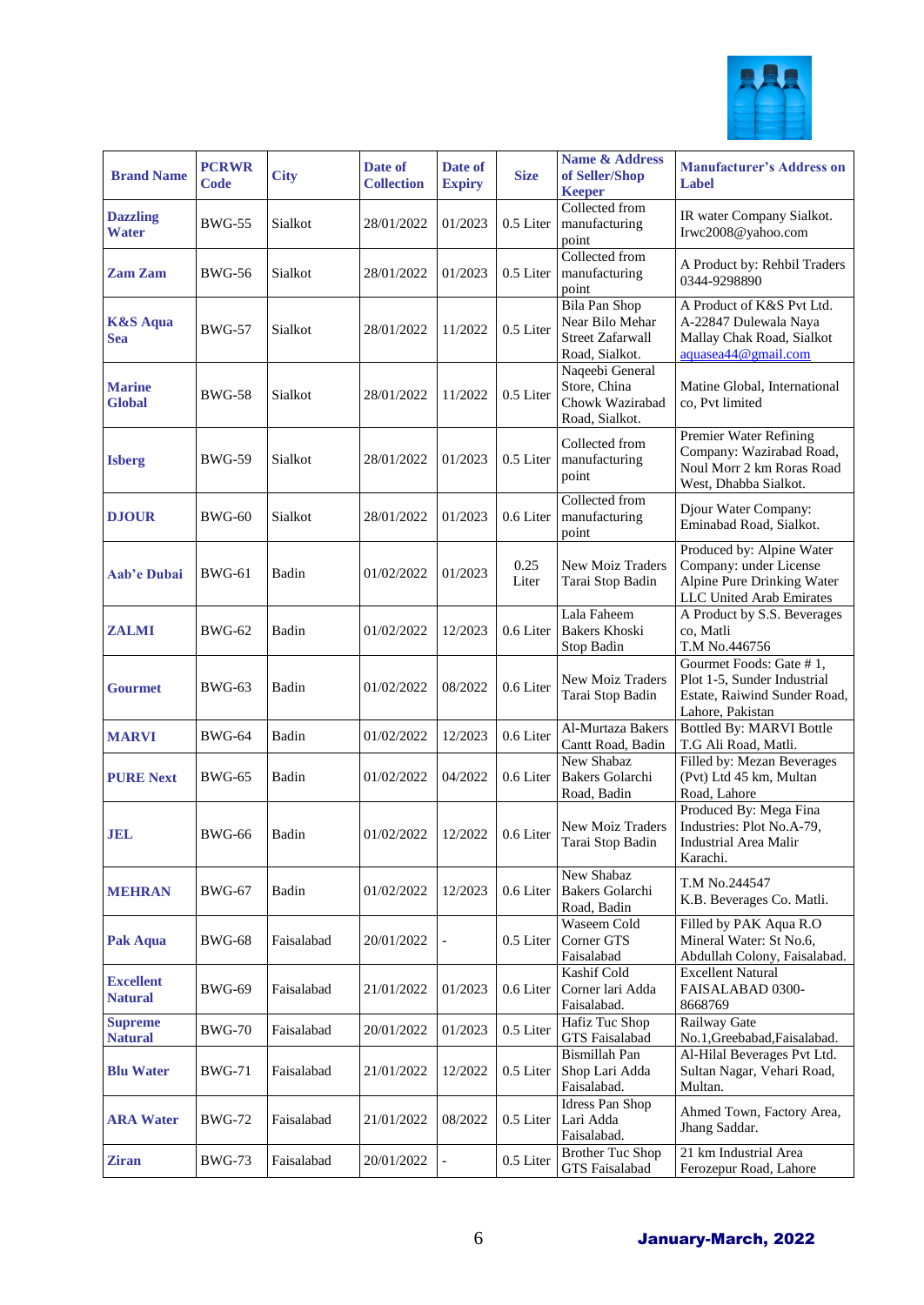

| <b>Brand Name</b>                  | <b>PCRWR</b><br><b>Code</b> | <b>City</b> | Date of<br><b>Collection</b> | Date of<br><b>Expiry</b> | <b>Size</b>   | <b>Name &amp; Address</b><br>of Seller/Shop<br><b>Keeper</b>                         | <b>Manufacturer's Address on</b><br>Label                                                                     |
|------------------------------------|-----------------------------|-------------|------------------------------|--------------------------|---------------|--------------------------------------------------------------------------------------|---------------------------------------------------------------------------------------------------------------|
| <b>Dazzling</b><br><b>Water</b>    | <b>BWG-55</b>               | Sialkot     | 28/01/2022                   | 01/2023                  | 0.5 Liter     | Collected from<br>manufacturing<br>point                                             | IR water Company Sialkot.<br>Irwc2008@yahoo.com                                                               |
| <b>Zam Zam</b>                     | <b>BWG-56</b>               | Sialkot     | 28/01/2022                   | 01/2023                  | 0.5 Liter     | Collected from<br>manufacturing<br>point                                             | A Product by: Rehbil Traders<br>0344-9298890                                                                  |
| <b>K&amp;S</b> Aqua<br><b>Sea</b>  | <b>BWG-57</b>               | Sialkot     | 28/01/2022                   | 11/2022                  | 0.5 Liter     | <b>Bila Pan Shop</b><br>Near Bilo Mehar<br><b>Street Zafarwall</b><br>Road, Sialkot. | A Product of K&S Pvt Ltd.<br>A-22847 Dulewala Naya<br>Mallay Chak Road, Sialkot<br>aquasea44@gmail.com        |
| <b>Marine</b><br><b>Global</b>     | <b>BWG-58</b>               | Sialkot     | 28/01/2022                   | 11/2022                  | 0.5 Liter     | Naqeebi General<br>Store, China<br>Chowk Wazirabad<br>Road, Sialkot.                 | Matine Global, International<br>co, Pvt limited                                                               |
| <b>Isberg</b>                      | <b>BWG-59</b>               | Sialkot     | 28/01/2022                   | 01/2023                  | 0.5 Liter     | Collected from<br>manufacturing<br>point                                             | Premier Water Refining<br>Company: Wazirabad Road,<br>Noul Morr 2 km Roras Road<br>West, Dhabba Sialkot.      |
| <b>DJOUR</b>                       | <b>BWG-60</b>               | Sialkot     | 28/01/2022                   | 01/2023                  | 0.6 Liter     | Collected from<br>manufacturing<br>point                                             | Djour Water Company:<br>Eminabad Road, Sialkot.                                                               |
| Aab'e Dubai                        | <b>BWG-61</b>               | Badin       | 01/02/2022                   | 01/2023                  | 0.25<br>Liter | <b>New Moiz Traders</b><br>Tarai Stop Badin                                          | Produced by: Alpine Water<br>Company: under License<br>Alpine Pure Drinking Water<br>LLC United Arab Emirates |
| <b>ZALMI</b>                       | <b>BWG-62</b>               | Badin       | 01/02/2022                   | 12/2023                  | 0.6 Liter     | Lala Faheem<br><b>Bakers Khoski</b><br>Stop Badin                                    | A Product by S.S. Beverages<br>co, Matli<br>T.M No.446756                                                     |
| <b>Gourmet</b>                     | <b>BWG-63</b>               | Badin       | 01/02/2022                   | 08/2022                  | 0.6 Liter     | New Moiz Traders<br>Tarai Stop Badin                                                 | Gourmet Foods: Gate #1,<br>Plot 1-5, Sunder Industrial<br>Estate, Raiwind Sunder Road,<br>Lahore, Pakistan    |
| <b>MARVI</b>                       | <b>BWG-64</b>               | Badin       | 01/02/2022                   | 12/2023                  | 0.6 Liter     | Al-Murtaza Bakers<br>Cantt Road, Badin                                               | <b>Bottled By: MARVI Bottle</b><br>T.G Ali Road, Matli.                                                       |
| <b>PURE Next</b>                   | <b>BWG-65</b>               | Badin       | 01/02/2022                   | 04/2022                  | 0.6 Liter     | New Shabaz<br>Bakers Golarchi<br>Road, Badin                                         | Filled by: Mezan Beverages<br>(Pvt) Ltd 45 km, Multan<br>Road, Lahore                                         |
| <b>JEL</b>                         | <b>BWG-66</b>               | Badin       | 01/02/2022                   | 12/2022                  | 0.6 Liter     | New Moiz Traders<br>Tarai Stop Badin                                                 | Produced By: Mega Fina<br>Industries: Plot No.A-79,<br>Industrial Area Malir<br>Karachi.                      |
| <b>MEHRAN</b>                      | <b>BWG-67</b>               | Badin       | 01/02/2022                   | 12/2023                  | 0.6 Liter     | New Shabaz<br><b>Bakers Golarchi</b><br>Road, Badin                                  | T.M No.244547<br>K.B. Beverages Co. Matli.                                                                    |
| Pak Aqua                           | <b>BWG-68</b>               | Faisalabad  | 20/01/2022                   |                          | 0.5 Liter     | Waseem Cold<br>Corner GTS<br>Faisalabad                                              | Filled by PAK Aqua R.O<br>Mineral Water: St No.6,<br>Abdullah Colony, Faisalabad.                             |
| <b>Excellent</b><br><b>Natural</b> | <b>BWG-69</b>               | Faisalabad  | 21/01/2022                   | 01/2023                  | 0.6 Liter     | Kashif Cold<br>Corner lari Adda<br>Faisalabad.                                       | <b>Excellent Natural</b><br>FAISALABAD 0300-<br>8668769                                                       |
| <b>Supreme</b><br><b>Natural</b>   | <b>BWG-70</b>               | Faisalabad  | 20/01/2022                   | 01/2023                  | 0.5 Liter     | Hafiz Tuc Shop<br><b>GTS</b> Faisalabad                                              | Railway Gate<br>No.1, Greebabad, Faisalabad.                                                                  |
| <b>Blu Water</b>                   | <b>BWG-71</b>               | Faisalabad  | 21/01/2022                   | 12/2022                  | 0.5 Liter     | Bismillah Pan<br>Shop Lari Adda<br>Faisalabad.                                       | Al-Hilal Beverages Pvt Ltd.<br>Sultan Nagar, Vehari Road,<br>Multan.                                          |
| <b>ARA Water</b>                   | <b>BWG-72</b>               | Faisalabad  | 21/01/2022                   | 08/2022                  | 0.5 Liter     | <b>Idress Pan Shop</b><br>Lari Adda<br>Faisalabad.                                   | Ahmed Town, Factory Area,<br>Jhang Saddar.                                                                    |
| <b>Ziran</b>                       | <b>BWG-73</b>               | Faisalabad  | 20/01/2022                   |                          | $0.5$ Liter   | <b>Brother Tuc Shop</b><br>GTS Faisalabad                                            | 21 km Industrial Area<br>Ferozepur Road, Lahore                                                               |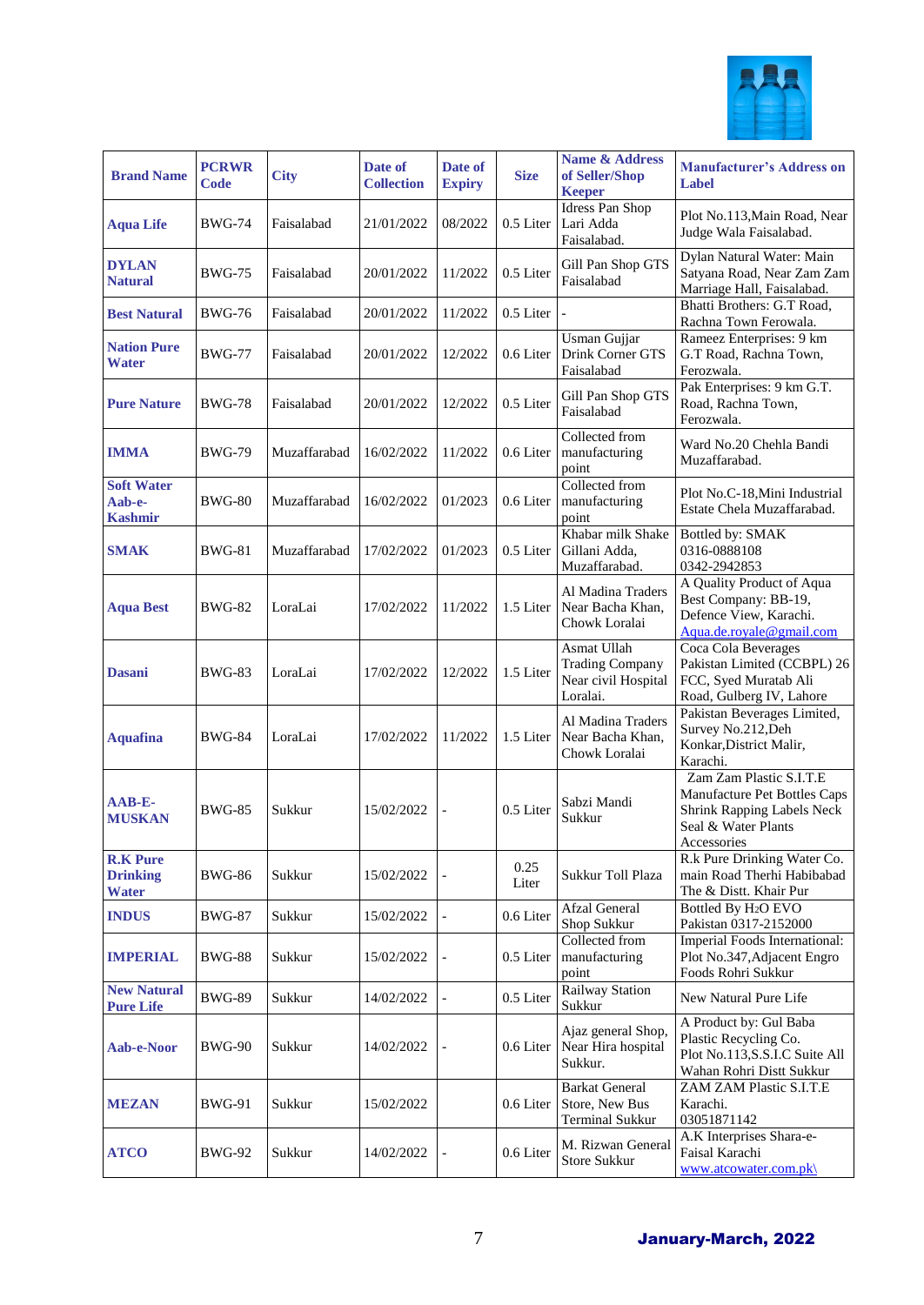

| <b>Brand Name</b>                                  | <b>PCRWR</b><br>Code | <b>City</b>  | Date of<br><b>Collection</b> | Date of<br><b>Expiry</b> | <b>Size</b>   | <b>Name &amp; Address</b><br>of Seller/Shop<br><b>Keeper</b>             | <b>Manufacturer's Address on</b><br>Label                                                                                          |
|----------------------------------------------------|----------------------|--------------|------------------------------|--------------------------|---------------|--------------------------------------------------------------------------|------------------------------------------------------------------------------------------------------------------------------------|
| <b>Aqua Life</b>                                   | BWG-74               | Faisalabad   | 21/01/2022                   | 08/2022                  | 0.5 Liter     | Idress Pan Shop<br>Lari Adda<br>Faisalabad.                              | Plot No.113, Main Road, Near<br>Judge Wala Faisalabad.                                                                             |
| <b>DYLAN</b><br><b>Natural</b>                     | <b>BWG-75</b>        | Faisalabad   | 20/01/2022                   | 11/2022                  | 0.5 Liter     | Gill Pan Shop GTS<br>Faisalabad                                          | Dylan Natural Water: Main<br>Satyana Road, Near Zam Zam<br>Marriage Hall, Faisalabad.                                              |
| <b>Best Natural</b>                                | <b>BWG-76</b>        | Faisalabad   | 20/01/2022                   | 11/2022                  | 0.5 Liter     |                                                                          | Bhatti Brothers: G.T Road,<br>Rachna Town Ferowala.                                                                                |
| <b>Nation Pure</b><br><b>Water</b>                 | <b>BWG-77</b>        | Faisalabad   | 20/01/2022                   | 12/2022                  | 0.6 Liter     | Usman Gujjar<br>Drink Corner GTS<br>Faisalabad                           | Rameez Enterprises: 9 km<br>G.T Road, Rachna Town,<br>Ferozwala.                                                                   |
| <b>Pure Nature</b>                                 | <b>BWG-78</b>        | Faisalabad   | 20/01/2022                   | 12/2022                  | 0.5 Liter     | Gill Pan Shop GTS<br>Faisalabad                                          | Pak Enterprises: 9 km G.T.<br>Road, Rachna Town,<br>Ferozwala.                                                                     |
| <b>IMMA</b>                                        | <b>BWG-79</b>        | Muzaffarabad | 16/02/2022                   | 11/2022                  | 0.6 Liter     | Collected from<br>manufacturing<br>point                                 | Ward No.20 Chehla Bandi<br>Muzaffarabad.                                                                                           |
| <b>Soft Water</b><br>Aab-e-<br><b>Kashmir</b>      | <b>BWG-80</b>        | Muzaffarabad | 16/02/2022                   | 01/2023                  | 0.6 Liter     | Collected from<br>manufacturing<br>point                                 | Plot No.C-18.Mini Industrial<br>Estate Chela Muzaffarabad.                                                                         |
| <b>SMAK</b>                                        | <b>BWG-81</b>        | Muzaffarabad | 17/02/2022                   | 01/2023                  | 0.5 Liter     | Khabar milk Shake<br>Gillani Adda.<br>Muzaffarabad.                      | Bottled by: SMAK<br>0316-0888108<br>0342-2942853                                                                                   |
| <b>Aqua Best</b>                                   | <b>BWG-82</b>        | LoraLai      | 17/02/2022                   | 11/2022                  | 1.5 Liter     | Al Madina Traders<br>Near Bacha Khan,<br>Chowk Loralai                   | A Quality Product of Aqua<br>Best Company: BB-19,<br>Defence View, Karachi.<br>Aqua.de.royale@gmail.com                            |
| <b>Dasani</b>                                      | BWG-83               | LoraLai      | 17/02/2022                   | 12/2022                  | 1.5 Liter     | Asmat Ullah<br><b>Trading Company</b><br>Near civil Hospital<br>Loralai. | Coca Cola Beverages<br>Pakistan Limited (CCBPL) 26<br>FCC, Syed Muratab Ali<br>Road, Gulberg IV, Lahore                            |
| <b>Aquafina</b>                                    | <b>BWG-84</b>        | LoraLai      | 17/02/2022                   | 11/2022                  | 1.5 Liter     | Al Madina Traders<br>Near Bacha Khan,<br>Chowk Loralai                   | Pakistan Beverages Limited,<br>Survey No.212, Deh<br>Konkar, District Malir,<br>Karachi.                                           |
| AAB-E-<br><b>MUSKAN</b>                            | <b>BWG-85</b>        | Sukkur       | 15/02/2022                   | $\overline{a}$           | 0.5 Liter     | Sabzi Mandi<br>Sukkur                                                    | Zam Zam Plastic S.I.T.E<br>Manufacture Pet Bottles Caps<br><b>Shrink Rapping Labels Neck</b><br>Seal & Water Plants<br>Accessories |
| <b>R.K Pure</b><br><b>Drinking</b><br><b>Water</b> | <b>BWG-86</b>        | Sukkur       | 15/02/2022                   |                          | 0.25<br>Liter | Sukkur Toll Plaza                                                        | R.k Pure Drinking Water Co.<br>main Road Therhi Habibabad<br>The & Distt. Khair Pur                                                |
| <b>INDUS</b>                                       | <b>BWG-87</b>        | Sukkur       | 15/02/2022                   |                          | 0.6 Liter     | <b>Afzal General</b><br>Shop Sukkur                                      | Bottled By H <sub>2</sub> O EVO<br>Pakistan 0317-2152000                                                                           |
| <b>IMPERIAL</b>                                    | BWG-88               | Sukkur       | 15/02/2022                   | $\overline{\phantom{a}}$ | 0.5 Liter     | Collected from<br>manufacturing<br>point                                 | Imperial Foods International:<br>Plot No.347, Adjacent Engro<br>Foods Rohri Sukkur                                                 |
| <b>New Natural</b><br><b>Pure Life</b>             | <b>BWG-89</b>        | Sukkur       | 14/02/2022                   |                          | 0.5 Liter     | <b>Railway Station</b><br>Sukkur                                         | New Natural Pure Life                                                                                                              |
| Aab-e-Noor                                         | <b>BWG-90</b>        | Sukkur       | 14/02/2022                   |                          | 0.6 Liter     | Ajaz general Shop,<br>Near Hira hospital<br>Sukkur.                      | A Product by: Gul Baba<br>Plastic Recycling Co.<br>Plot No.113, S.S.I.C Suite All<br>Wahan Rohri Distt Sukkur                      |
| <b>MEZAN</b>                                       | <b>BWG-91</b>        | Sukkur       | 15/02/2022                   |                          | 0.6 Liter     | <b>Barkat General</b><br>Store, New Bus<br><b>Terminal Sukkur</b>        | ZAM ZAM Plastic S.I.T.E<br>Karachi.<br>03051871142                                                                                 |
| <b>ATCO</b>                                        | <b>BWG-92</b>        | Sukkur       | 14/02/2022                   |                          | 0.6 Liter     | M. Rizwan General<br>Store Sukkur                                        | A.K Interprises Shara-e-<br>Faisal Karachi<br>www.atcowater.com.pk\                                                                |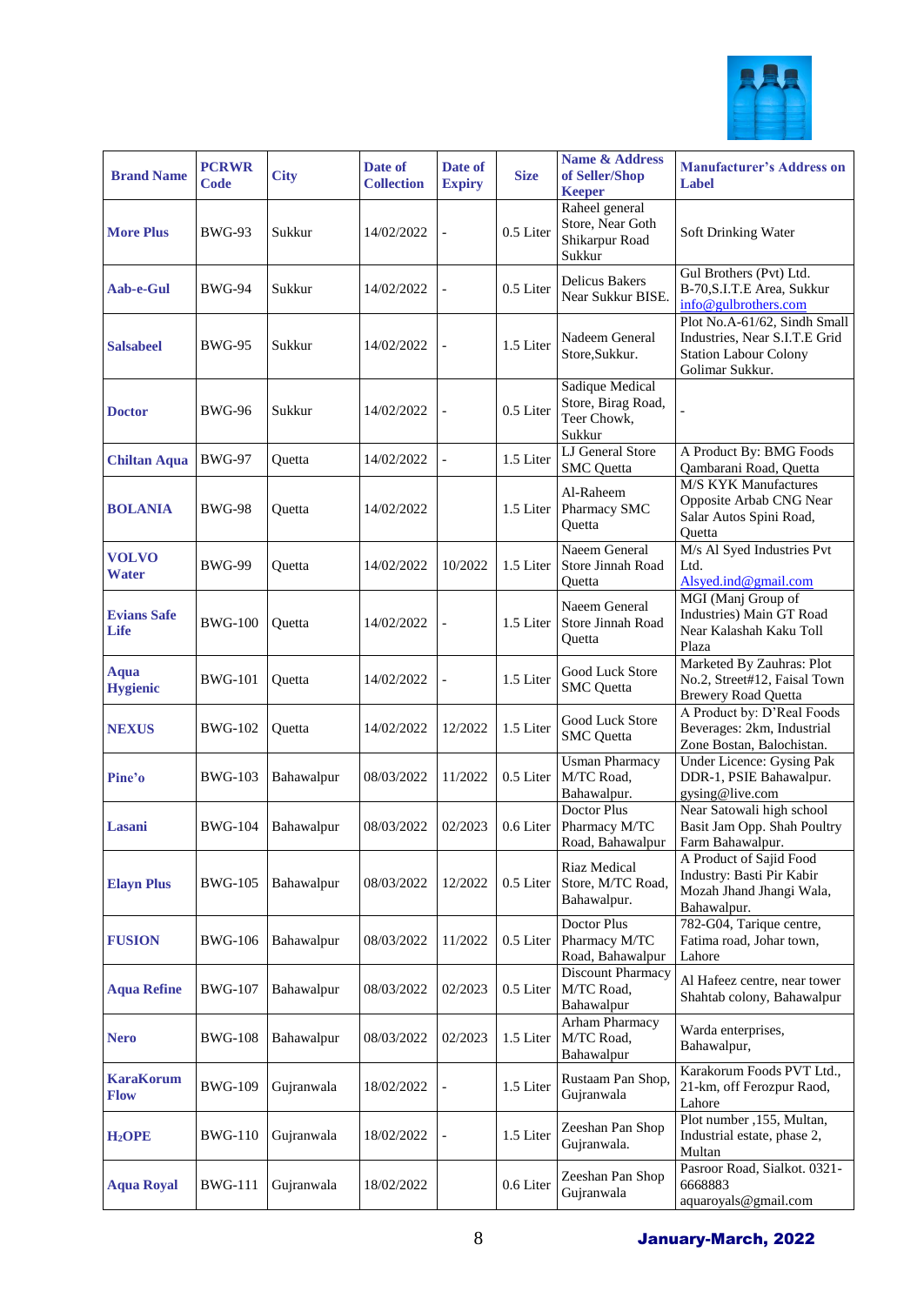

| <b>Brand Name</b>               | <b>PCRWR</b><br>Code | <b>City</b> | Date of<br><b>Collection</b> | Date of<br><b>Expiry</b> | <b>Size</b> | <b>Name &amp; Address</b><br>of Seller/Shop<br><b>Keeper</b>   | <b>Manufacturer's Address on</b><br>Label                                                                        |
|---------------------------------|----------------------|-------------|------------------------------|--------------------------|-------------|----------------------------------------------------------------|------------------------------------------------------------------------------------------------------------------|
| <b>More Plus</b>                | <b>BWG-93</b>        | Sukkur      | 14/02/2022                   | $\overline{a}$           | 0.5 Liter   | Raheel general<br>Store, Near Goth<br>Shikarpur Road<br>Sukkur | Soft Drinking Water                                                                                              |
| Aab-e-Gul                       | <b>BWG-94</b>        | Sukkur      | 14/02/2022                   |                          | 0.5 Liter   | <b>Delicus Bakers</b><br>Near Sukkur BISE.                     | Gul Brothers (Pvt) Ltd.<br>B-70, S.I.T. E Area, Sukkur<br>info@gulbrothers.com                                   |
| <b>Salsabeel</b>                | <b>BWG-95</b>        | Sukkur      | 14/02/2022                   |                          | 1.5 Liter   | Nadeem General<br>Store, Sukkur.                               | Plot No.A-61/62, Sindh Small<br>Industries, Near S.I.T.E Grid<br><b>Station Labour Colony</b><br>Golimar Sukkur. |
| <b>Doctor</b>                   | <b>BWG-96</b>        | Sukkur      | 14/02/2022                   |                          | 0.5 Liter   | Sadique Medical<br>Store, Birag Road,<br>Teer Chowk,<br>Sukkur |                                                                                                                  |
| <b>Chiltan Aqua</b>             | <b>BWG-97</b>        | Quetta      | 14/02/2022                   |                          | 1.5 Liter   | <b>LJ</b> General Store<br><b>SMC</b> Quetta                   | A Product By: BMG Foods<br>Qambarani Road, Quetta                                                                |
| <b>BOLANIA</b>                  | <b>BWG-98</b>        | Quetta      | 14/02/2022                   |                          | 1.5 Liter   | Al-Raheem<br>Pharmacy SMC<br>Quetta                            | M/S KYK Manufactures<br>Opposite Arbab CNG Near<br>Salar Autos Spini Road,<br>Quetta                             |
| <b>VOLVO</b><br><b>Water</b>    | <b>BWG-99</b>        | Quetta      | 14/02/2022                   | 10/2022                  | 1.5 Liter   | Naeem General<br>Store Jinnah Road<br>Ouetta                   | M/s Al Syed Industries Pvt<br>Ltd.<br>Alsyed.ind@gmail.com                                                       |
| <b>Evians Safe</b><br>Life      | <b>BWG-100</b>       | Quetta      | 14/02/2022                   | $\overline{a}$           | 1.5 Liter   | Naeem General<br>Store Jinnah Road<br>Quetta                   | MGI (Manj Group of<br>Industries) Main GT Road<br>Near Kalashah Kaku Toll<br>Plaza                               |
| <b>Aqua</b><br><b>Hygienic</b>  | <b>BWG-101</b>       | Quetta      | 14/02/2022                   |                          | 1.5 Liter   | <b>Good Luck Store</b><br><b>SMC</b> Quetta                    | Marketed By Zauhras: Plot<br>No.2, Street#12, Faisal Town<br><b>Brewery Road Quetta</b>                          |
| <b>NEXUS</b>                    | <b>BWG-102</b>       | Quetta      | 14/02/2022                   | 12/2022                  | 1.5 Liter   | Good Luck Store<br><b>SMC</b> Quetta                           | A Product by: D'Real Foods<br>Beverages: 2km, Industrial<br>Zone Bostan, Balochistan.                            |
| Pine'o                          | <b>BWG-103</b>       | Bahawalpur  | 08/03/2022                   | 11/2022                  | 0.5 Liter   | <b>Usman Pharmacy</b><br>M/TC Road,<br>Bahawalpur.             | <b>Under Licence: Gysing Pak</b><br>DDR-1, PSIE Bahawalpur.<br>gysing@live.com                                   |
| Lasani                          | <b>BWG-104</b>       | Bahawalpur  | 08/03/2022                   | 02/2023                  | 0.6 Liter   | Doctor Plus<br>Pharmacy M/TC<br>Road, Bahawalpur               | Near Satowali high school<br>Basit Jam Opp. Shah Poultry<br>Farm Bahawalpur.                                     |
| <b>Elayn Plus</b>               | <b>BWG-105</b>       | Bahawalpur  | 08/03/2022                   | 12/2022                  | 0.5 Liter   | Riaz Medical<br>Store, M/TC Road,<br>Bahawalpur.               | A Product of Sajid Food<br>Industry: Basti Pir Kabir<br>Mozah Jhand Jhangi Wala,<br>Bahawalpur.                  |
| <b>FUSION</b>                   | <b>BWG-106</b>       | Bahawalpur  | 08/03/2022                   | 11/2022                  | 0.5 Liter   | Doctor Plus<br>Pharmacy M/TC<br>Road, Bahawalpur               | 782-G04, Tarique centre,<br>Fatima road, Johar town,<br>Lahore                                                   |
| <b>Aqua Refine</b>              | <b>BWG-107</b>       | Bahawalpur  | 08/03/2022                   | 02/2023                  | 0.5 Liter   | Discount Pharmacy<br>M/TC Road,<br>Bahawalpur                  | Al Hafeez centre, near tower<br>Shahtab colony, Bahawalpur                                                       |
| <b>Nero</b>                     | <b>BWG-108</b>       | Bahawalpur  | 08/03/2022                   | 02/2023                  | 1.5 Liter   | Arham Pharmacy<br>M/TC Road,<br>Bahawalpur                     | Warda enterprises,<br>Bahawalpur,                                                                                |
| <b>KaraKorum</b><br><b>Flow</b> | <b>BWG-109</b>       | Gujranwala  | 18/02/2022                   |                          | 1.5 Liter   | Rustaam Pan Shop,<br>Gujranwala                                | Karakorum Foods PVT Ltd.,<br>21-km, off Ferozpur Raod,<br>Lahore                                                 |
| H <sub>2</sub> OPE              | <b>BWG-110</b>       | Gujranwala  | 18/02/2022                   |                          | 1.5 Liter   | Zeeshan Pan Shop<br>Gujranwala.                                | Plot number , 155, Multan,<br>Industrial estate, phase 2,<br>Multan                                              |
| <b>Aqua Royal</b>               | <b>BWG-111</b>       | Gujranwala  | 18/02/2022                   |                          | 0.6 Liter   | Zeeshan Pan Shop<br>Gujranwala                                 | Pasroor Road, Sialkot. 0321-<br>6668883<br>aquaroyals@gmail.com                                                  |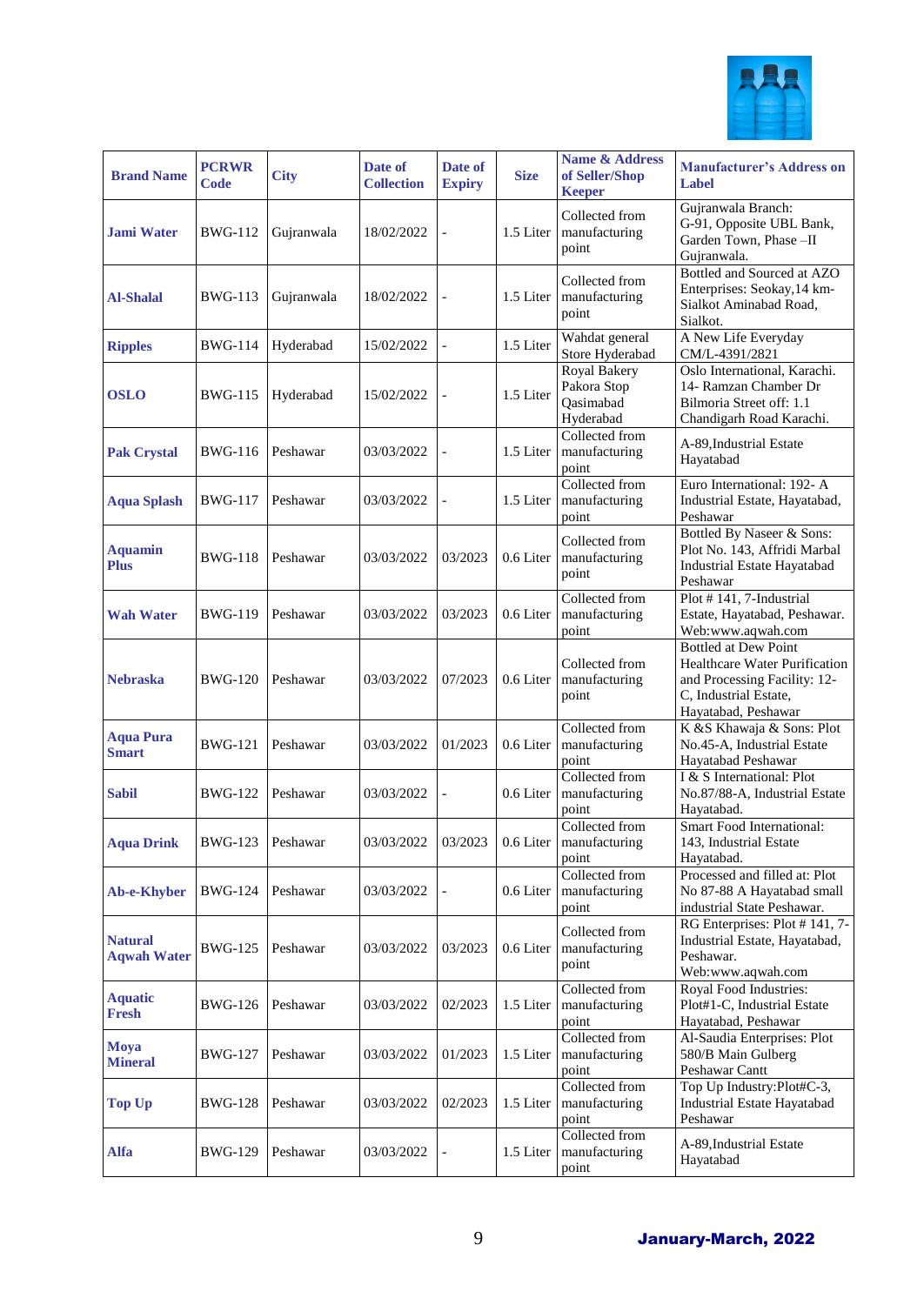

| <b>Brand Name</b>                    | <b>PCRWR</b><br>Code | <b>City</b> | Date of<br><b>Collection</b> | Date of<br><b>Expiry</b> | <b>Size</b> | <b>Name &amp; Address</b><br>of Seller/Shop<br><b>Keeper</b> | <b>Manufacturer's Address on</b><br>Label                                                                                                    |
|--------------------------------------|----------------------|-------------|------------------------------|--------------------------|-------------|--------------------------------------------------------------|----------------------------------------------------------------------------------------------------------------------------------------------|
| <b>Jami Water</b>                    | <b>BWG-112</b>       | Gujranwala  | 18/02/2022                   |                          | 1.5 Liter   | Collected from<br>manufacturing<br>point                     | Gujranwala Branch:<br>G-91, Opposite UBL Bank,<br>Garden Town, Phase -II<br>Gujranwala.                                                      |
| <b>Al-Shalal</b>                     | <b>BWG-113</b>       | Gujranwala  | 18/02/2022                   |                          | 1.5 Liter   | Collected from<br>manufacturing<br>point                     | Bottled and Sourced at AZO<br>Enterprises: Seokay, 14 km-<br>Sialkot Aminabad Road,<br>Sialkot.                                              |
| <b>Ripples</b>                       | <b>BWG-114</b>       | Hyderabad   | 15/02/2022                   |                          | 1.5 Liter   | Wahdat general<br>Store Hyderabad                            | A New Life Everyday<br>CM/L-4391/2821                                                                                                        |
| <b>OSLO</b>                          | BWG-115              | Hyderabad   | 15/02/2022                   |                          | 1.5 Liter   | Royal Bakery<br>Pakora Stop<br>Qasimabad<br>Hyderabad        | Oslo International, Karachi.<br>14- Ramzan Chamber Dr<br>Bilmoria Street off: 1.1<br>Chandigarh Road Karachi.                                |
| <b>Pak Crystal</b>                   | <b>BWG-116</b>       | Peshawar    | 03/03/2022                   | $\overline{\phantom{0}}$ | 1.5 Liter   | Collected from<br>manufacturing<br>point                     | A-89, Industrial Estate<br>Hayatabad                                                                                                         |
| <b>Aqua Splash</b>                   | BWG-117              | Peshawar    | 03/03/2022                   | $\overline{a}$           | 1.5 Liter   | Collected from<br>manufacturing<br>point                     | Euro International: 192- A<br>Industrial Estate, Hayatabad,<br>Peshawar                                                                      |
| <b>Aquamin</b><br><b>Plus</b>        | <b>BWG-118</b>       | Peshawar    | 03/03/2022                   | 03/2023                  | 0.6 Liter   | Collected from<br>manufacturing<br>point                     | Bottled By Naseer & Sons:<br>Plot No. 143, Affridi Marbal<br><b>Industrial Estate Hayatabad</b><br>Peshawar                                  |
| <b>Wah Water</b>                     | <b>BWG-119</b>       | Peshawar    | 03/03/2022                   | 03/2023                  | 0.6 Liter   | Collected from<br>manufacturing<br>point                     | Plot #141, 7-Industrial<br>Estate, Hayatabad, Peshawar.<br>Web:www.aqwah.com                                                                 |
| <b>Nebraska</b>                      | <b>BWG-120</b>       | Peshawar    | 03/03/2022                   | 07/2023                  | 0.6 Liter   | Collected from<br>manufacturing<br>point                     | <b>Bottled at Dew Point</b><br>Healthcare Water Purification<br>and Processing Facility: 12-<br>C, Industrial Estate,<br>Hayatabad, Peshawar |
| <b>Aqua Pura</b><br><b>Smart</b>     | <b>BWG-121</b>       | Peshawar    | 03/03/2022                   | 01/2023                  | 0.6 Liter   | Collected from<br>manufacturing<br>point                     | K &S Khawaja & Sons: Plot<br>No.45-A, Industrial Estate<br>Hayatabad Peshawar                                                                |
| <b>Sabil</b>                         | <b>BWG-122</b>       | Peshawar    | 03/03/2022                   | $\overline{\phantom{0}}$ | 0.6 Liter   | Collected from<br>manufacturing<br>point                     | I & S International: Plot<br>No.87/88-A, Industrial Estate<br>Hayatabad.                                                                     |
| <b>Aqua Drink</b>                    | BWG-123 Peshawar     |             | 03/03/2022                   | 03/2023                  |             | Collected from<br>0.6 Liter   manufacturing<br>point         | Smart Food International:<br>143, Industrial Estate<br>Hayatabad.                                                                            |
| <b>Ab-e-Khyber</b>                   | <b>BWG-124</b>       | Peshawar    | 03/03/2022                   |                          | 0.6 Liter   | Collected from<br>manufacturing<br>point                     | Processed and filled at: Plot<br>No 87-88 A Hayatabad small<br>industrial State Peshawar.                                                    |
| <b>Natural</b><br><b>Aqwah Water</b> | <b>BWG-125</b>       | Peshawar    | 03/03/2022                   | 03/2023                  | 0.6 Liter   | Collected from<br>manufacturing<br>point                     | RG Enterprises: Plot #141, 7-<br>Industrial Estate, Hayatabad,<br>Peshawar.<br>Web:www.aqwah.com                                             |
| <b>Aquatic</b><br><b>Fresh</b>       | BWG-126              | Peshawar    | 03/03/2022                   | 02/2023                  | 1.5 Liter   | Collected from<br>manufacturing<br>point                     | Royal Food Industries:<br>Plot#1-C, Industrial Estate<br>Hayatabad, Peshawar                                                                 |
| Moya<br><b>Mineral</b>               | <b>BWG-127</b>       | Peshawar    | 03/03/2022                   | 01/2023                  | 1.5 Liter   | Collected from<br>manufacturing<br>point                     | Al-Saudia Enterprises: Plot<br>580/B Main Gulberg<br>Peshawar Cantt                                                                          |
| <b>Top Up</b>                        | <b>BWG-128</b>       | Peshawar    | 03/03/2022                   | 02/2023                  | 1.5 Liter   | Collected from<br>manufacturing<br>point                     | Top Up Industry:Plot#C-3,<br>Industrial Estate Hayatabad<br>Peshawar                                                                         |
| <b>Alfa</b>                          | <b>BWG-129</b>       | Peshawar    | 03/03/2022                   |                          | 1.5 Liter   | Collected from<br>manufacturing<br>point                     | A-89, Industrial Estate<br>Hayatabad                                                                                                         |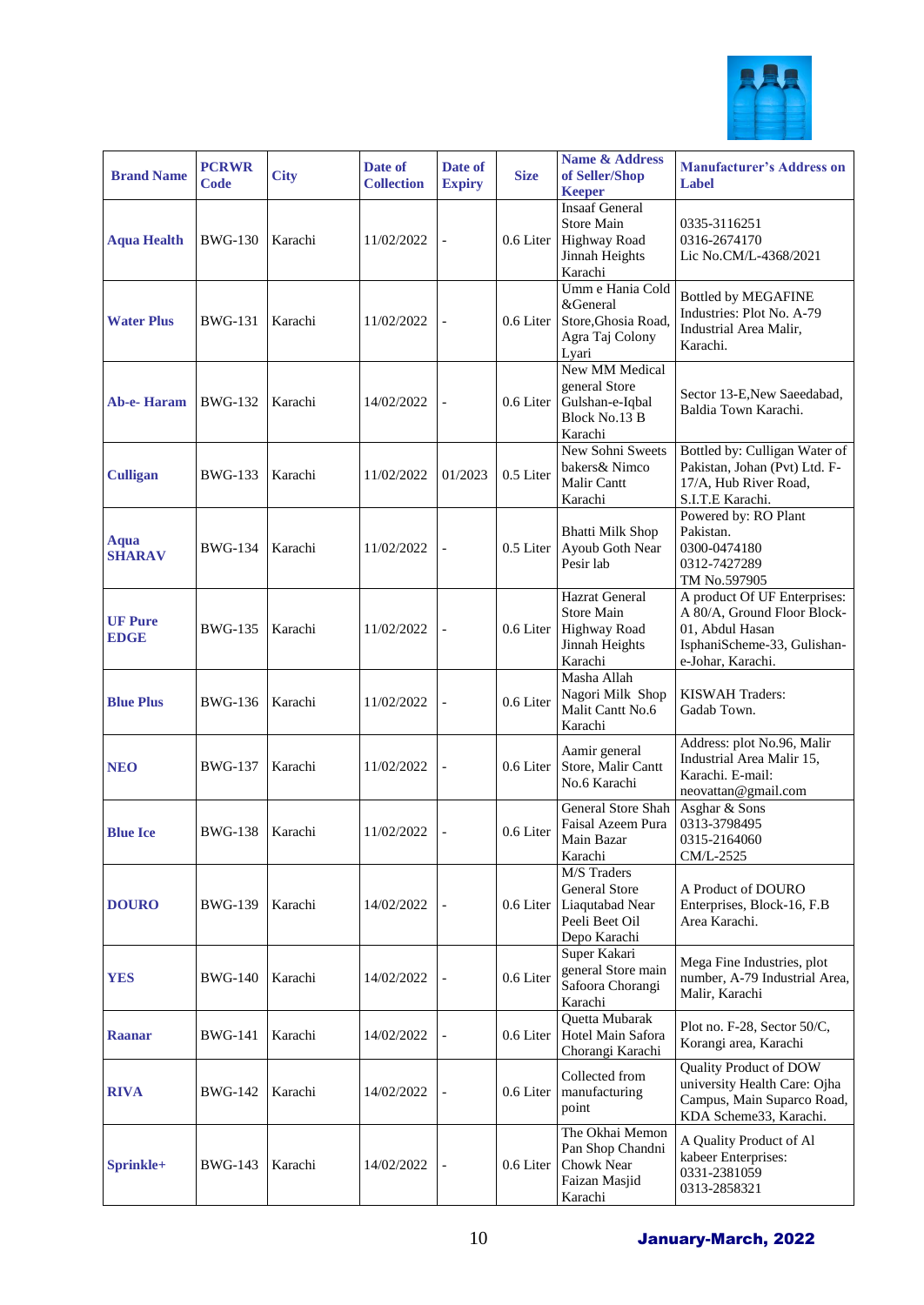

| <b>Brand Name</b>             | <b>PCRWR</b><br>Code | <b>City</b> | Date of<br><b>Collection</b> | Date of<br><b>Expiry</b> | <b>Size</b> | <b>Name &amp; Address</b><br>of Seller/Shop<br><b>Keeper</b>                                   | <b>Manufacturer's Address on</b><br><b>Label</b>                                                                                   |
|-------------------------------|----------------------|-------------|------------------------------|--------------------------|-------------|------------------------------------------------------------------------------------------------|------------------------------------------------------------------------------------------------------------------------------------|
| <b>Aqua Health</b>            | <b>BWG-130</b>       | Karachi     | 11/02/2022                   | $\overline{\phantom{0}}$ | 0.6 Liter   | <b>Insaaf General</b><br><b>Store Main</b><br><b>Highway Road</b><br>Jinnah Heights<br>Karachi | 0335-3116251<br>0316-2674170<br>Lic No.CM/L-4368/2021                                                                              |
| <b>Water Plus</b>             | <b>BWG-131</b>       | Karachi     | 11/02/2022                   | $\overline{a}$           | 0.6 Liter   | Umm e Hania Cold<br>&General<br>Store, Ghosia Road,<br>Agra Taj Colony<br>Lyari                | <b>Bottled by MEGAFINE</b><br>Industries: Plot No. A-79<br>Industrial Area Malir,<br>Karachi.                                      |
| <b>Ab-e-Haram</b>             | <b>BWG-132</b>       | Karachi     | 14/02/2022                   |                          | 0.6 Liter   | New MM Medical<br>general Store<br>Gulshan-e-Iqbal<br>Block No.13 B<br>Karachi                 | Sector 13-E, New Saeedabad,<br>Baldia Town Karachi.                                                                                |
| <b>Culligan</b>               | <b>BWG-133</b>       | Karachi     | 11/02/2022                   | 01/2023                  | 0.5 Liter   | New Sohni Sweets<br>bakers& Nimco<br>Malir Cantt<br>Karachi                                    | Bottled by: Culligan Water of<br>Pakistan, Johan (Pvt) Ltd. F-<br>17/A, Hub River Road,<br>S.I.T.E Karachi.                        |
| Aqua<br><b>SHARAV</b>         | <b>BWG-134</b>       | Karachi     | 11/02/2022                   |                          | 0.5 Liter   | <b>Bhatti Milk Shop</b><br>Ayoub Goth Near<br>Pesir lab                                        | Powered by: RO Plant<br>Pakistan.<br>0300-0474180<br>0312-7427289<br>TM No.597905                                                  |
| <b>UF Pure</b><br><b>EDGE</b> | <b>BWG-135</b>       | Karachi     | 11/02/2022                   | $\overline{a}$           | 0.6 Liter   | Hazrat General<br><b>Store Main</b><br><b>Highway Road</b><br>Jinnah Heights<br>Karachi        | A product Of UF Enterprises:<br>A 80/A, Ground Floor Block-<br>01, Abdul Hasan<br>IsphaniScheme-33, Gulishan-<br>e-Johar, Karachi. |
| <b>Blue Plus</b>              | <b>BWG-136</b>       | Karachi     | 11/02/2022                   |                          | 0.6 Liter   | Masha Allah<br>Nagori Milk Shop<br>Malit Cantt No.6<br>Karachi                                 | <b>KISWAH Traders:</b><br>Gadab Town.                                                                                              |
| <b>NEO</b>                    | <b>BWG-137</b>       | Karachi     | 11/02/2022                   | $\overline{a}$           | 0.6 Liter   | Aamir general<br>Store, Malir Cantt<br>No.6 Karachi                                            | Address: plot No.96, Malir<br>Industrial Area Malir 15,<br>Karachi. E-mail:<br>neovattan@gmail.com                                 |
| <b>Blue Ice</b>               | <b>BWG-138</b>       | Karachi     | 11/02/2022                   |                          | 0.6 Liter   | General Store Shah<br>Faisal Azeem Pura<br>Main Bazar<br>Karachi                               | Asghar & Sons<br>0313-3798495<br>0315-2164060<br>CM/L-2525                                                                         |
| <b>DOURO</b>                  | <b>BWG-139</b>       | Karachi     | 14/02/2022                   | $\overline{a}$           | 0.6 Liter   | M/S Traders<br><b>General Store</b><br>Liaqutabad Near<br>Peeli Beet Oil<br>Depo Karachi       | A Product of DOURO<br>Enterprises, Block-16, F.B<br>Area Karachi.                                                                  |
| <b>YES</b>                    | <b>BWG-140</b>       | Karachi     | 14/02/2022                   | $\overline{\phantom{0}}$ | 0.6 Liter   | Super Kakari<br>general Store main<br>Safoora Chorangi<br>Karachi                              | Mega Fine Industries, plot<br>number, A-79 Industrial Area,<br>Malir, Karachi                                                      |
| <b>Raanar</b>                 | <b>BWG-141</b>       | Karachi     | 14/02/2022                   |                          | 0.6 Liter   | Quetta Mubarak<br>Hotel Main Safora<br>Chorangi Karachi                                        | Plot no. F-28, Sector 50/C,<br>Korangi area, Karachi                                                                               |
| <b>RIVA</b>                   | <b>BWG-142</b>       | Karachi     | 14/02/2022                   | $\overline{a}$           | 0.6 Liter   | Collected from<br>manufacturing<br>point                                                       | Quality Product of DOW<br>university Health Care: Ojha<br>Campus, Main Suparco Road,<br>KDA Scheme33, Karachi.                     |
| Sprinkle+                     | <b>BWG-143</b>       | Karachi     | 14/02/2022                   | $\overline{a}$           | 0.6 Liter   | The Okhai Memon<br>Pan Shop Chandni<br>Chowk Near<br>Faizan Masjid<br>Karachi                  | A Quality Product of Al<br>kabeer Enterprises:<br>0331-2381059<br>0313-2858321                                                     |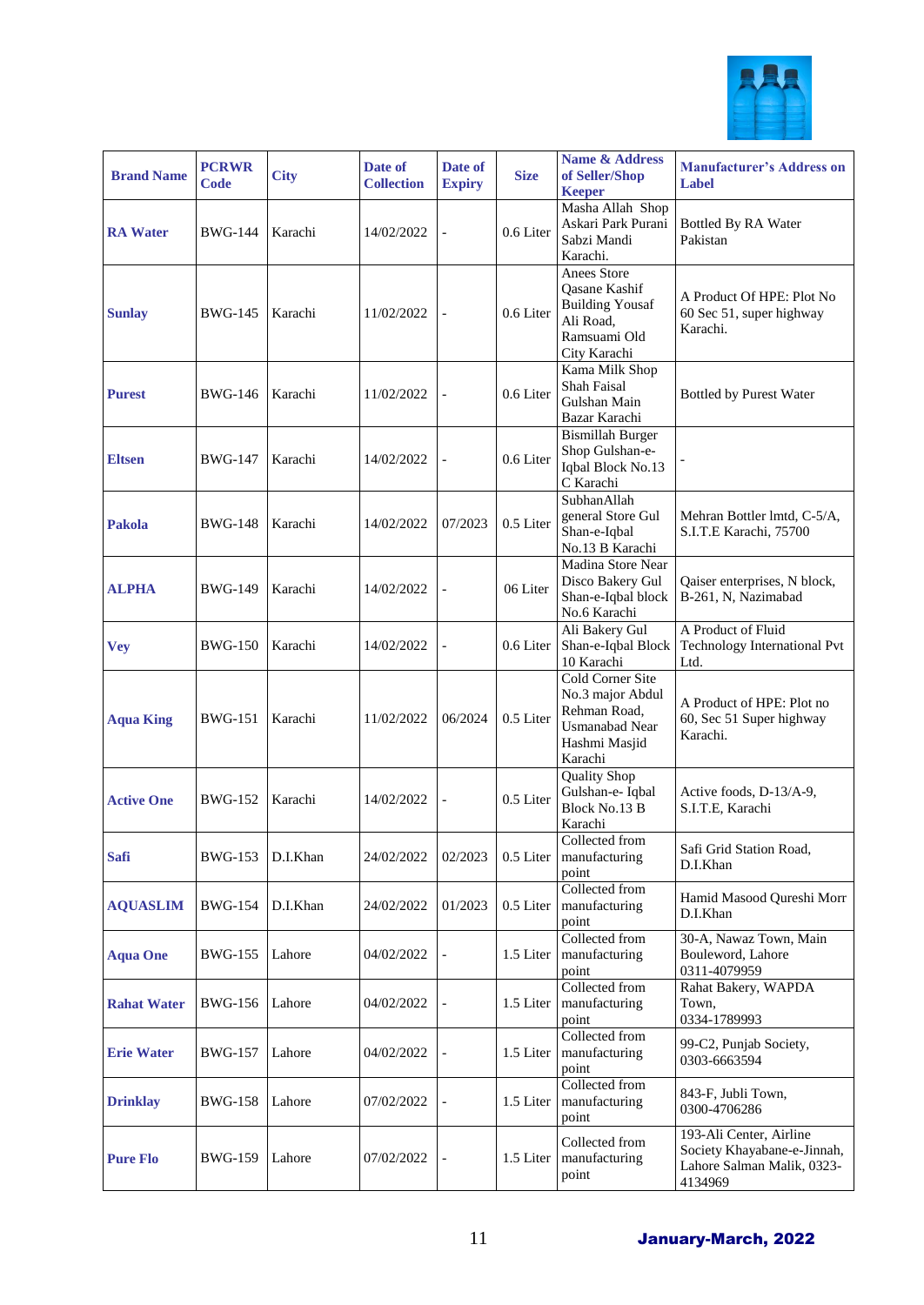

| <b>Brand Name</b>  | <b>PCRWR</b><br>Code | <b>City</b> | Date of<br><b>Collection</b> | Date of<br><b>Expiry</b> | <b>Size</b> | Name & Address<br>of Seller/Shop<br><b>Keeper</b>                                                         | <b>Manufacturer's Address on</b><br>Label                                                       |
|--------------------|----------------------|-------------|------------------------------|--------------------------|-------------|-----------------------------------------------------------------------------------------------------------|-------------------------------------------------------------------------------------------------|
| <b>RA</b> Water    | <b>BWG-144</b>       | Karachi     | 14/02/2022                   | $\overline{a}$           | 0.6 Liter   | Masha Allah Shop<br>Askari Park Purani<br>Sabzi Mandi<br>Karachi.                                         | Bottled By RA Water<br>Pakistan                                                                 |
| <b>Sunlay</b>      | <b>BWG-145</b>       | Karachi     | 11/02/2022                   |                          | 0.6 Liter   | Anees Store<br>Qasane Kashif<br><b>Building Yousaf</b><br>Ali Road,<br>Ramsuami Old<br>City Karachi       | A Product Of HPE: Plot No<br>60 Sec 51, super highway<br>Karachi.                               |
| <b>Purest</b>      | <b>BWG-146</b>       | Karachi     | 11/02/2022                   | $\overline{\phantom{0}}$ | 0.6 Liter   | Kama Milk Shop<br>Shah Faisal<br>Gulshan Main<br>Bazar Karachi                                            | Bottled by Purest Water                                                                         |
| <b>Eltsen</b>      | <b>BWG-147</b>       | Karachi     | 14/02/2022                   | $\overline{\phantom{0}}$ | 0.6 Liter   | <b>Bismillah Burger</b><br>Shop Gulshan-e-<br>Iqbal Block No.13<br>C Karachi                              |                                                                                                 |
| <b>Pakola</b>      | <b>BWG-148</b>       | Karachi     | 14/02/2022                   | 07/2023                  | 0.5 Liter   | SubhanAllah<br>general Store Gul<br>Shan-e-Iqbal<br>No.13 B Karachi                                       | Mehran Bottler Imtd, C-5/A,<br>S.I.T.E Karachi, 75700                                           |
| <b>ALPHA</b>       | <b>BWG-149</b>       | Karachi     | 14/02/2022                   |                          | 06 Liter    | Madina Store Near<br>Disco Bakery Gul<br>Shan-e-Iqbal block<br>No.6 Karachi                               | Qaiser enterprises, N block,<br>B-261, N, Nazimabad                                             |
| <b>Vey</b>         | <b>BWG-150</b>       | Karachi     | 14/02/2022                   | $\overline{\phantom{0}}$ | 0.6 Liter   | Ali Bakery Gul<br>Shan-e-Iqbal Block<br>10 Karachi                                                        | A Product of Fluid<br>Technology International Pvt<br>Ltd.                                      |
| <b>Aqua King</b>   | <b>BWG-151</b>       | Karachi     | 11/02/2022                   | 06/2024                  | 0.5 Liter   | Cold Corner Site<br>No.3 major Abdul<br>Rehman Road,<br><b>Usmanabad Near</b><br>Hashmi Masjid<br>Karachi | A Product of HPE: Plot no<br>60, Sec 51 Super highway<br>Karachi.                               |
| <b>Active One</b>  | <b>BWG-152</b>       | Karachi     | 14/02/2022                   | $\overline{\phantom{0}}$ | 0.5 Liter   | <b>Quality Shop</b><br>Gulshan-e- Iqbal<br>Block No.13 B<br>Karachi                                       | Active foods, D-13/A-9,<br>S.I.T.E, Karachi                                                     |
| <b>Safi</b>        | <b>BWG-153</b>       | D.I.Khan    | 24/02/2022                   | 02/2023                  |             | Collected from<br>0.5 Liter   manufacturing<br>point                                                      | Safi Grid Station Road,<br>D.I.Khan                                                             |
| <b>AQUASLIM</b>    | <b>BWG-154</b>       | D.I.Khan    | 24/02/2022                   | 01/2023                  | 0.5 Liter   | Collected from<br>manufacturing<br>point                                                                  | Hamid Masood Qureshi Morr<br>D.I.Khan                                                           |
| <b>Aqua One</b>    | <b>BWG-155</b>       | Lahore      | 04/02/2022                   |                          | 1.5 Liter   | Collected from<br>manufacturing<br>point                                                                  | 30-A, Nawaz Town, Main<br>Bouleword, Lahore<br>0311-4079959                                     |
| <b>Rahat Water</b> | BWG-156              | Lahore      | 04/02/2022                   |                          | 1.5 Liter   | Collected from<br>manufacturing<br>point                                                                  | Rahat Bakery, WAPDA<br>Town.<br>0334-1789993                                                    |
| <b>Erie Water</b>  | <b>BWG-157</b>       | Lahore      | 04/02/2022                   |                          | 1.5 Liter   | Collected from<br>manufacturing<br>point                                                                  | 99-C2, Punjab Society,<br>0303-6663594                                                          |
| <b>Drinklay</b>    | <b>BWG-158</b>       | Lahore      | 07/02/2022                   |                          | 1.5 Liter   | Collected from<br>manufacturing<br>point                                                                  | 843-F, Jubli Town,<br>0300-4706286                                                              |
| <b>Pure Flo</b>    | <b>BWG-159</b>       | Lahore      | 07/02/2022                   |                          | 1.5 Liter   | Collected from<br>manufacturing<br>point                                                                  | 193-Ali Center, Airline<br>Society Khayabane-e-Jinnah,<br>Lahore Salman Malik, 0323-<br>4134969 |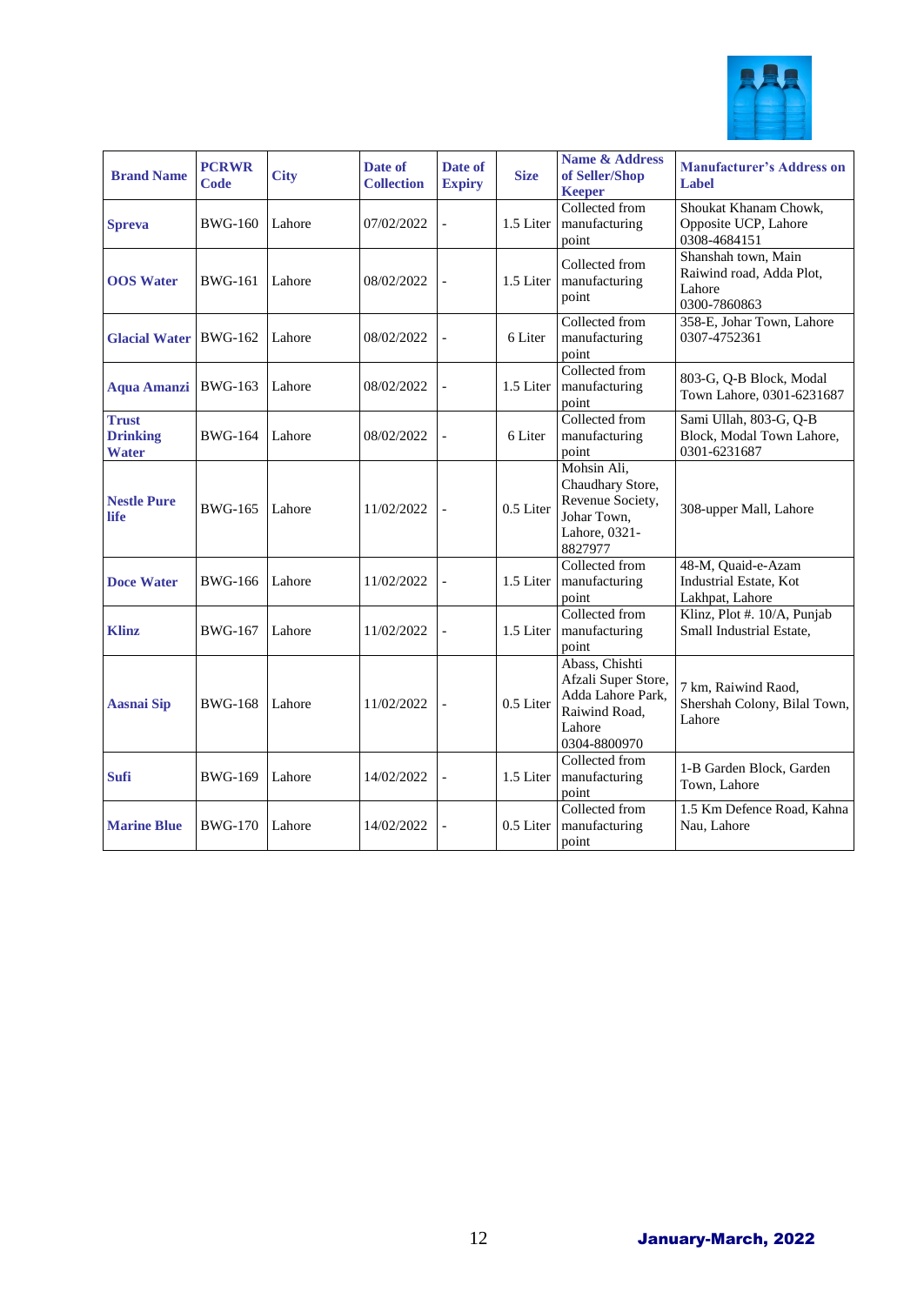

| <b>Brand Name</b>                               | <b>PCRWR</b><br><b>Code</b> | <b>City</b> | Date of<br><b>Collection</b> | Date of<br><b>Expiry</b> | <b>Size</b> | <b>Name &amp; Address</b><br>of Seller/Shop<br><b>Keeper</b>                                          | <b>Manufacturer's Address on</b><br>Label                                 |
|-------------------------------------------------|-----------------------------|-------------|------------------------------|--------------------------|-------------|-------------------------------------------------------------------------------------------------------|---------------------------------------------------------------------------|
| <b>Spreva</b>                                   | <b>BWG-160</b>              | Lahore      | 07/02/2022                   | $\overline{a}$           | 1.5 Liter   | Collected from<br>manufacturing<br>point                                                              | Shoukat Khanam Chowk,<br>Opposite UCP, Lahore<br>0308-4684151             |
| <b>OOS</b> Water                                | <b>BWG-161</b>              | Lahore      | 08/02/2022                   | $\overline{a}$           | 1.5 Liter   | Collected from<br>manufacturing<br>point                                                              | Shanshah town, Main<br>Raiwind road, Adda Plot,<br>Lahore<br>0300-7860863 |
| <b>Glacial Water</b>                            | <b>BWG-162</b>              | Lahore      | 08/02/2022                   | $\overline{a}$           | 6 Liter     | Collected from<br>manufacturing<br>point                                                              | 358-E, Johar Town, Lahore<br>0307-4752361                                 |
| <b>Aqua Amanzi</b>                              | <b>BWG-163</b>              | Lahore      | 08/02/2022                   | $\overline{a}$           | 1.5 Liter   | Collected from<br>manufacturing<br>point                                                              | 803-G, Q-B Block, Modal<br>Town Lahore, 0301-6231687                      |
| <b>Trust</b><br><b>Drinking</b><br><b>Water</b> | <b>BWG-164</b>              | Lahore      | 08/02/2022                   | $\overline{a}$           | 6 Liter     | Collected from<br>manufacturing<br>point                                                              | Sami Ullah, 803-G, Q-B<br>Block, Modal Town Lahore,<br>0301-6231687       |
| <b>Nestle Pure</b><br>life                      | <b>BWG-165</b>              | Lahore      | 11/02/2022                   | $\overline{a}$           | 0.5 Liter   | Mohsin Ali,<br>Chaudhary Store,<br>Revenue Society,<br>Johar Town,<br>Lahore, 0321-<br>8827977        | 308-upper Mall, Lahore                                                    |
| <b>Doce Water</b>                               | <b>BWG-166</b>              | Lahore      | 11/02/2022                   | $\overline{a}$           | 1.5 Liter   | Collected from<br>manufacturing<br>point                                                              | 48-M, Quaid-e-Azam<br>Industrial Estate, Kot<br>Lakhpat, Lahore           |
| <b>Klinz</b>                                    | <b>BWG-167</b>              | Lahore      | 11/02/2022                   | $\overline{a}$           | 1.5 Liter   | Collected from<br>manufacturing<br>point                                                              | Klinz, Plot #. 10/A, Punjab<br>Small Industrial Estate,                   |
| <b>Aasnai Sip</b>                               | <b>BWG-168</b>              | Lahore      | 11/02/2022                   | $\overline{a}$           | 0.5 Liter   | Abass, Chishti<br>Afzali Super Store,<br>Adda Lahore Park,<br>Raiwind Road,<br>Lahore<br>0304-8800970 | 7 km, Raiwind Raod,<br>Shershah Colony, Bilal Town,<br>Lahore             |
| <b>Sufi</b>                                     | <b>BWG-169</b>              | Lahore      | 14/02/2022                   | $\overline{\phantom{0}}$ | 1.5 Liter   | Collected from<br>manufacturing<br>point                                                              | 1-B Garden Block, Garden<br>Town, Lahore                                  |
| <b>Marine Blue</b>                              | <b>BWG-170</b>              | Lahore      | 14/02/2022                   | $\overline{a}$           | 0.5 Liter   | Collected from<br>manufacturing<br>point                                                              | 1.5 Km Defence Road, Kahna<br>Nau, Lahore                                 |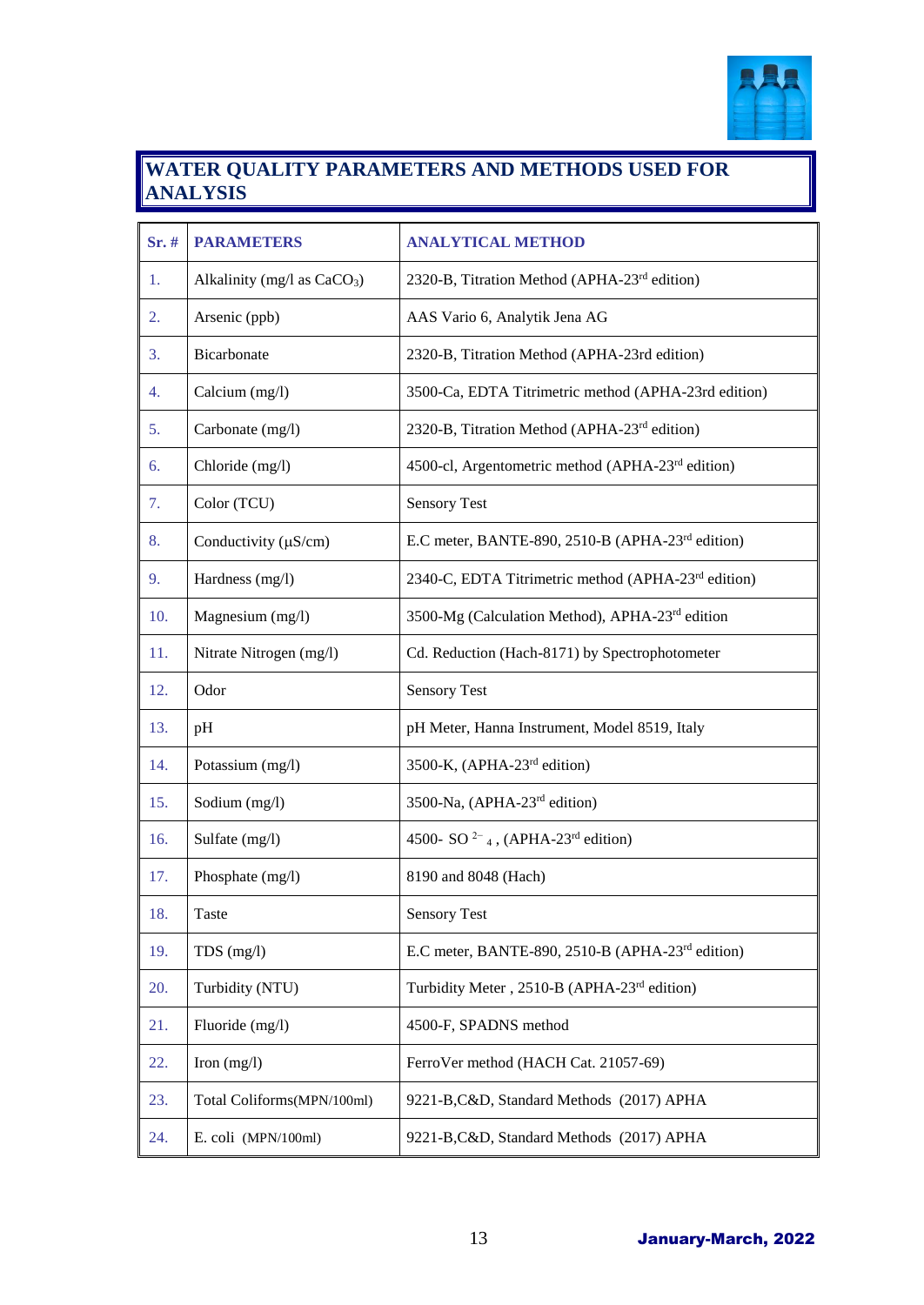

#### **WATER QUALITY PARAMETERS AND METHODS USED FOR ANALYSIS**

| Sr.# | <b>PARAMETERS</b>             | <b>ANALYTICAL METHOD</b>                                              |
|------|-------------------------------|-----------------------------------------------------------------------|
| 1.   | Alkalinity (mg/l as $CaCO3$ ) | 2320-B, Titration Method (APHA-23 <sup>rd</sup> edition)              |
| 2.   | Arsenic (ppb)                 | AAS Vario 6, Analytik Jena AG                                         |
| 3.   | Bicarbonate                   | 2320-B, Titration Method (APHA-23rd edition)                          |
| 4.   | Calcium (mg/l)                | 3500-Ca, EDTA Titrimetric method (APHA-23rd edition)                  |
| 5.   | Carbonate (mg/l)              | 2320-B, Titration Method (APHA-23 <sup>rd</sup> edition)              |
| 6.   | Chloride (mg/l)               | 4500-cl, Argentometric method (APHA-23 <sup>rd</sup> edition)         |
| 7.   | Color (TCU)                   | <b>Sensory Test</b>                                                   |
| 8.   | Conductivity $(\mu S/cm)$     | E.C meter, BANTE-890, 2510-B (APHA-23 <sup>rd</sup> edition)          |
| 9.   | Hardness (mg/l)               | 2340-C, EDTA Titrimetric method (APHA-23 <sup>rd</sup> edition)       |
| 10.  | Magnesium (mg/l)              | 3500-Mg (Calculation Method), APHA-23rd edition                       |
| 11.  | Nitrate Nitrogen (mg/l)       | Cd. Reduction (Hach-8171) by Spectrophotometer                        |
| 12.  | Odor                          | <b>Sensory Test</b>                                                   |
| 13.  | pH                            | pH Meter, Hanna Instrument, Model 8519, Italy                         |
| 14.  | Potassium (mg/l)              | 3500-K, (APHA-23 <sup>rd</sup> edition)                               |
| 15.  | Sodium (mg/l)                 | 3500-Na, (APHA-23 <sup>rd</sup> edition)                              |
| 16.  | Sulfate (mg/l)                | 4500- SO <sup>2-</sup> <sub>4</sub> , (APHA-23 <sup>rd</sup> edition) |
| 17.  | Phosphate (mg/l)              | 8190 and 8048 (Hach)                                                  |
| 18.  | Taste                         | <b>Sensory Test</b>                                                   |
| 19.  | $TDS$ (mg/l)                  | E.C meter, BANTE-890, 2510-B (APHA-23 <sup>rd</sup> edition)          |
| 20.  | Turbidity (NTU)               | Turbidity Meter, 2510-B (APHA-23rd edition)                           |
| 21.  | Fluoride (mg/l)               | 4500-F, SPADNS method                                                 |
| 22.  | Iron $(mg/l)$                 | FerroVer method (HACH Cat. 21057-69)                                  |
| 23.  | Total Coliforms(MPN/100ml)    | 9221-B, C&D, Standard Methods (2017) APHA                             |
| 24.  | E. coli (MPN/100ml)           | 9221-B, C&D, Standard Methods (2017) APHA                             |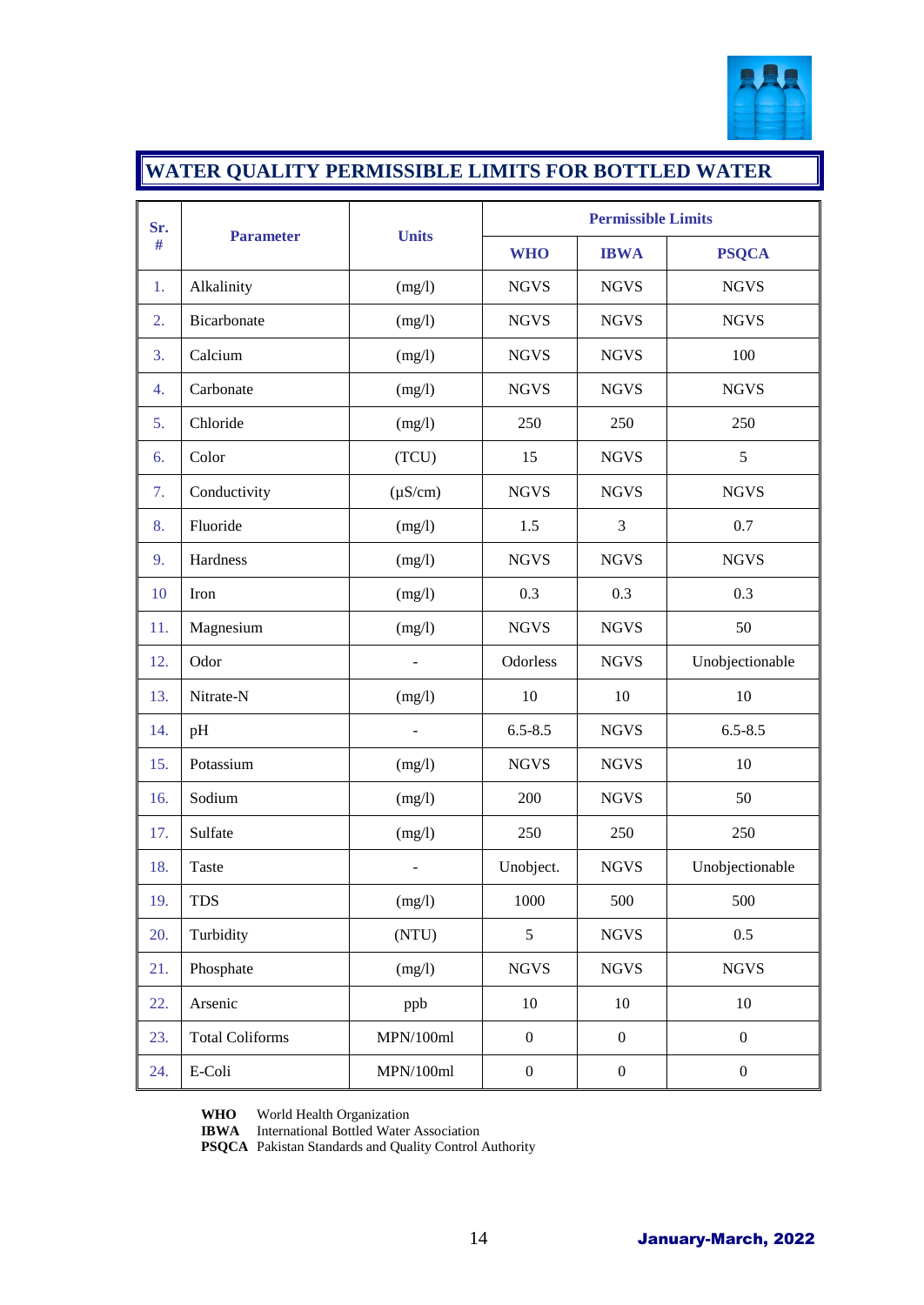

# **WATER QUALITY PERMISSIBLE LIMITS FOR BOTTLED WATER**

| Sr. | <b>Parameter</b>       |              | <b>Permissible Limits</b> |                  |                  |  |
|-----|------------------------|--------------|---------------------------|------------------|------------------|--|
| #   |                        | <b>Units</b> | <b>WHO</b>                | <b>IBWA</b>      | <b>PSQCA</b>     |  |
| 1.  | Alkalinity             | (mg/l)       | <b>NGVS</b>               | <b>NGVS</b>      | <b>NGVS</b>      |  |
| 2.  | Bicarbonate            | (mg/l)       | <b>NGVS</b>               | <b>NGVS</b>      | <b>NGVS</b>      |  |
| 3.  | Calcium                | (mg/l)       | <b>NGVS</b>               | <b>NGVS</b>      | 100              |  |
| 4.  | Carbonate              | (mg/l)       | <b>NGVS</b>               | <b>NGVS</b>      | <b>NGVS</b>      |  |
| 5.  | Chloride               | (mg/l)       | 250                       | 250              | 250              |  |
| 6.  | Color                  | (TCU)        | 15                        | <b>NGVS</b>      | 5                |  |
| 7.  | Conductivity           | $(\mu S/cm)$ | <b>NGVS</b>               | <b>NGVS</b>      | <b>NGVS</b>      |  |
| 8.  | Fluoride               | (mg/l)       | 1.5                       | 3                | 0.7              |  |
| 9.  | Hardness               | (mg/l)       | <b>NGVS</b>               | <b>NGVS</b>      | <b>NGVS</b>      |  |
| 10  | Iron                   | (mg/l)       | 0.3                       | 0.3              | 0.3              |  |
| 11. | Magnesium              | (mg/l)       | <b>NGVS</b>               | <b>NGVS</b>      | 50               |  |
| 12. | Odor                   |              | Odorless                  | <b>NGVS</b>      | Unobjectionable  |  |
| 13. | Nitrate-N              | (mg/l)       | 10                        | 10               | 10               |  |
| 14. | pH                     |              | $6.5 - 8.5$               | <b>NGVS</b>      | $6.5 - 8.5$      |  |
| 15. | Potassium              | (mg/l)       | <b>NGVS</b>               | <b>NGVS</b>      | 10               |  |
| 16. | Sodium                 | (mg/l)       | 200                       | <b>NGVS</b>      | 50               |  |
| 17. | Sulfate                | (mg/l)       | 250                       | 250              | 250              |  |
| 18. | Taste                  |              | Unobject.                 | <b>NGVS</b>      | Unobjectionable  |  |
| 19. | <b>TDS</b>             | (mg/l)       | 1000                      | 500              | 500              |  |
| 20. | Turbidity              | (NTU)        | 5                         | <b>NGVS</b>      | 0.5              |  |
| 21. | Phosphate              | (mg/l)       | <b>NGVS</b>               | <b>NGVS</b>      | <b>NGVS</b>      |  |
| 22. | Arsenic                | ppb          | $10\,$                    | $10\,$           | 10               |  |
| 23. | <b>Total Coliforms</b> | MPN/100ml    | $\boldsymbol{0}$          | $\boldsymbol{0}$ | $\boldsymbol{0}$ |  |
| 24. | E-Coli                 | MPN/100ml    | $\boldsymbol{0}$          | $\boldsymbol{0}$ | $\boldsymbol{0}$ |  |

**WHO** World Health Organization

**IBWA** International Bottled Water Association

**PSQCA** Pakistan Standards and Quality Control Authority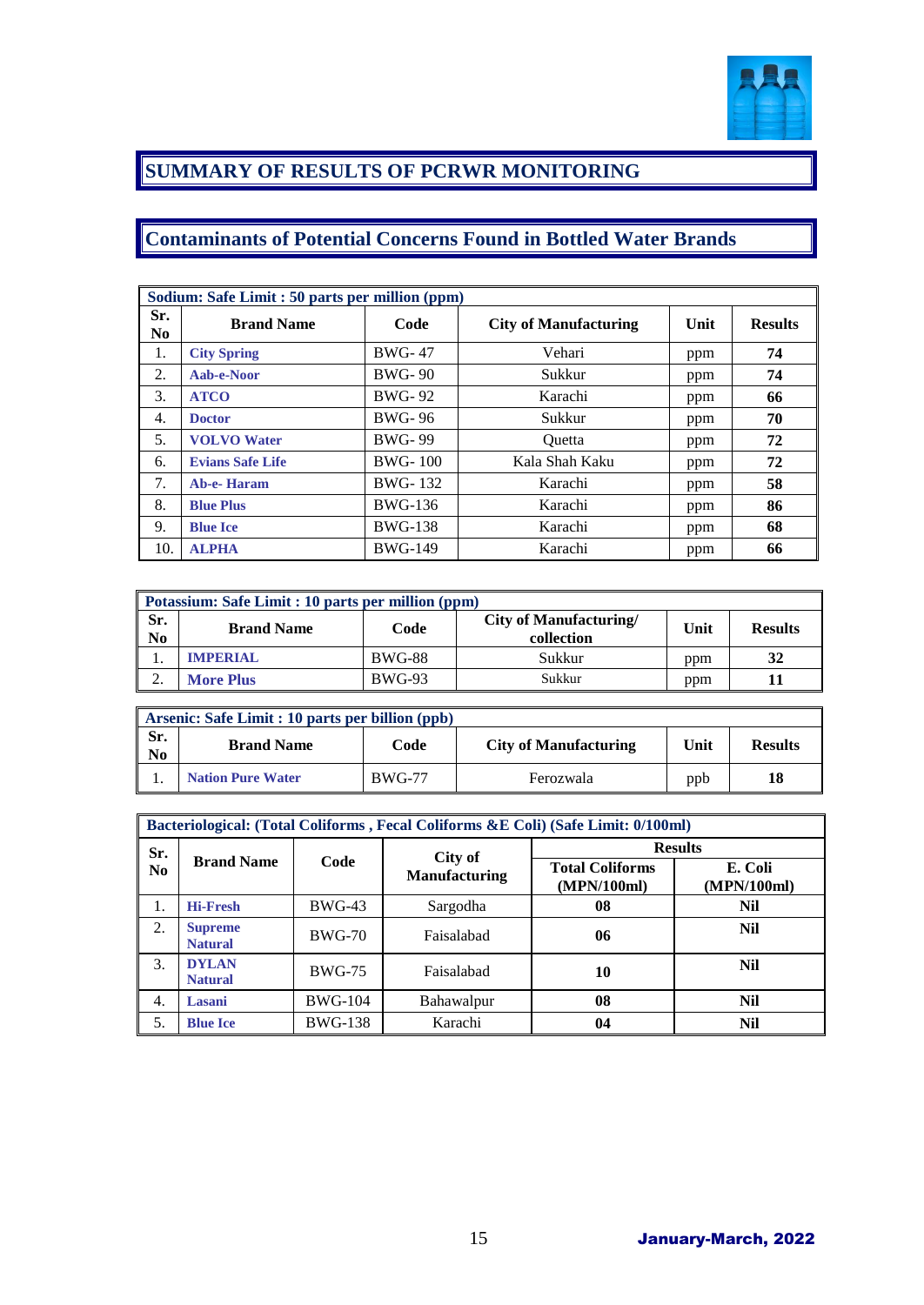

### **SUMMARY OF RESULTS OF PCRWR MONITORING**

### **Contaminants of Potential Concerns Found in Bottled Water Brands**

|                       | Sodium: Safe Limit : 50 parts per million (ppm) |                |                              |      |                |  |  |  |
|-----------------------|-------------------------------------------------|----------------|------------------------------|------|----------------|--|--|--|
| Sr.<br>N <sub>0</sub> | <b>Brand Name</b>                               | Code           | <b>City of Manufacturing</b> | Unit | <b>Results</b> |  |  |  |
| 1.                    | <b>City Spring</b>                              | <b>BWG-47</b>  | Vehari                       | ppm  | 74             |  |  |  |
| 2.                    | Aab-e-Noor                                      | <b>BWG-90</b>  | Sukkur                       | ppm  | 74             |  |  |  |
| 3.                    | <b>ATCO</b>                                     | <b>BWG-92</b>  | Karachi                      | ppm  | 66             |  |  |  |
| 4.                    | <b>Doctor</b>                                   | <b>BWG-96</b>  | Sukkur                       | ppm  | 70             |  |  |  |
| 5.                    | <b>VOLVO</b> Water                              | <b>BWG-99</b>  | Ouetta                       | ppm  | 72             |  |  |  |
| 6.                    | <b>Evians Safe Life</b>                         | <b>BWG-100</b> | Kala Shah Kaku               | ppm  | 72             |  |  |  |
| 7.                    | <b>Ab-e-Haram</b>                               | <b>BWG-132</b> | Karachi                      | ppm  | 58             |  |  |  |
| 8.                    | <b>Blue Plus</b>                                | <b>BWG-136</b> | Karachi                      | ppm  | 86             |  |  |  |
| 9.                    | <b>Blue Ice</b>                                 | <b>BWG-138</b> | Karachi                      | ppm  | 68             |  |  |  |
| 10.                   | <b>ALPHA</b>                                    | <b>BWG-149</b> | Karachi                      | ppm  | 66             |  |  |  |

|                       | Potassium: Safe Limit : 10 parts per million (ppm) |               |                                             |      |                |  |  |  |
|-----------------------|----------------------------------------------------|---------------|---------------------------------------------|------|----------------|--|--|--|
| Sr.<br>N <sub>0</sub> | <b>Brand Name</b>                                  | Code          | <b>City of Manufacturing/</b><br>collection | Unit | <b>Results</b> |  |  |  |
|                       | <b>IMPERIAL</b>                                    | <b>BWG-88</b> | Sukkur                                      | ppm  | 32             |  |  |  |
| ◠                     | <b>More Plus</b>                                   | <b>BWG-93</b> | Sukkur                                      | ppm  |                |  |  |  |

|                       | $\parallel$ Arsenic: Safe Limit : 10 parts per billion (ppb) |               |                              |      |                |  |  |  |
|-----------------------|--------------------------------------------------------------|---------------|------------------------------|------|----------------|--|--|--|
| Sr.<br>N <sub>0</sub> | <b>Brand Name</b>                                            | Code          | <b>City of Manufacturing</b> | Unit | <b>Results</b> |  |  |  |
|                       | <b>Nation Pure Water</b>                                     | <b>BWG-77</b> | Ferozwala                    | ppb  | 18             |  |  |  |

|                | Bacteriological: (Total Coliforms, Fecal Coliforms &E Coli) (Safe Limit: 0/100ml) |                |                      |                                       |                        |  |  |
|----------------|-----------------------------------------------------------------------------------|----------------|----------------------|---------------------------------------|------------------------|--|--|
| Sr.            |                                                                                   |                | City of              | <b>Results</b>                        |                        |  |  |
| N <sub>0</sub> | <b>Brand Name</b>                                                                 | Code           | <b>Manufacturing</b> | <b>Total Coliforms</b><br>(MPN/100ml) | E. Coli<br>(MPN/100ml) |  |  |
| 1.             | <b>Hi-Fresh</b>                                                                   | $BWG-43$       | Sargodha             | 08                                    | Nil                    |  |  |
| 2.             | <b>Supreme</b><br><b>Natural</b>                                                  | <b>BWG-70</b>  | Faisalabad           | 06                                    | Nil                    |  |  |
| 3.             | <b>DYLAN</b><br><b>Natural</b>                                                    | <b>BWG-75</b>  | Faisalabad           | 10                                    | Nil                    |  |  |
| 4.             | Lasani                                                                            | <b>BWG-104</b> | Bahawalpur           | 08                                    | Nil                    |  |  |
| 5.             | <b>Blue Ice</b>                                                                   | <b>BWG-138</b> | Karachi              | 04                                    | Nil                    |  |  |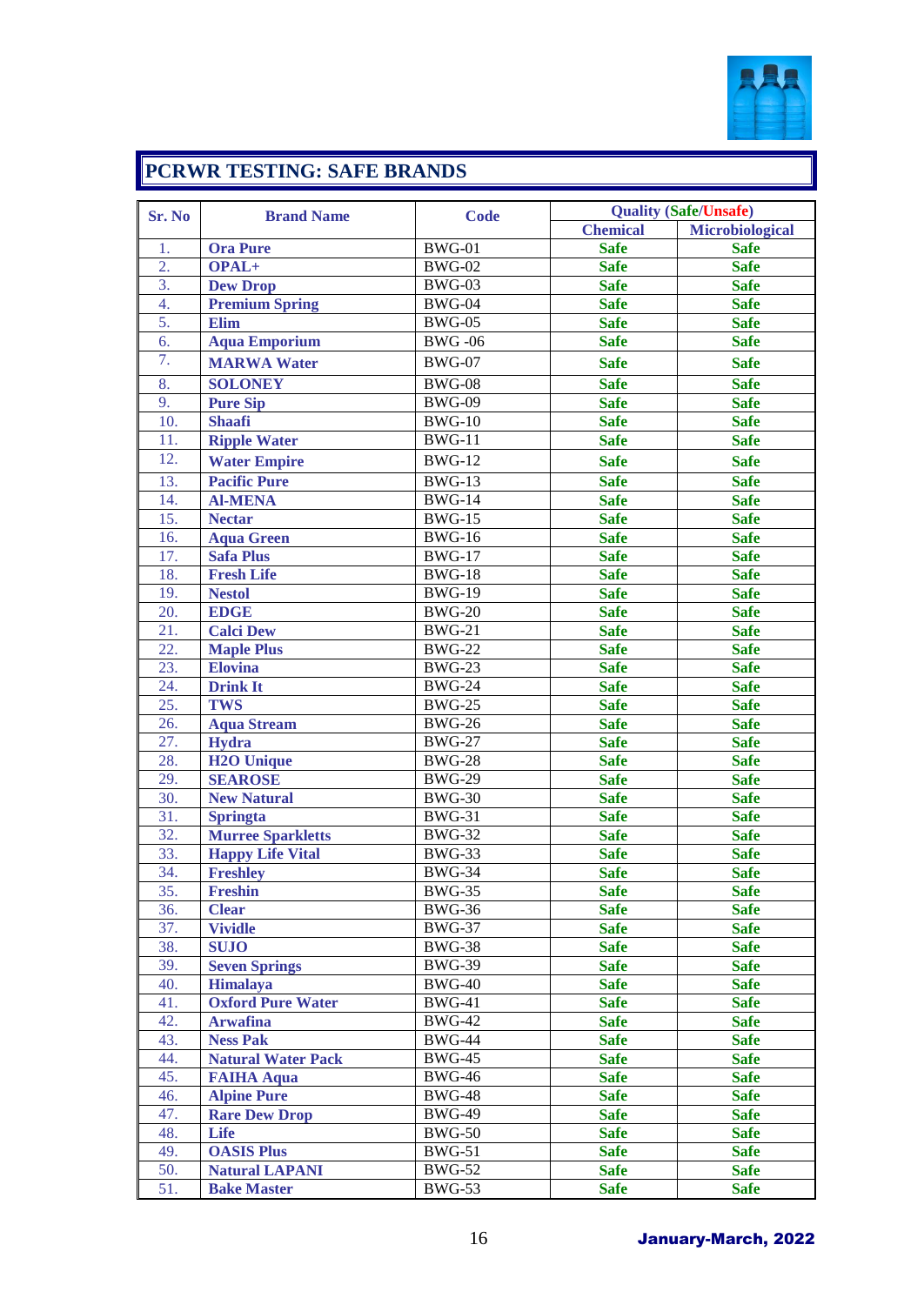

# **PCRWR TESTING: SAFE BRANDS**

| Sr. No           | <b>Brand Name</b>         | <b>Code</b>   |                 | <b>Quality (Safe/Unsafe)</b> |
|------------------|---------------------------|---------------|-----------------|------------------------------|
|                  |                           |               | <b>Chemical</b> | <b>Microbiological</b>       |
| 1.               | <b>Ora Pure</b>           | <b>BWG-01</b> | <b>Safe</b>     | <b>Safe</b>                  |
| $\overline{2}$ . | OPAL+                     | <b>BWG-02</b> | <b>Safe</b>     | <b>Safe</b>                  |
| 3.               | <b>Dew Drop</b>           | <b>BWG-03</b> | <b>Safe</b>     | <b>Safe</b>                  |
| $\overline{4}$ . | <b>Premium Spring</b>     | <b>BWG-04</b> | <b>Safe</b>     | <b>Safe</b>                  |
| 5.               | Elim                      | <b>BWG-05</b> | <b>Safe</b>     | <b>Safe</b>                  |
| 6.               | <b>Aqua Emporium</b>      | <b>BWG-06</b> | <b>Safe</b>     | <b>Safe</b>                  |
| 7.               | <b>MARWA Water</b>        | <b>BWG-07</b> | <b>Safe</b>     | <b>Safe</b>                  |
| 8.               | <b>SOLONEY</b>            | <b>BWG-08</b> | <b>Safe</b>     | <b>Safe</b>                  |
| 9.               | <b>Pure Sip</b>           | <b>BWG-09</b> | <b>Safe</b>     | <b>Safe</b>                  |
| 10.              | <b>Shaafi</b>             | <b>BWG-10</b> | <b>Safe</b>     | <b>Safe</b>                  |
| 11.              | <b>Ripple Water</b>       | <b>BWG-11</b> | <b>Safe</b>     | <b>Safe</b>                  |
| 12.              | <b>Water Empire</b>       | <b>BWG-12</b> | <b>Safe</b>     | <b>Safe</b>                  |
| 13.              | <b>Pacific Pure</b>       | $BWG-13$      | <b>Safe</b>     | <b>Safe</b>                  |
| 14.              | <b>Al-MENA</b>            | <b>BWG-14</b> | <b>Safe</b>     | <b>Safe</b>                  |
| 15.              | <b>Nectar</b>             | <b>BWG-15</b> | <b>Safe</b>     | <b>Safe</b>                  |
| 16.              | <b>Aqua Green</b>         | <b>BWG-16</b> | <b>Safe</b>     | <b>Safe</b>                  |
| 17.              | <b>Safa Plus</b>          | <b>BWG-17</b> | <b>Safe</b>     | <b>Safe</b>                  |
| 18.              | <b>Fresh Life</b>         | <b>BWG-18</b> | <b>Safe</b>     | <b>Safe</b>                  |
| 19.              | <b>Nestol</b>             | <b>BWG-19</b> | <b>Safe</b>     | <b>Safe</b>                  |
| 20.              | <b>EDGE</b>               | <b>BWG-20</b> | <b>Safe</b>     | <b>Safe</b>                  |
| 21.              | <b>Calci Dew</b>          | <b>BWG-21</b> | <b>Safe</b>     | <b>Safe</b>                  |
| 22.              | <b>Maple Plus</b>         | <b>BWG-22</b> | <b>Safe</b>     | <b>Safe</b>                  |
| 23.              | <b>Elovina</b>            | <b>BWG-23</b> | <b>Safe</b>     | <b>Safe</b>                  |
| 24.              | <b>Drink It</b>           | <b>BWG-24</b> | <b>Safe</b>     | <b>Safe</b>                  |
| 25.              | <b>TWS</b>                | <b>BWG-25</b> | <b>Safe</b>     | <b>Safe</b>                  |
| 26.              | <b>Aqua Stream</b>        | <b>BWG-26</b> | <b>Safe</b>     | <b>Safe</b>                  |
| 27.              | Hydra                     | <b>BWG-27</b> | <b>Safe</b>     | <b>Safe</b>                  |
| 28.              | <b>H2O Unique</b>         | <b>BWG-28</b> | <b>Safe</b>     | <b>Safe</b>                  |
| 29.              | <b>SEAROSE</b>            | <b>BWG-29</b> | <b>Safe</b>     | <b>Safe</b>                  |
| 30.              | <b>New Natural</b>        | <b>BWG-30</b> | <b>Safe</b>     | <b>Safe</b>                  |
| 31.              | <b>Springta</b>           | <b>BWG-31</b> | <b>Safe</b>     | <b>Safe</b>                  |
| 32.              | <b>Murree Sparkletts</b>  | <b>BWG-32</b> | <b>Safe</b>     | <b>Safe</b>                  |
| 33.              | <b>Happy Life Vital</b>   | <b>BWG-33</b> | <b>Safe</b>     | <b>Safe</b>                  |
| 34.              | <b>Freshley</b>           | <b>BWG-34</b> | <b>Safe</b>     | <b>Safe</b>                  |
| 35.              | Freshin                   | <b>BWG-35</b> | <b>Safe</b>     | <b>Safe</b>                  |
| 36.              | <b>Clear</b>              | <b>BWG-36</b> | <b>Safe</b>     | <b>Safe</b>                  |
| 37.              | <b>Vividle</b>            | <b>BWG-37</b> | <b>Safe</b>     | <b>Safe</b>                  |
| 38.              | <b>SUJO</b>               | <b>BWG-38</b> | <b>Safe</b>     | <b>Safe</b>                  |
| 39.              | <b>Seven Springs</b>      | <b>BWG-39</b> | <b>Safe</b>     | <b>Safe</b>                  |
| 40.              | <b>Himalaya</b>           | <b>BWG-40</b> | <b>Safe</b>     | <b>Safe</b>                  |
| 41.              | <b>Oxford Pure Water</b>  | <b>BWG-41</b> | <b>Safe</b>     | <b>Safe</b>                  |
| 42.              | <b>Arwafina</b>           | <b>BWG-42</b> | <b>Safe</b>     | <b>Safe</b>                  |
| 43.              | <b>Ness Pak</b>           | <b>BWG-44</b> | <b>Safe</b>     | <b>Safe</b>                  |
| 44.              | <b>Natural Water Pack</b> | <b>BWG-45</b> | <b>Safe</b>     | <b>Safe</b>                  |
| 45.              | <b>FAIHA Aqua</b>         | <b>BWG-46</b> | <b>Safe</b>     | <b>Safe</b>                  |
| 46.              | <b>Alpine Pure</b>        | <b>BWG-48</b> | <b>Safe</b>     | <b>Safe</b>                  |
| 47.              | <b>Rare Dew Drop</b>      | <b>BWG-49</b> | <b>Safe</b>     | <b>Safe</b>                  |
| 48.              | Life                      | <b>BWG-50</b> | <b>Safe</b>     | <b>Safe</b>                  |
| 49.              | <b>OASIS Plus</b>         | <b>BWG-51</b> | <b>Safe</b>     | <b>Safe</b>                  |
| 50.              | <b>Natural LAPANI</b>     | <b>BWG-52</b> | <b>Safe</b>     | <b>Safe</b>                  |
| 51.              | <b>Bake Master</b>        | <b>BWG-53</b> | <b>Safe</b>     | <b>Safe</b>                  |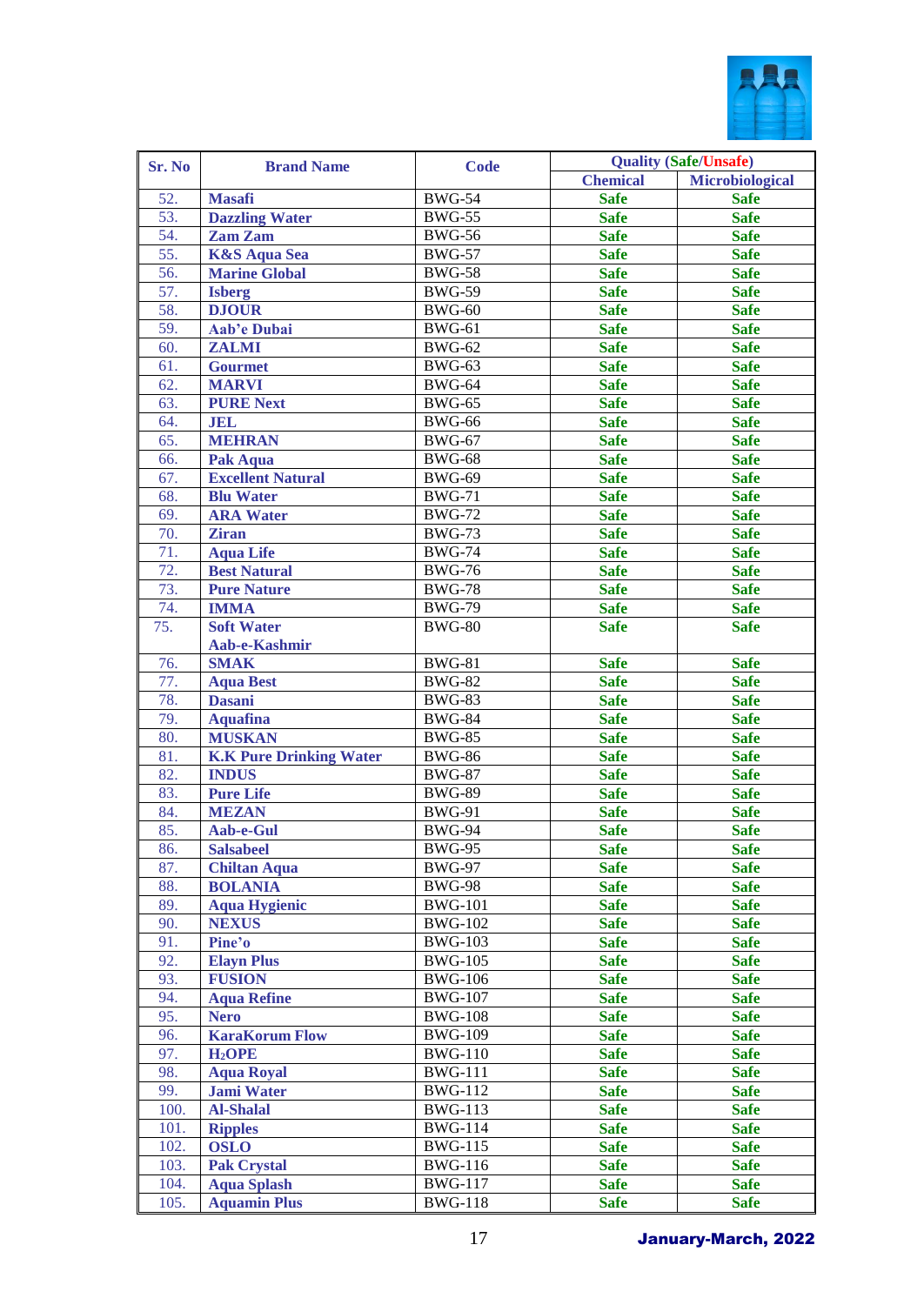

| Sr. No<br><b>Brand Name</b><br><b>Chemical</b><br><b>Masafi</b><br><b>BWG-54</b><br>52.<br><b>Safe</b><br>53.<br><b>Dazzling Water</b><br><b>BWG-55</b><br><b>Safe</b><br>54.<br>Zam Zam<br><b>BWG-56</b><br><b>Safe</b><br>55.<br><b>K&amp;S Aqua Sea</b><br><b>BWG-57</b><br><b>Safe</b><br>56.<br><b>Marine Global</b><br><b>BWG-58</b><br><b>Safe</b><br>57.<br><b>BWG-59</b><br><b>Safe</b><br><b>Isberg</b><br>58.<br><b>DJOUR</b><br><b>Safe</b><br><b>BWG-60</b><br>59.<br>Aab'e Dubai<br><b>BWG-61</b><br><b>Safe</b><br><b>BWG-62</b><br><b>Safe</b><br>60.<br><b>ZALMI</b><br><b>Safe</b><br><b>BWG-63</b><br>61.<br><b>Gourmet</b><br><b>Safe</b><br>62.<br><b>MARVI</b><br><b>BWG-64</b><br><b>BWG-65</b><br><b>Safe</b><br>63.<br><b>PURE Next</b><br><b>BWG-66</b><br><b>Safe</b><br><b>JEL</b><br>64.<br><b>MEHRAN</b><br><b>Safe</b><br>65.<br><b>BWG-67</b><br><b>Safe</b><br>Pak Aqua<br><b>BWG-68</b><br>66.<br><b>Safe</b><br><b>Excellent Natural</b><br><b>BWG-69</b><br>67.<br><b>BWG-71</b><br><b>Safe</b><br>68.<br><b>Blu Water</b><br><b>BWG-72</b><br><b>Safe</b><br>69.<br><b>ARA Water</b><br><b>Safe</b><br>70.<br><b>BWG-73</b><br><b>Ziran</b><br><b>Aqua Life</b><br><b>BWG-74</b><br><b>Safe</b><br>71.<br>72.<br><b>BWG-76</b><br><b>Safe</b><br><b>Best Natural</b><br>73.<br><b>BWG-78</b><br><b>Safe</b><br><b>Pure Nature</b><br><b>IMMA</b><br><b>BWG-79</b><br><b>Safe</b><br>74.<br><b>Soft Water</b><br>75.<br><b>BWG-80</b><br><b>Safe</b><br>Aab-e-Kashmir<br>76.<br><b>SMAK</b><br><b>Safe</b><br><b>BWG-81</b><br>77.<br><b>BWG-82</b><br><b>Safe</b><br><b>Aqua Best</b><br>78.<br><b>BWG-83</b><br><b>Safe</b><br><b>Dasani</b><br>79.<br><b>BWG-84</b><br><b>Safe</b><br><b>Aquafina</b><br>80.<br><b>MUSKAN</b><br><b>BWG-85</b><br><b>Safe</b><br>81.<br><b>K.K Pure Drinking Water</b><br><b>BWG-86</b><br><b>Safe</b><br>82.<br><b>INDUS</b><br><b>BWG-87</b><br><b>Safe</b><br>83.<br><b>Pure Life</b><br><b>BWG-89</b><br><b>Safe</b><br>84.<br><b>MEZAN</b><br><b>BWG-91</b><br><b>Safe</b><br>85.<br><b>BWG-94</b><br><b>Safe</b><br>Aab-e-Gul<br>86.<br><b>Salsabeel</b><br><b>BWG-95</b><br><b>Safe</b><br>87.<br><b>BWG-97</b><br><b>Safe</b><br><b>Chiltan Aqua</b><br>88.<br><b>BOLANIA</b><br><b>BWG-98</b><br><b>Safe</b><br>89.<br><b>BWG-101</b><br><b>Aqua Hygienic</b><br><b>Safe</b><br>90.<br><b>NEXUS</b><br><b>BWG-102</b><br><b>Safe</b><br>91.<br><b>BWG-103</b><br>Pine'o<br><b>Safe</b><br>92.<br>$\overline{\text{BWG}}$ -105<br><b>Elayn Plus</b><br><b>Safe</b><br>93.<br><b>FUSION</b><br><b>BWG-106</b><br><b>Safe</b><br>94.<br><b>BWG-107</b><br><b>Safe</b><br><b>Aqua Refine</b><br>95.<br>$\overline{\text{BWG}}$ -108<br><b>Safe</b><br><b>Nero</b><br>96.<br><b>BWG-109</b><br><b>KaraKorum Flow</b><br><b>Safe</b><br>97.<br><b>BWG-110</b><br>H <sub>2</sub> OPE<br><b>Safe</b><br>98.<br><b>BWG-111</b><br><b>Aqua Royal</b><br><b>Safe</b><br>99.<br><b>BWG-112</b><br><b>Jami Water</b><br><b>Safe</b><br>$\overline{\text{BW}}$ G-113<br>100.<br><b>Al-Shalal</b><br><b>Safe</b><br>$\overline{\text{BW}}$ G-114<br>101.<br><b>Safe</b><br><b>Ripples</b> | <b>Quality (Safe/Unsafe)</b> |
|------------------------------------------------------------------------------------------------------------------------------------------------------------------------------------------------------------------------------------------------------------------------------------------------------------------------------------------------------------------------------------------------------------------------------------------------------------------------------------------------------------------------------------------------------------------------------------------------------------------------------------------------------------------------------------------------------------------------------------------------------------------------------------------------------------------------------------------------------------------------------------------------------------------------------------------------------------------------------------------------------------------------------------------------------------------------------------------------------------------------------------------------------------------------------------------------------------------------------------------------------------------------------------------------------------------------------------------------------------------------------------------------------------------------------------------------------------------------------------------------------------------------------------------------------------------------------------------------------------------------------------------------------------------------------------------------------------------------------------------------------------------------------------------------------------------------------------------------------------------------------------------------------------------------------------------------------------------------------------------------------------------------------------------------------------------------------------------------------------------------------------------------------------------------------------------------------------------------------------------------------------------------------------------------------------------------------------------------------------------------------------------------------------------------------------------------------------------------------------------------------------------------------------------------------------------------------------------------------------------------------------------------------------------------------------------------------------------------------------------------------------------------------------------------------------------------------------------------------------------------------------------------------------------------------------------------------------------------------------------------------------------------------------------------------------------------------------------------------------------------------------------------------------|------------------------------|
|                                                                                                                                                                                                                                                                                                                                                                                                                                                                                                                                                                                                                                                                                                                                                                                                                                                                                                                                                                                                                                                                                                                                                                                                                                                                                                                                                                                                                                                                                                                                                                                                                                                                                                                                                                                                                                                                                                                                                                                                                                                                                                                                                                                                                                                                                                                                                                                                                                                                                                                                                                                                                                                                                                                                                                                                                                                                                                                                                                                                                                                                                                                                                            | <b>Microbiological</b>       |
|                                                                                                                                                                                                                                                                                                                                                                                                                                                                                                                                                                                                                                                                                                                                                                                                                                                                                                                                                                                                                                                                                                                                                                                                                                                                                                                                                                                                                                                                                                                                                                                                                                                                                                                                                                                                                                                                                                                                                                                                                                                                                                                                                                                                                                                                                                                                                                                                                                                                                                                                                                                                                                                                                                                                                                                                                                                                                                                                                                                                                                                                                                                                                            | <b>Safe</b>                  |
|                                                                                                                                                                                                                                                                                                                                                                                                                                                                                                                                                                                                                                                                                                                                                                                                                                                                                                                                                                                                                                                                                                                                                                                                                                                                                                                                                                                                                                                                                                                                                                                                                                                                                                                                                                                                                                                                                                                                                                                                                                                                                                                                                                                                                                                                                                                                                                                                                                                                                                                                                                                                                                                                                                                                                                                                                                                                                                                                                                                                                                                                                                                                                            | <b>Safe</b>                  |
|                                                                                                                                                                                                                                                                                                                                                                                                                                                                                                                                                                                                                                                                                                                                                                                                                                                                                                                                                                                                                                                                                                                                                                                                                                                                                                                                                                                                                                                                                                                                                                                                                                                                                                                                                                                                                                                                                                                                                                                                                                                                                                                                                                                                                                                                                                                                                                                                                                                                                                                                                                                                                                                                                                                                                                                                                                                                                                                                                                                                                                                                                                                                                            | <b>Safe</b>                  |
|                                                                                                                                                                                                                                                                                                                                                                                                                                                                                                                                                                                                                                                                                                                                                                                                                                                                                                                                                                                                                                                                                                                                                                                                                                                                                                                                                                                                                                                                                                                                                                                                                                                                                                                                                                                                                                                                                                                                                                                                                                                                                                                                                                                                                                                                                                                                                                                                                                                                                                                                                                                                                                                                                                                                                                                                                                                                                                                                                                                                                                                                                                                                                            | <b>Safe</b>                  |
|                                                                                                                                                                                                                                                                                                                                                                                                                                                                                                                                                                                                                                                                                                                                                                                                                                                                                                                                                                                                                                                                                                                                                                                                                                                                                                                                                                                                                                                                                                                                                                                                                                                                                                                                                                                                                                                                                                                                                                                                                                                                                                                                                                                                                                                                                                                                                                                                                                                                                                                                                                                                                                                                                                                                                                                                                                                                                                                                                                                                                                                                                                                                                            | <b>Safe</b>                  |
|                                                                                                                                                                                                                                                                                                                                                                                                                                                                                                                                                                                                                                                                                                                                                                                                                                                                                                                                                                                                                                                                                                                                                                                                                                                                                                                                                                                                                                                                                                                                                                                                                                                                                                                                                                                                                                                                                                                                                                                                                                                                                                                                                                                                                                                                                                                                                                                                                                                                                                                                                                                                                                                                                                                                                                                                                                                                                                                                                                                                                                                                                                                                                            | <b>Safe</b>                  |
|                                                                                                                                                                                                                                                                                                                                                                                                                                                                                                                                                                                                                                                                                                                                                                                                                                                                                                                                                                                                                                                                                                                                                                                                                                                                                                                                                                                                                                                                                                                                                                                                                                                                                                                                                                                                                                                                                                                                                                                                                                                                                                                                                                                                                                                                                                                                                                                                                                                                                                                                                                                                                                                                                                                                                                                                                                                                                                                                                                                                                                                                                                                                                            | <b>Safe</b>                  |
|                                                                                                                                                                                                                                                                                                                                                                                                                                                                                                                                                                                                                                                                                                                                                                                                                                                                                                                                                                                                                                                                                                                                                                                                                                                                                                                                                                                                                                                                                                                                                                                                                                                                                                                                                                                                                                                                                                                                                                                                                                                                                                                                                                                                                                                                                                                                                                                                                                                                                                                                                                                                                                                                                                                                                                                                                                                                                                                                                                                                                                                                                                                                                            | <b>Safe</b>                  |
|                                                                                                                                                                                                                                                                                                                                                                                                                                                                                                                                                                                                                                                                                                                                                                                                                                                                                                                                                                                                                                                                                                                                                                                                                                                                                                                                                                                                                                                                                                                                                                                                                                                                                                                                                                                                                                                                                                                                                                                                                                                                                                                                                                                                                                                                                                                                                                                                                                                                                                                                                                                                                                                                                                                                                                                                                                                                                                                                                                                                                                                                                                                                                            | <b>Safe</b>                  |
|                                                                                                                                                                                                                                                                                                                                                                                                                                                                                                                                                                                                                                                                                                                                                                                                                                                                                                                                                                                                                                                                                                                                                                                                                                                                                                                                                                                                                                                                                                                                                                                                                                                                                                                                                                                                                                                                                                                                                                                                                                                                                                                                                                                                                                                                                                                                                                                                                                                                                                                                                                                                                                                                                                                                                                                                                                                                                                                                                                                                                                                                                                                                                            | <b>Safe</b>                  |
|                                                                                                                                                                                                                                                                                                                                                                                                                                                                                                                                                                                                                                                                                                                                                                                                                                                                                                                                                                                                                                                                                                                                                                                                                                                                                                                                                                                                                                                                                                                                                                                                                                                                                                                                                                                                                                                                                                                                                                                                                                                                                                                                                                                                                                                                                                                                                                                                                                                                                                                                                                                                                                                                                                                                                                                                                                                                                                                                                                                                                                                                                                                                                            | <b>Safe</b>                  |
|                                                                                                                                                                                                                                                                                                                                                                                                                                                                                                                                                                                                                                                                                                                                                                                                                                                                                                                                                                                                                                                                                                                                                                                                                                                                                                                                                                                                                                                                                                                                                                                                                                                                                                                                                                                                                                                                                                                                                                                                                                                                                                                                                                                                                                                                                                                                                                                                                                                                                                                                                                                                                                                                                                                                                                                                                                                                                                                                                                                                                                                                                                                                                            | <b>Safe</b>                  |
|                                                                                                                                                                                                                                                                                                                                                                                                                                                                                                                                                                                                                                                                                                                                                                                                                                                                                                                                                                                                                                                                                                                                                                                                                                                                                                                                                                                                                                                                                                                                                                                                                                                                                                                                                                                                                                                                                                                                                                                                                                                                                                                                                                                                                                                                                                                                                                                                                                                                                                                                                                                                                                                                                                                                                                                                                                                                                                                                                                                                                                                                                                                                                            | <b>Safe</b>                  |
|                                                                                                                                                                                                                                                                                                                                                                                                                                                                                                                                                                                                                                                                                                                                                                                                                                                                                                                                                                                                                                                                                                                                                                                                                                                                                                                                                                                                                                                                                                                                                                                                                                                                                                                                                                                                                                                                                                                                                                                                                                                                                                                                                                                                                                                                                                                                                                                                                                                                                                                                                                                                                                                                                                                                                                                                                                                                                                                                                                                                                                                                                                                                                            | <b>Safe</b>                  |
|                                                                                                                                                                                                                                                                                                                                                                                                                                                                                                                                                                                                                                                                                                                                                                                                                                                                                                                                                                                                                                                                                                                                                                                                                                                                                                                                                                                                                                                                                                                                                                                                                                                                                                                                                                                                                                                                                                                                                                                                                                                                                                                                                                                                                                                                                                                                                                                                                                                                                                                                                                                                                                                                                                                                                                                                                                                                                                                                                                                                                                                                                                                                                            | <b>Safe</b>                  |
|                                                                                                                                                                                                                                                                                                                                                                                                                                                                                                                                                                                                                                                                                                                                                                                                                                                                                                                                                                                                                                                                                                                                                                                                                                                                                                                                                                                                                                                                                                                                                                                                                                                                                                                                                                                                                                                                                                                                                                                                                                                                                                                                                                                                                                                                                                                                                                                                                                                                                                                                                                                                                                                                                                                                                                                                                                                                                                                                                                                                                                                                                                                                                            | <b>Safe</b>                  |
|                                                                                                                                                                                                                                                                                                                                                                                                                                                                                                                                                                                                                                                                                                                                                                                                                                                                                                                                                                                                                                                                                                                                                                                                                                                                                                                                                                                                                                                                                                                                                                                                                                                                                                                                                                                                                                                                                                                                                                                                                                                                                                                                                                                                                                                                                                                                                                                                                                                                                                                                                                                                                                                                                                                                                                                                                                                                                                                                                                                                                                                                                                                                                            | <b>Safe</b>                  |
|                                                                                                                                                                                                                                                                                                                                                                                                                                                                                                                                                                                                                                                                                                                                                                                                                                                                                                                                                                                                                                                                                                                                                                                                                                                                                                                                                                                                                                                                                                                                                                                                                                                                                                                                                                                                                                                                                                                                                                                                                                                                                                                                                                                                                                                                                                                                                                                                                                                                                                                                                                                                                                                                                                                                                                                                                                                                                                                                                                                                                                                                                                                                                            | <b>Safe</b>                  |
|                                                                                                                                                                                                                                                                                                                                                                                                                                                                                                                                                                                                                                                                                                                                                                                                                                                                                                                                                                                                                                                                                                                                                                                                                                                                                                                                                                                                                                                                                                                                                                                                                                                                                                                                                                                                                                                                                                                                                                                                                                                                                                                                                                                                                                                                                                                                                                                                                                                                                                                                                                                                                                                                                                                                                                                                                                                                                                                                                                                                                                                                                                                                                            | <b>Safe</b>                  |
|                                                                                                                                                                                                                                                                                                                                                                                                                                                                                                                                                                                                                                                                                                                                                                                                                                                                                                                                                                                                                                                                                                                                                                                                                                                                                                                                                                                                                                                                                                                                                                                                                                                                                                                                                                                                                                                                                                                                                                                                                                                                                                                                                                                                                                                                                                                                                                                                                                                                                                                                                                                                                                                                                                                                                                                                                                                                                                                                                                                                                                                                                                                                                            | <b>Safe</b>                  |
|                                                                                                                                                                                                                                                                                                                                                                                                                                                                                                                                                                                                                                                                                                                                                                                                                                                                                                                                                                                                                                                                                                                                                                                                                                                                                                                                                                                                                                                                                                                                                                                                                                                                                                                                                                                                                                                                                                                                                                                                                                                                                                                                                                                                                                                                                                                                                                                                                                                                                                                                                                                                                                                                                                                                                                                                                                                                                                                                                                                                                                                                                                                                                            | <b>Safe</b>                  |
|                                                                                                                                                                                                                                                                                                                                                                                                                                                                                                                                                                                                                                                                                                                                                                                                                                                                                                                                                                                                                                                                                                                                                                                                                                                                                                                                                                                                                                                                                                                                                                                                                                                                                                                                                                                                                                                                                                                                                                                                                                                                                                                                                                                                                                                                                                                                                                                                                                                                                                                                                                                                                                                                                                                                                                                                                                                                                                                                                                                                                                                                                                                                                            | <b>Safe</b>                  |
|                                                                                                                                                                                                                                                                                                                                                                                                                                                                                                                                                                                                                                                                                                                                                                                                                                                                                                                                                                                                                                                                                                                                                                                                                                                                                                                                                                                                                                                                                                                                                                                                                                                                                                                                                                                                                                                                                                                                                                                                                                                                                                                                                                                                                                                                                                                                                                                                                                                                                                                                                                                                                                                                                                                                                                                                                                                                                                                                                                                                                                                                                                                                                            | <b>Safe</b>                  |
|                                                                                                                                                                                                                                                                                                                                                                                                                                                                                                                                                                                                                                                                                                                                                                                                                                                                                                                                                                                                                                                                                                                                                                                                                                                                                                                                                                                                                                                                                                                                                                                                                                                                                                                                                                                                                                                                                                                                                                                                                                                                                                                                                                                                                                                                                                                                                                                                                                                                                                                                                                                                                                                                                                                                                                                                                                                                                                                                                                                                                                                                                                                                                            | <b>Safe</b>                  |
|                                                                                                                                                                                                                                                                                                                                                                                                                                                                                                                                                                                                                                                                                                                                                                                                                                                                                                                                                                                                                                                                                                                                                                                                                                                                                                                                                                                                                                                                                                                                                                                                                                                                                                                                                                                                                                                                                                                                                                                                                                                                                                                                                                                                                                                                                                                                                                                                                                                                                                                                                                                                                                                                                                                                                                                                                                                                                                                                                                                                                                                                                                                                                            |                              |
|                                                                                                                                                                                                                                                                                                                                                                                                                                                                                                                                                                                                                                                                                                                                                                                                                                                                                                                                                                                                                                                                                                                                                                                                                                                                                                                                                                                                                                                                                                                                                                                                                                                                                                                                                                                                                                                                                                                                                                                                                                                                                                                                                                                                                                                                                                                                                                                                                                                                                                                                                                                                                                                                                                                                                                                                                                                                                                                                                                                                                                                                                                                                                            | <b>Safe</b>                  |
|                                                                                                                                                                                                                                                                                                                                                                                                                                                                                                                                                                                                                                                                                                                                                                                                                                                                                                                                                                                                                                                                                                                                                                                                                                                                                                                                                                                                                                                                                                                                                                                                                                                                                                                                                                                                                                                                                                                                                                                                                                                                                                                                                                                                                                                                                                                                                                                                                                                                                                                                                                                                                                                                                                                                                                                                                                                                                                                                                                                                                                                                                                                                                            | <b>Safe</b>                  |
|                                                                                                                                                                                                                                                                                                                                                                                                                                                                                                                                                                                                                                                                                                                                                                                                                                                                                                                                                                                                                                                                                                                                                                                                                                                                                                                                                                                                                                                                                                                                                                                                                                                                                                                                                                                                                                                                                                                                                                                                                                                                                                                                                                                                                                                                                                                                                                                                                                                                                                                                                                                                                                                                                                                                                                                                                                                                                                                                                                                                                                                                                                                                                            | <b>Safe</b>                  |
|                                                                                                                                                                                                                                                                                                                                                                                                                                                                                                                                                                                                                                                                                                                                                                                                                                                                                                                                                                                                                                                                                                                                                                                                                                                                                                                                                                                                                                                                                                                                                                                                                                                                                                                                                                                                                                                                                                                                                                                                                                                                                                                                                                                                                                                                                                                                                                                                                                                                                                                                                                                                                                                                                                                                                                                                                                                                                                                                                                                                                                                                                                                                                            | <b>Safe</b>                  |
|                                                                                                                                                                                                                                                                                                                                                                                                                                                                                                                                                                                                                                                                                                                                                                                                                                                                                                                                                                                                                                                                                                                                                                                                                                                                                                                                                                                                                                                                                                                                                                                                                                                                                                                                                                                                                                                                                                                                                                                                                                                                                                                                                                                                                                                                                                                                                                                                                                                                                                                                                                                                                                                                                                                                                                                                                                                                                                                                                                                                                                                                                                                                                            | <b>Safe</b>                  |
|                                                                                                                                                                                                                                                                                                                                                                                                                                                                                                                                                                                                                                                                                                                                                                                                                                                                                                                                                                                                                                                                                                                                                                                                                                                                                                                                                                                                                                                                                                                                                                                                                                                                                                                                                                                                                                                                                                                                                                                                                                                                                                                                                                                                                                                                                                                                                                                                                                                                                                                                                                                                                                                                                                                                                                                                                                                                                                                                                                                                                                                                                                                                                            | <b>Safe</b>                  |
|                                                                                                                                                                                                                                                                                                                                                                                                                                                                                                                                                                                                                                                                                                                                                                                                                                                                                                                                                                                                                                                                                                                                                                                                                                                                                                                                                                                                                                                                                                                                                                                                                                                                                                                                                                                                                                                                                                                                                                                                                                                                                                                                                                                                                                                                                                                                                                                                                                                                                                                                                                                                                                                                                                                                                                                                                                                                                                                                                                                                                                                                                                                                                            | <b>Safe</b>                  |
|                                                                                                                                                                                                                                                                                                                                                                                                                                                                                                                                                                                                                                                                                                                                                                                                                                                                                                                                                                                                                                                                                                                                                                                                                                                                                                                                                                                                                                                                                                                                                                                                                                                                                                                                                                                                                                                                                                                                                                                                                                                                                                                                                                                                                                                                                                                                                                                                                                                                                                                                                                                                                                                                                                                                                                                                                                                                                                                                                                                                                                                                                                                                                            | <b>Safe</b>                  |
|                                                                                                                                                                                                                                                                                                                                                                                                                                                                                                                                                                                                                                                                                                                                                                                                                                                                                                                                                                                                                                                                                                                                                                                                                                                                                                                                                                                                                                                                                                                                                                                                                                                                                                                                                                                                                                                                                                                                                                                                                                                                                                                                                                                                                                                                                                                                                                                                                                                                                                                                                                                                                                                                                                                                                                                                                                                                                                                                                                                                                                                                                                                                                            | <b>Safe</b>                  |
|                                                                                                                                                                                                                                                                                                                                                                                                                                                                                                                                                                                                                                                                                                                                                                                                                                                                                                                                                                                                                                                                                                                                                                                                                                                                                                                                                                                                                                                                                                                                                                                                                                                                                                                                                                                                                                                                                                                                                                                                                                                                                                                                                                                                                                                                                                                                                                                                                                                                                                                                                                                                                                                                                                                                                                                                                                                                                                                                                                                                                                                                                                                                                            | <b>Safe</b>                  |
|                                                                                                                                                                                                                                                                                                                                                                                                                                                                                                                                                                                                                                                                                                                                                                                                                                                                                                                                                                                                                                                                                                                                                                                                                                                                                                                                                                                                                                                                                                                                                                                                                                                                                                                                                                                                                                                                                                                                                                                                                                                                                                                                                                                                                                                                                                                                                                                                                                                                                                                                                                                                                                                                                                                                                                                                                                                                                                                                                                                                                                                                                                                                                            | <b>Safe</b>                  |
|                                                                                                                                                                                                                                                                                                                                                                                                                                                                                                                                                                                                                                                                                                                                                                                                                                                                                                                                                                                                                                                                                                                                                                                                                                                                                                                                                                                                                                                                                                                                                                                                                                                                                                                                                                                                                                                                                                                                                                                                                                                                                                                                                                                                                                                                                                                                                                                                                                                                                                                                                                                                                                                                                                                                                                                                                                                                                                                                                                                                                                                                                                                                                            | <b>Safe</b>                  |
|                                                                                                                                                                                                                                                                                                                                                                                                                                                                                                                                                                                                                                                                                                                                                                                                                                                                                                                                                                                                                                                                                                                                                                                                                                                                                                                                                                                                                                                                                                                                                                                                                                                                                                                                                                                                                                                                                                                                                                                                                                                                                                                                                                                                                                                                                                                                                                                                                                                                                                                                                                                                                                                                                                                                                                                                                                                                                                                                                                                                                                                                                                                                                            | <b>Safe</b>                  |
|                                                                                                                                                                                                                                                                                                                                                                                                                                                                                                                                                                                                                                                                                                                                                                                                                                                                                                                                                                                                                                                                                                                                                                                                                                                                                                                                                                                                                                                                                                                                                                                                                                                                                                                                                                                                                                                                                                                                                                                                                                                                                                                                                                                                                                                                                                                                                                                                                                                                                                                                                                                                                                                                                                                                                                                                                                                                                                                                                                                                                                                                                                                                                            | <b>Safe</b>                  |
|                                                                                                                                                                                                                                                                                                                                                                                                                                                                                                                                                                                                                                                                                                                                                                                                                                                                                                                                                                                                                                                                                                                                                                                                                                                                                                                                                                                                                                                                                                                                                                                                                                                                                                                                                                                                                                                                                                                                                                                                                                                                                                                                                                                                                                                                                                                                                                                                                                                                                                                                                                                                                                                                                                                                                                                                                                                                                                                                                                                                                                                                                                                                                            | <b>Safe</b>                  |
|                                                                                                                                                                                                                                                                                                                                                                                                                                                                                                                                                                                                                                                                                                                                                                                                                                                                                                                                                                                                                                                                                                                                                                                                                                                                                                                                                                                                                                                                                                                                                                                                                                                                                                                                                                                                                                                                                                                                                                                                                                                                                                                                                                                                                                                                                                                                                                                                                                                                                                                                                                                                                                                                                                                                                                                                                                                                                                                                                                                                                                                                                                                                                            | <b>Safe</b>                  |
|                                                                                                                                                                                                                                                                                                                                                                                                                                                                                                                                                                                                                                                                                                                                                                                                                                                                                                                                                                                                                                                                                                                                                                                                                                                                                                                                                                                                                                                                                                                                                                                                                                                                                                                                                                                                                                                                                                                                                                                                                                                                                                                                                                                                                                                                                                                                                                                                                                                                                                                                                                                                                                                                                                                                                                                                                                                                                                                                                                                                                                                                                                                                                            | <b>Safe</b>                  |
|                                                                                                                                                                                                                                                                                                                                                                                                                                                                                                                                                                                                                                                                                                                                                                                                                                                                                                                                                                                                                                                                                                                                                                                                                                                                                                                                                                                                                                                                                                                                                                                                                                                                                                                                                                                                                                                                                                                                                                                                                                                                                                                                                                                                                                                                                                                                                                                                                                                                                                                                                                                                                                                                                                                                                                                                                                                                                                                                                                                                                                                                                                                                                            | <b>Safe</b>                  |
|                                                                                                                                                                                                                                                                                                                                                                                                                                                                                                                                                                                                                                                                                                                                                                                                                                                                                                                                                                                                                                                                                                                                                                                                                                                                                                                                                                                                                                                                                                                                                                                                                                                                                                                                                                                                                                                                                                                                                                                                                                                                                                                                                                                                                                                                                                                                                                                                                                                                                                                                                                                                                                                                                                                                                                                                                                                                                                                                                                                                                                                                                                                                                            | <b>Safe</b>                  |
|                                                                                                                                                                                                                                                                                                                                                                                                                                                                                                                                                                                                                                                                                                                                                                                                                                                                                                                                                                                                                                                                                                                                                                                                                                                                                                                                                                                                                                                                                                                                                                                                                                                                                                                                                                                                                                                                                                                                                                                                                                                                                                                                                                                                                                                                                                                                                                                                                                                                                                                                                                                                                                                                                                                                                                                                                                                                                                                                                                                                                                                                                                                                                            | <b>Safe</b>                  |
|                                                                                                                                                                                                                                                                                                                                                                                                                                                                                                                                                                                                                                                                                                                                                                                                                                                                                                                                                                                                                                                                                                                                                                                                                                                                                                                                                                                                                                                                                                                                                                                                                                                                                                                                                                                                                                                                                                                                                                                                                                                                                                                                                                                                                                                                                                                                                                                                                                                                                                                                                                                                                                                                                                                                                                                                                                                                                                                                                                                                                                                                                                                                                            | <b>Safe</b>                  |
|                                                                                                                                                                                                                                                                                                                                                                                                                                                                                                                                                                                                                                                                                                                                                                                                                                                                                                                                                                                                                                                                                                                                                                                                                                                                                                                                                                                                                                                                                                                                                                                                                                                                                                                                                                                                                                                                                                                                                                                                                                                                                                                                                                                                                                                                                                                                                                                                                                                                                                                                                                                                                                                                                                                                                                                                                                                                                                                                                                                                                                                                                                                                                            | <b>Safe</b>                  |
|                                                                                                                                                                                                                                                                                                                                                                                                                                                                                                                                                                                                                                                                                                                                                                                                                                                                                                                                                                                                                                                                                                                                                                                                                                                                                                                                                                                                                                                                                                                                                                                                                                                                                                                                                                                                                                                                                                                                                                                                                                                                                                                                                                                                                                                                                                                                                                                                                                                                                                                                                                                                                                                                                                                                                                                                                                                                                                                                                                                                                                                                                                                                                            | <b>Safe</b>                  |
|                                                                                                                                                                                                                                                                                                                                                                                                                                                                                                                                                                                                                                                                                                                                                                                                                                                                                                                                                                                                                                                                                                                                                                                                                                                                                                                                                                                                                                                                                                                                                                                                                                                                                                                                                                                                                                                                                                                                                                                                                                                                                                                                                                                                                                                                                                                                                                                                                                                                                                                                                                                                                                                                                                                                                                                                                                                                                                                                                                                                                                                                                                                                                            | <b>Safe</b>                  |
|                                                                                                                                                                                                                                                                                                                                                                                                                                                                                                                                                                                                                                                                                                                                                                                                                                                                                                                                                                                                                                                                                                                                                                                                                                                                                                                                                                                                                                                                                                                                                                                                                                                                                                                                                                                                                                                                                                                                                                                                                                                                                                                                                                                                                                                                                                                                                                                                                                                                                                                                                                                                                                                                                                                                                                                                                                                                                                                                                                                                                                                                                                                                                            | <b>Safe</b>                  |
|                                                                                                                                                                                                                                                                                                                                                                                                                                                                                                                                                                                                                                                                                                                                                                                                                                                                                                                                                                                                                                                                                                                                                                                                                                                                                                                                                                                                                                                                                                                                                                                                                                                                                                                                                                                                                                                                                                                                                                                                                                                                                                                                                                                                                                                                                                                                                                                                                                                                                                                                                                                                                                                                                                                                                                                                                                                                                                                                                                                                                                                                                                                                                            | <b>Safe</b>                  |
| <b>OSLO</b><br>$\overline{B}$ WG-115<br>102.<br><b>Safe</b>                                                                                                                                                                                                                                                                                                                                                                                                                                                                                                                                                                                                                                                                                                                                                                                                                                                                                                                                                                                                                                                                                                                                                                                                                                                                                                                                                                                                                                                                                                                                                                                                                                                                                                                                                                                                                                                                                                                                                                                                                                                                                                                                                                                                                                                                                                                                                                                                                                                                                                                                                                                                                                                                                                                                                                                                                                                                                                                                                                                                                                                                                                | <b>Safe</b>                  |
| <b>BWG-116</b><br>103.<br><b>Pak Crystal</b><br><b>Safe</b>                                                                                                                                                                                                                                                                                                                                                                                                                                                                                                                                                                                                                                                                                                                                                                                                                                                                                                                                                                                                                                                                                                                                                                                                                                                                                                                                                                                                                                                                                                                                                                                                                                                                                                                                                                                                                                                                                                                                                                                                                                                                                                                                                                                                                                                                                                                                                                                                                                                                                                                                                                                                                                                                                                                                                                                                                                                                                                                                                                                                                                                                                                | <b>Safe</b>                  |
| 104.<br><b>Aqua Splash</b><br><b>BWG-117</b><br><b>Safe</b>                                                                                                                                                                                                                                                                                                                                                                                                                                                                                                                                                                                                                                                                                                                                                                                                                                                                                                                                                                                                                                                                                                                                                                                                                                                                                                                                                                                                                                                                                                                                                                                                                                                                                                                                                                                                                                                                                                                                                                                                                                                                                                                                                                                                                                                                                                                                                                                                                                                                                                                                                                                                                                                                                                                                                                                                                                                                                                                                                                                                                                                                                                | <b>Safe</b>                  |
| 105.<br><b>BWG-118</b><br><b>Aquamin Plus</b><br><b>Safe</b>                                                                                                                                                                                                                                                                                                                                                                                                                                                                                                                                                                                                                                                                                                                                                                                                                                                                                                                                                                                                                                                                                                                                                                                                                                                                                                                                                                                                                                                                                                                                                                                                                                                                                                                                                                                                                                                                                                                                                                                                                                                                                                                                                                                                                                                                                                                                                                                                                                                                                                                                                                                                                                                                                                                                                                                                                                                                                                                                                                                                                                                                                               | <b>Safe</b>                  |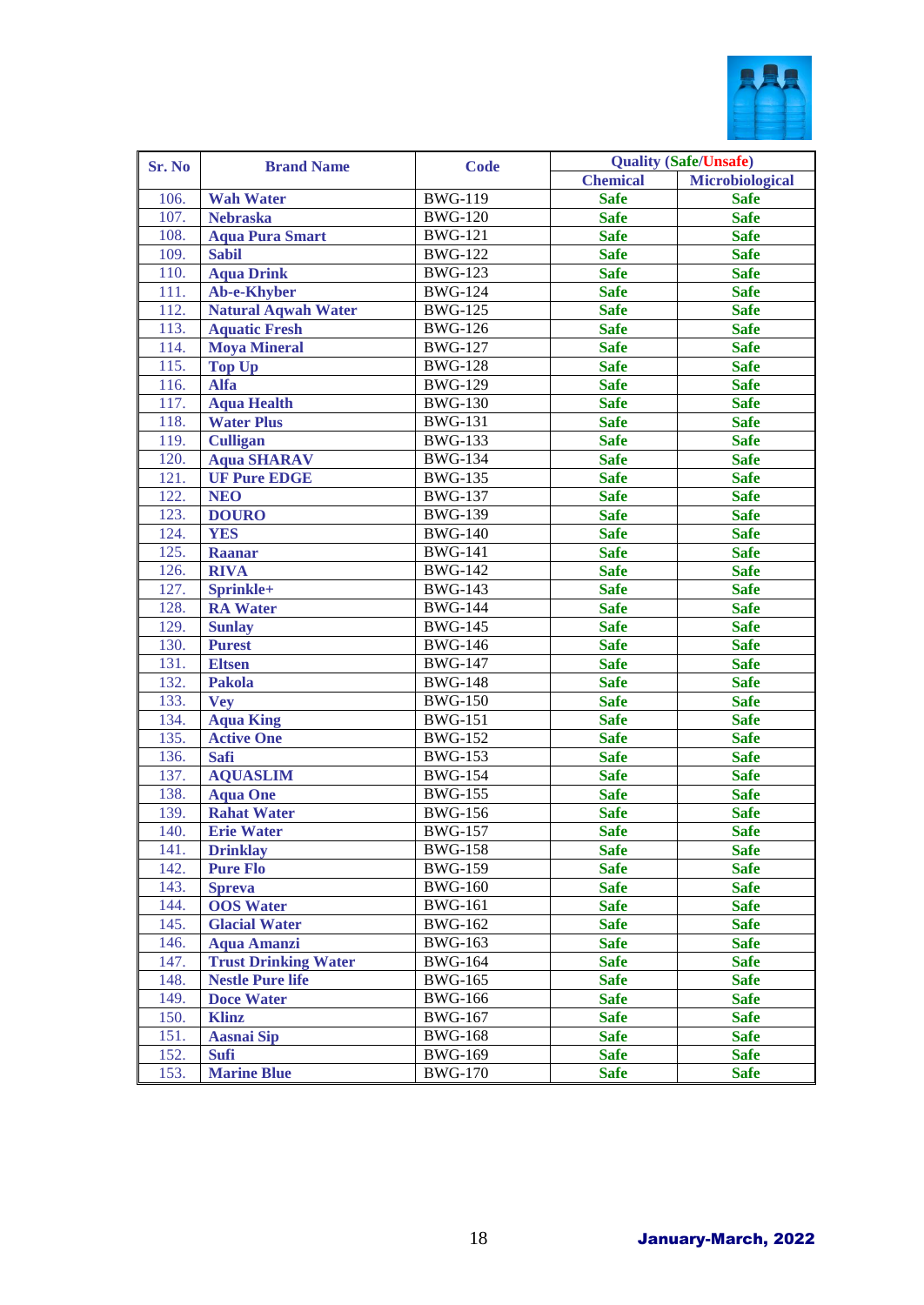

| Sr. No | <b>Brand Name</b>           | <b>Code</b>           |                 | <b>Quality (Safe/Unsafe)</b> |
|--------|-----------------------------|-----------------------|-----------------|------------------------------|
|        |                             |                       | <b>Chemical</b> | Microbiological              |
| 106.   | <b>Wah Water</b>            | <b>BWG-119</b>        | <b>Safe</b>     | <b>Safe</b>                  |
| 107.   | <b>Nebraska</b>             | $\overline{B}$ WG-120 | <b>Safe</b>     | <b>Safe</b>                  |
| 108.   | <b>Aqua Pura Smart</b>      | <b>BWG-121</b>        | <b>Safe</b>     | <b>Safe</b>                  |
| 109.   | <b>Sabil</b>                | <b>BWG-122</b>        | <b>Safe</b>     | <b>Safe</b>                  |
| 110.   | <b>Aqua Drink</b>           | <b>BWG-123</b>        | <b>Safe</b>     | <b>Safe</b>                  |
| 111.   | Ab-e-Khyber                 | $\overline{B}$ WG-124 | <b>Safe</b>     | <b>Safe</b>                  |
| 112.   | Natural Aqwah Water         | <b>BWG-125</b>        | <b>Safe</b>     | <b>Safe</b>                  |
| 113.   | <b>Aquatic Fresh</b>        | <b>BWG-126</b>        | <b>Safe</b>     | <b>Safe</b>                  |
| 114.   | <b>Moya Mineral</b>         | <b>BWG-127</b>        | <b>Safe</b>     | <b>Safe</b>                  |
| 115.   | <b>Top Up</b>               | <b>BWG-128</b>        | <b>Safe</b>     | <b>Safe</b>                  |
| 116.   | <b>Alfa</b>                 | <b>BWG-129</b>        | <b>Safe</b>     | <b>Safe</b>                  |
| 117.   | <b>Aqua Health</b>          | <b>BWG-130</b>        | <b>Safe</b>     | <b>Safe</b>                  |
| 118.   | <b>Water Plus</b>           | <b>BWG-131</b>        | <b>Safe</b>     | <b>Safe</b>                  |
| 119.   | <b>Culligan</b>             | <b>BWG-133</b>        | <b>Safe</b>     | <b>Safe</b>                  |
| 120.   | <b>Aqua SHARAV</b>          | $\overline{B}$ WG-134 | <b>Safe</b>     | <b>Safe</b>                  |
| 121.   | <b>UF Pure EDGE</b>         | <b>BWG-135</b>        | <b>Safe</b>     | <b>Safe</b>                  |
| 122.   | <b>NEO</b>                  | <b>BWG-137</b>        | <b>Safe</b>     | <b>Safe</b>                  |
| 123.   | <b>DOURO</b>                | <b>BWG-139</b>        | <b>Safe</b>     | <b>Safe</b>                  |
| 124.   | <b>YES</b>                  | <b>BWG-140</b>        | <b>Safe</b>     | <b>Safe</b>                  |
| 125.   | <b>Raanar</b>               | <b>BWG-141</b>        | <b>Safe</b>     | <b>Safe</b>                  |
| 126.   | <b>RIVA</b>                 | <b>BWG-142</b>        | <b>Safe</b>     | <b>Safe</b>                  |
| 127.   | Sprinkle+                   | <b>BWG-143</b>        | <b>Safe</b>     | <b>Safe</b>                  |
| 128.   | <b>RA</b> Water             | <b>BWG-144</b>        | <b>Safe</b>     | <b>Safe</b>                  |
| 129.   | <b>Sunlay</b>               | <b>BWG-145</b>        | <b>Safe</b>     | <b>Safe</b>                  |
| 130.   | <b>Purest</b>               | $\overline{B}$ WG-146 | <b>Safe</b>     | <b>Safe</b>                  |
| 131.   | <b>Eltsen</b>               | <b>BWG-147</b>        | <b>Safe</b>     | <b>Safe</b>                  |
| 132.   | <b>Pakola</b>               | <b>BWG-148</b>        | <b>Safe</b>     | <b>Safe</b>                  |
| 133.   | <b>Vey</b>                  | <b>BWG-150</b>        | <b>Safe</b>     | <b>Safe</b>                  |
| 134.   | <b>Aqua King</b>            | $\overline{B}WG-151$  | <b>Safe</b>     | <b>Safe</b>                  |
| 135.   | <b>Active One</b>           | <b>BWG-152</b>        | <b>Safe</b>     | <b>Safe</b>                  |
| 136.   | Safi                        | <b>BWG-153</b>        | <b>Safe</b>     | <b>Safe</b>                  |
| 137.   | <b>AQUASLIM</b>             | $\overline{B}$ WG-154 | <b>Safe</b>     | <b>Safe</b>                  |
| 138.   | <b>Aqua One</b>             | $\overline{B}$ WG-155 | <b>Safe</b>     | <b>Safe</b>                  |
| 139.   | <b>Rahat Water</b>          | $\overline{B}$ WG-156 | <b>Safe</b>     | <b>Safe</b>                  |
| 140.   | <b>Erie Water</b>           | <b>BWG-157</b>        | <b>Safe</b>     | <b>Safe</b>                  |
| 141.   | <b>Drinklay</b>             | <b>BWG-158</b>        | <b>Safe</b>     | <b>Safe</b>                  |
| 142.   | <b>Pure Flo</b>             | <b>BWG-159</b>        | <b>Safe</b>     | <b>Safe</b>                  |
| 143.   | <b>Spreva</b>               | <b>BWG-160</b>        | <b>Safe</b>     | <b>Safe</b>                  |
| 144.   | <b>OOS</b> Water            | <b>BWG-161</b>        | <b>Safe</b>     | <b>Safe</b>                  |
| 145.   | <b>Glacial Water</b>        | <b>BWG-162</b>        | <b>Safe</b>     | <b>Safe</b>                  |
| 146.   | <b>Aqua Amanzi</b>          | <b>BWG-163</b>        | <b>Safe</b>     | <b>Safe</b>                  |
| 147.   | <b>Trust Drinking Water</b> | <b>BWG-164</b>        | <b>Safe</b>     | <b>Safe</b>                  |
| 148.   | <b>Nestle Pure life</b>     | <b>BWG-165</b>        | <b>Safe</b>     | <b>Safe</b>                  |
| 149.   | <b>Doce Water</b>           | <b>BWG-166</b>        | <b>Safe</b>     | <b>Safe</b>                  |
| 150.   | <b>Klinz</b>                | <b>BWG-167</b>        | <b>Safe</b>     | <b>Safe</b>                  |
| 151.   | <b>Aasnai Sip</b>           | <b>BWG-168</b>        | <b>Safe</b>     | <b>Safe</b>                  |
| 152.   | <b>Sufi</b>                 | <b>BWG-169</b>        | <b>Safe</b>     | <b>Safe</b>                  |
| 153.   | <b>Marine Blue</b>          | <b>BWG-170</b>        | <b>Safe</b>     | <b>Safe</b>                  |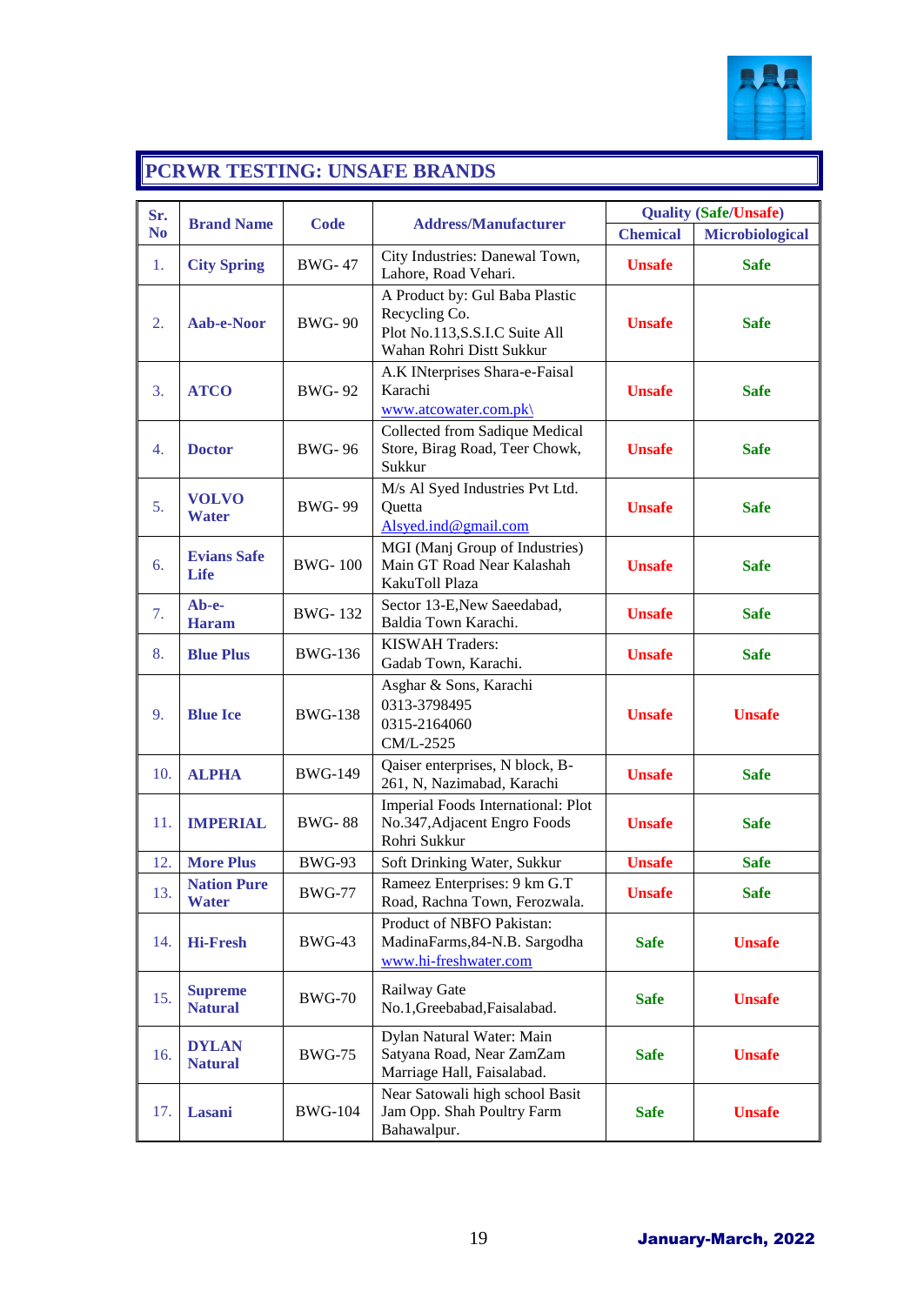

# **PCRWR TESTING: UNSAFE BRANDS**

| Sr.            |                                    |                |                                                                                                               | <b>Quality (Safe/Unsafe)</b> |                        |
|----------------|------------------------------------|----------------|---------------------------------------------------------------------------------------------------------------|------------------------------|------------------------|
| N <sub>0</sub> | <b>Brand Name</b>                  | <b>Code</b>    | <b>Address/Manufacturer</b>                                                                                   | <b>Chemical</b>              | <b>Microbiological</b> |
| 1.             | <b>City Spring</b>                 | <b>BWG-47</b>  | City Industries: Danewal Town,<br>Lahore, Road Vehari.                                                        | <b>Unsafe</b>                | <b>Safe</b>            |
| 2.             | Aab-e-Noor                         | <b>BWG-90</b>  | A Product by: Gul Baba Plastic<br>Recycling Co.<br>Plot No.113, S.S.I.C Suite All<br>Wahan Rohri Distt Sukkur | <b>Unsafe</b>                | <b>Safe</b>            |
| 3.             | <b>ATCO</b>                        | <b>BWG-92</b>  | A.K INterprises Shara-e-Faisal<br>Karachi<br>www.atcowater.com.pk\                                            | <b>Unsafe</b>                | <b>Safe</b>            |
| 4.             | <b>Doctor</b>                      | <b>BWG-96</b>  | Collected from Sadique Medical<br>Store, Birag Road, Teer Chowk,<br>Sukkur                                    | <b>Unsafe</b>                | <b>Safe</b>            |
| 5.             | <b>VOLVO</b><br>Water              | <b>BWG-99</b>  | M/s Al Syed Industries Pvt Ltd.<br>Quetta<br>Alsyed.ind@gmail.com                                             | <b>Unsafe</b>                | <b>Safe</b>            |
| 6.             | <b>Evians Safe</b><br>Life         | <b>BWG-100</b> | MGI (Manj Group of Industries)<br>Main GT Road Near Kalashah<br>KakuToll Plaza                                | <b>Unsafe</b>                | <b>Safe</b>            |
| 7.             | Ab-e-<br><b>Haram</b>              | <b>BWG-132</b> | Sector 13-E, New Saeedabad,<br>Baldia Town Karachi.                                                           | <b>Unsafe</b>                | <b>Safe</b>            |
| 8.             | <b>Blue Plus</b>                   | <b>BWG-136</b> | <b>KISWAH Traders:</b><br>Gadab Town, Karachi.                                                                | <b>Unsafe</b>                | <b>Safe</b>            |
| 9.             | <b>Blue Ice</b>                    | <b>BWG-138</b> | Asghar & Sons, Karachi<br>0313-3798495<br>0315-2164060<br>CM/L-2525                                           | <b>Unsafe</b>                | <b>Unsafe</b>          |
| 10.            | <b>ALPHA</b>                       | <b>BWG-149</b> | Qaiser enterprises, N block, B-<br>261, N, Nazimabad, Karachi                                                 | <b>Unsafe</b>                | <b>Safe</b>            |
| 11.            | <b>IMPERIAL</b>                    | <b>BWG-88</b>  | Imperial Foods International: Plot<br>No.347, Adjacent Engro Foods<br>Rohri Sukkur                            | <b>Unsafe</b>                | <b>Safe</b>            |
| 12.            | <b>More Plus</b>                   | <b>BWG-93</b>  | Soft Drinking Water, Sukkur                                                                                   | <b>Unsafe</b>                | <b>Safe</b>            |
| 13.            | <b>Nation Pure</b><br><b>Water</b> | <b>BWG-77</b>  | Rameez Enterprises: 9 km G.T<br>Road, Rachna Town, Ferozwala.                                                 | <b>Unsafe</b>                | <b>Safe</b>            |
| 14.            | <b>Hi-Fresh</b>                    | <b>BWG-43</b>  | Product of NBFO Pakistan:<br>MadinaFarms, 84-N.B. Sargodha<br>www.hi-freshwater.com                           | <b>Safe</b>                  | <b>Unsafe</b>          |
| 15.            | <b>Supreme</b><br><b>Natural</b>   | <b>BWG-70</b>  | Railway Gate<br>No.1, Greebabad, Faisalabad.                                                                  | <b>Safe</b>                  | <b>Unsafe</b>          |
| 16.            | <b>DYLAN</b><br><b>Natural</b>     | <b>BWG-75</b>  | Dylan Natural Water: Main<br>Satyana Road, Near ZamZam<br>Marriage Hall, Faisalabad.                          | <b>Safe</b>                  | <b>Unsafe</b>          |
| 17.            | Lasani                             | <b>BWG-104</b> | Near Satowali high school Basit<br>Jam Opp. Shah Poultry Farm<br>Bahawalpur.                                  | <b>Safe</b>                  | <b>Unsafe</b>          |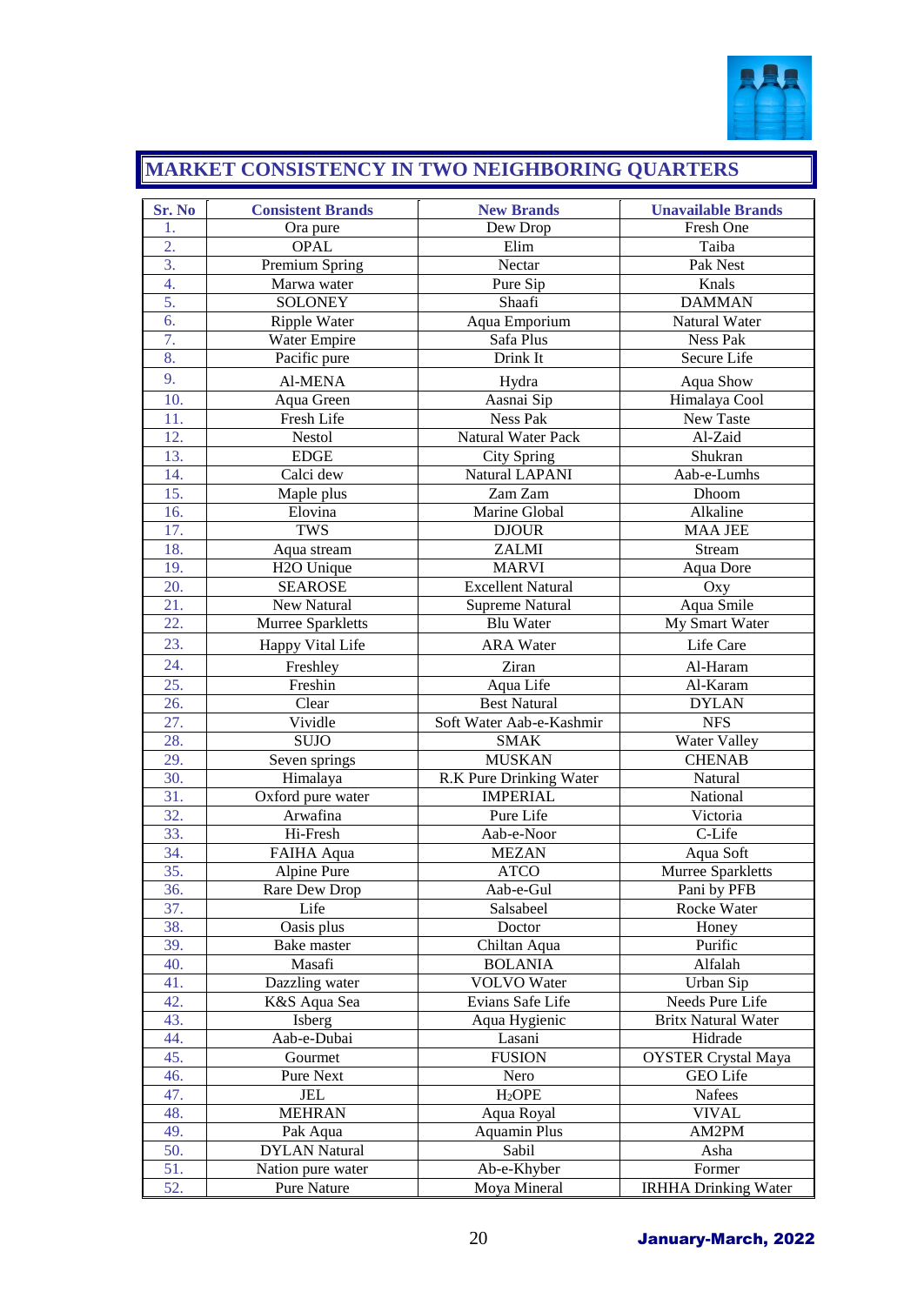

# **MARKET CONSISTENCY IN TWO NEIGHBORING QUARTERS**

| Sr. No           | <b>Consistent Brands</b> | <b>New Brands</b>         | <b>Unavailable Brands</b>   |
|------------------|--------------------------|---------------------------|-----------------------------|
| 1.               | Ora pure                 | Dew Drop                  | Fresh One                   |
| 2.               | <b>OPAL</b>              | Elim                      | Taiba                       |
| 3.               | Premium Spring           | Nectar                    | Pak Nest                    |
| 4.               | Marwa water              | Pure Sip                  | Knals                       |
| 5.               | <b>SOLONEY</b>           | Shaafi                    | <b>DAMMAN</b>               |
| 6.               | Ripple Water             | Aqua Emporium             | Natural Water               |
| $\overline{7}$ . | Water Empire             | Safa Plus                 | Ness Pak                    |
| 8.               | Pacific pure             | Drink It                  | Secure Life                 |
| 9.               | Al-MENA                  | Hydra                     | Aqua Show                   |
| 10.              | Aqua Green               | Aasnai Sip                | Himalaya Cool               |
| 11.              | <b>Fresh Life</b>        | Ness Pak                  | New Taste                   |
| 12.              | <b>Nestol</b>            | <b>Natural Water Pack</b> | Al-Zaid                     |
| 13.              | <b>EDGE</b>              | <b>City Spring</b>        | Shukran                     |
| 14.              | Calci dew                | Natural LAPANI            | Aab-e-Lumhs                 |
| 15.              | Maple plus               | Zam Zam                   | Dhoom                       |
| 16.              | Elovina                  | Marine Global             | Alkaline                    |
| 17.              | <b>TWS</b>               | <b>DJOUR</b>              | <b>MAA JEE</b>              |
| 18.              | Aqua stream              | <b>ZALMI</b>              | Stream                      |
| 19.              | H <sub>2</sub> O Unique  | <b>MARVI</b>              | <b>Aqua Dore</b>            |
| 20.              | <b>SEAROSE</b>           | <b>Excellent Natural</b>  | Oxy                         |
| 21.              | New Natural              | <b>Supreme Natural</b>    | Aqua Smile                  |
| 22.              | Murree Sparkletts        | <b>Blu Water</b>          | My Smart Water              |
| 23.              | Happy Vital Life         | <b>ARA</b> Water          | Life Care                   |
| 24.              | Freshley                 | Ziran                     | Al-Haram                    |
| 25.              | Freshin                  | Aqua Life                 | Al-Karam                    |
| 26.              | Clear                    | <b>Best Natural</b>       | <b>DYLAN</b>                |
| 27.              | Vividle                  | Soft Water Aab-e-Kashmir  | <b>NFS</b>                  |
| 28.              | <b>SUJO</b>              | <b>SMAK</b>               | Water Valley                |
| 29.              | Seven springs            | <b>MUSKAN</b>             | <b>CHENAB</b>               |
| 30.              | Himalaya                 | R.K Pure Drinking Water   | Natural                     |
| 31.              | Oxford pure water        | <b>IMPERIAL</b>           | National                    |
| 32.              | Arwafina                 | Pure Life                 | Victoria                    |
| 33.              | Hi-Fresh                 | Aab-e-Noor                | C-Life                      |
| 34.              | FAIHA Aqua               | <b>MEZAN</b>              | Aqua Soft                   |
| 35.              | Alpine Pure              | <b>ATCO</b>               | Murree Sparkletts           |
| 36.              | Rare Dew Drop            | Aab-e-Gul                 | Pani by PFB                 |
| 37.              | Life                     | Salsabeel                 | Rocke Water                 |
| 38.              | Oasis plus               | Doctor                    | Honey                       |
| 39.              | Bake master              | Chiltan Aqua              | Purific                     |
| 40.              | Masafi                   | <b>BOLANIA</b>            | Alfalah                     |
| 41.              | Dazzling water           | <b>VOLVO</b> Water        | Urban Sip                   |
| 42.              | K&S Aqua Sea             | Evians Safe Life          | Needs Pure Life             |
| 43.              | Isberg                   | Aqua Hygienic             | Britx Natural Water         |
| 44.              | Aab-e-Dubai              | Lasani                    | Hidrade                     |
| 45.              | Gourmet                  | <b>FUSION</b>             | <b>OYSTER Crystal Maya</b>  |
| 46.              | Pure Next                | Nero                      | GEO Life                    |
| 47.              | JEL                      | H <sub>2</sub> OPE        | Nafees                      |
| 48.              | <b>MEHRAN</b>            | Aqua Royal                | <b>VIVAL</b>                |
| 49.              | Pak Aqua                 | Aquamin Plus              | AM2PM                       |
| 50.              | <b>DYLAN</b> Natural     | Sabil                     | Asha                        |
| 51.              | Nation pure water        | Ab-e-Khyber               | Former                      |
| 52.              | Pure Nature              | Moya Mineral              | <b>IRHHA Drinking Water</b> |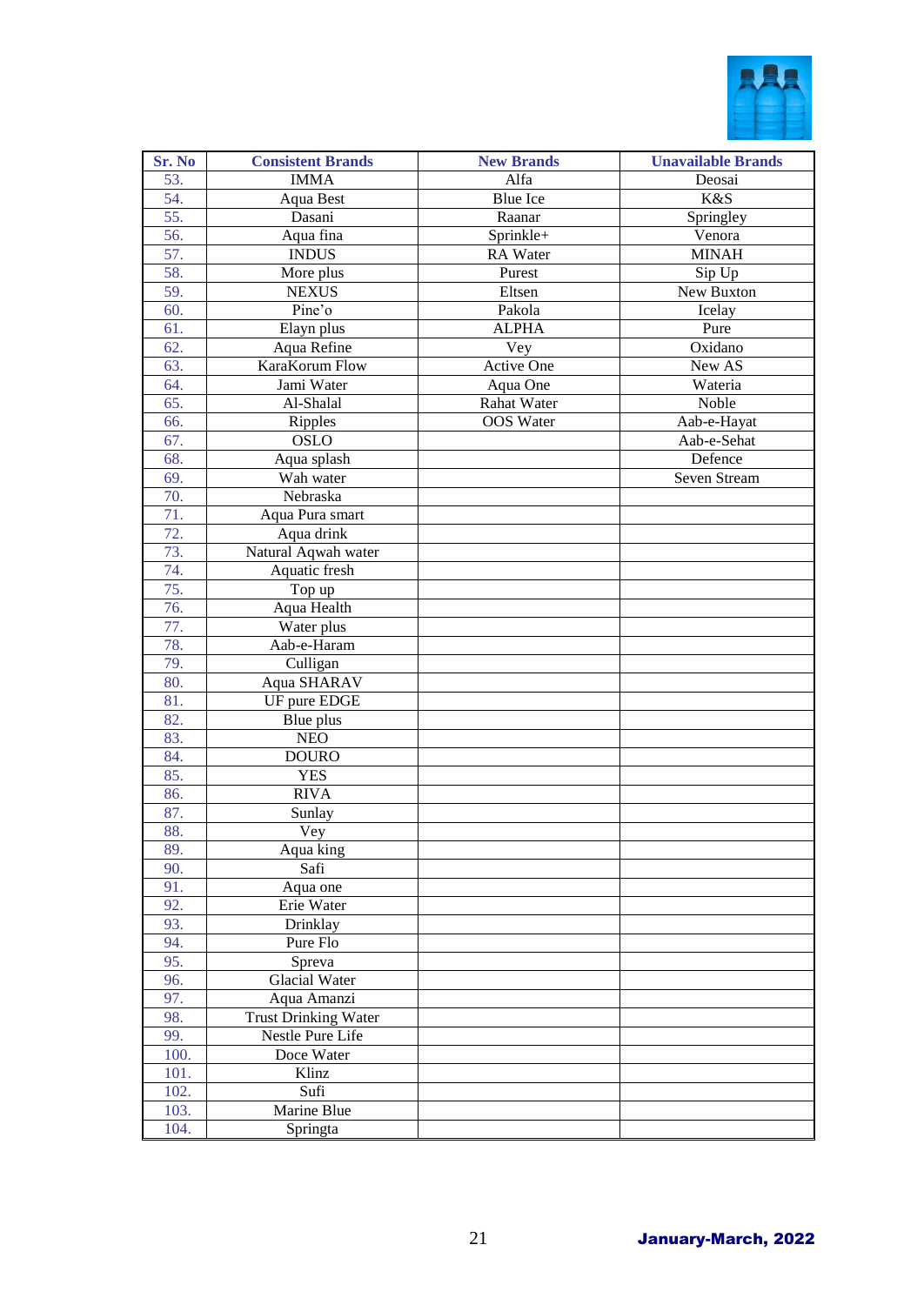

| <b>Sr. No</b> | <b>Consistent Brands</b>                   | <b>New Brands</b> | <b>Unavailable Brands</b> |
|---------------|--------------------------------------------|-------------------|---------------------------|
| 53.           | <b>IMMA</b>                                | Alfa              | Deosai                    |
| 54.           | Aqua Best                                  | <b>Blue Ice</b>   | K&S                       |
| 55.           | Dasani                                     | Raanar            | Springley                 |
| 56.           | Aqua fina                                  | Sprinkle+         | Venora                    |
| 57.           | <b>INDUS</b>                               | RA Water          | <b>MINAH</b>              |
| 58.           | More plus                                  | Purest            | Sip Up                    |
| 59.           | <b>NEXUS</b>                               | Eltsen            | New Buxton                |
| 60.           | Pine'o                                     | Pakola            | Icelay                    |
| 61.           | Elayn plus                                 | <b>ALPHA</b>      | Pure                      |
| 62.           | Aqua Refine                                | Vey               | Oxidano                   |
| 63.           | KaraKorum Flow                             | Active One        | New AS                    |
| 64.           | Jami Water                                 | Aqua One          | Wateria                   |
| 65.           | Al-Shalal                                  | Rahat Water       | Noble                     |
| 66.           | Ripples                                    | <b>OOS</b> Water  | Aab-e-Hayat               |
| 67.           | <b>OSLO</b>                                |                   | Aab-e-Sehat               |
| 68.           | Aqua splash                                |                   | Defence                   |
| 69.           | Wah water                                  |                   | Seven Stream              |
| 70.           | Nebraska                                   |                   |                           |
| 71.           | Aqua Pura smart                            |                   |                           |
| 72.           | Aqua drink                                 |                   |                           |
| 73.           | Natural Aqwah water                        |                   |                           |
| 74.           | Aquatic fresh                              |                   |                           |
| 75.           | Top up                                     |                   |                           |
| 76.           | Aqua Health                                |                   |                           |
| 77.           | Water plus                                 |                   |                           |
| 78.           | Aab-e-Haram                                |                   |                           |
| 79.           | Culligan                                   |                   |                           |
| 80.           | Aqua SHARAV                                |                   |                           |
| 81.           | UF pure EDGE                               |                   |                           |
| 82.           | Blue plus                                  |                   |                           |
| 83.           | <b>NEO</b>                                 |                   |                           |
| 84.           | <b>DOURO</b>                               |                   |                           |
| 85.           | <b>YES</b>                                 |                   |                           |
| 86.           | <b>RIVA</b>                                |                   |                           |
| 87.           | Sunlay                                     |                   |                           |
| 88.           | Vey                                        |                   |                           |
| 89.           | Aqua king                                  |                   |                           |
| 90.           | Safi                                       |                   |                           |
| 91.           | Aqua one                                   |                   |                           |
| 92.           | Erie Water<br>Drinklay                     |                   |                           |
| 93.           | Pure Flo                                   |                   |                           |
| 94.<br>95.    | Spreva                                     |                   |                           |
| 96.           | <b>Glacial Water</b>                       |                   |                           |
| 97.           |                                            |                   |                           |
| 98.           | Aqua Amanzi<br><b>Trust Drinking Water</b> |                   |                           |
| 99.           | Nestle Pure Life                           |                   |                           |
| 100.          | Doce Water                                 |                   |                           |
| 101.          | Klinz                                      |                   |                           |
| 102.          | Sufi                                       |                   |                           |
| 103.          | Marine Blue                                |                   |                           |
| 104.          | Springta                                   |                   |                           |
|               |                                            |                   |                           |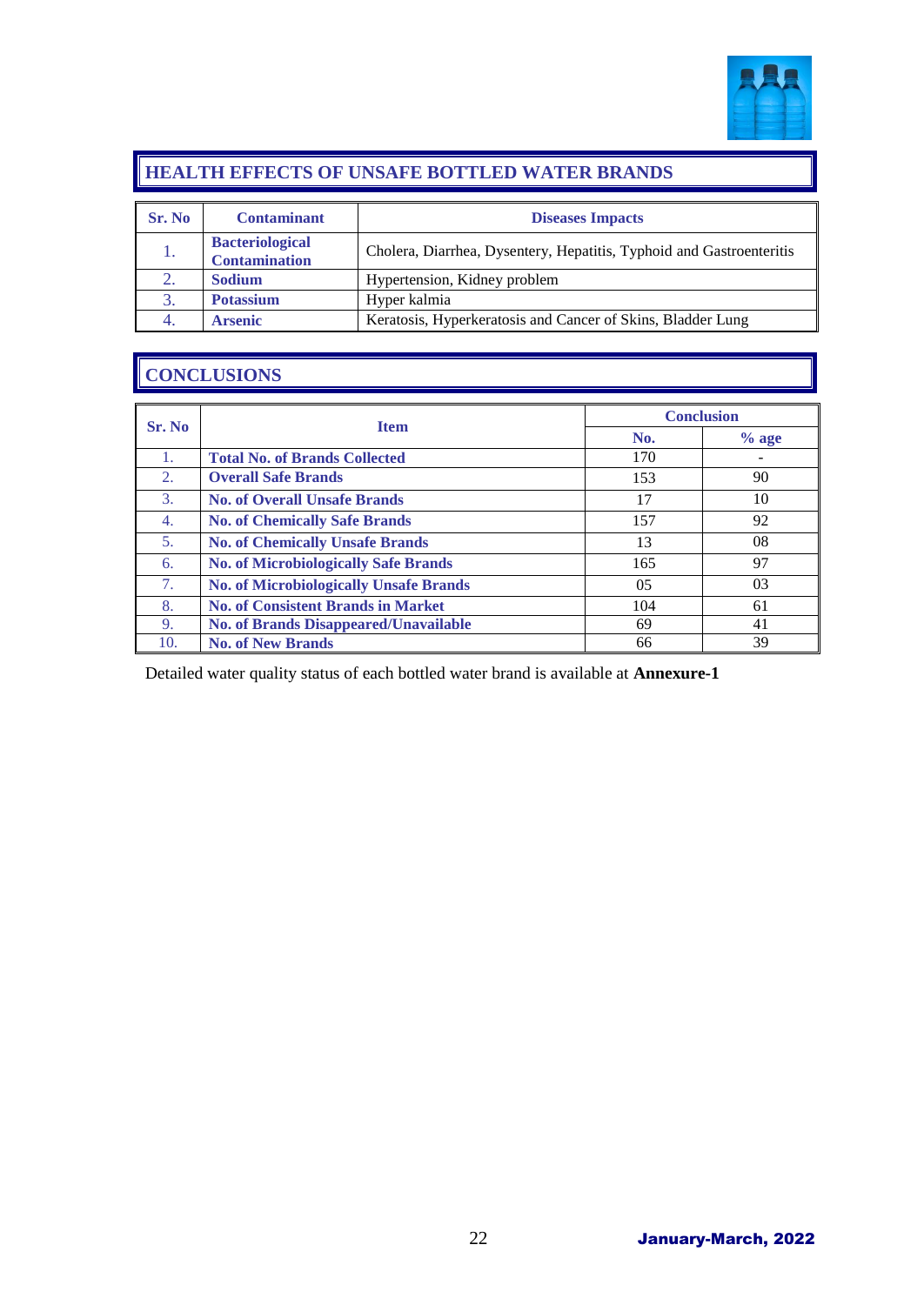

#### **HEALTH EFFECTS OF UNSAFE BOTTLED WATER BRANDS**

| Sr. No | <b>Contaminant</b>                             | <b>Diseases Impacts</b>                                              |
|--------|------------------------------------------------|----------------------------------------------------------------------|
|        | <b>Bacteriological</b><br><b>Contamination</b> | Cholera, Diarrhea, Dysentery, Hepatitis, Typhoid and Gastroenteritis |
|        | <b>Sodium</b>                                  | Hypertension, Kidney problem                                         |
| 3.     | <b>Potassium</b>                               | Hyper kalmia                                                         |
|        | <b>Arsenic</b>                                 | Keratosis, Hyperkeratosis and Cancer of Skins, Bladder Lung          |

### **CONCLUSIONS**

|                  |                                               | <b>Conclusion</b> |         |
|------------------|-----------------------------------------------|-------------------|---------|
| <b>Sr. No</b>    | <b>Item</b>                                   | No.               | $%$ age |
| 1.               | <b>Total No. of Brands Collected</b>          | 170               |         |
| 2.               | <b>Overall Safe Brands</b>                    | 153               | 90      |
| 3.               | <b>No. of Overall Unsafe Brands</b>           | 17                | 10      |
| $\overline{4}$ . | <b>No. of Chemically Safe Brands</b>          | 157               | 92      |
| 5.               | <b>No. of Chemically Unsafe Brands</b>        | 13                | 08      |
| 6.               | <b>No. of Microbiologically Safe Brands</b>   | 165               | 97      |
| 7.               | <b>No. of Microbiologically Unsafe Brands</b> | 0 <sub>5</sub>    | 03      |
| 8.               | <b>No. of Consistent Brands in Market</b>     | 104               | 61      |
| 9.               | <b>No. of Brands Disappeared/Unavailable</b>  | 69                | 41      |
| 10.              | <b>No. of New Brands</b>                      | 66                | 39      |

Detailed water quality status of each bottled water brand is available at **Annexure-1**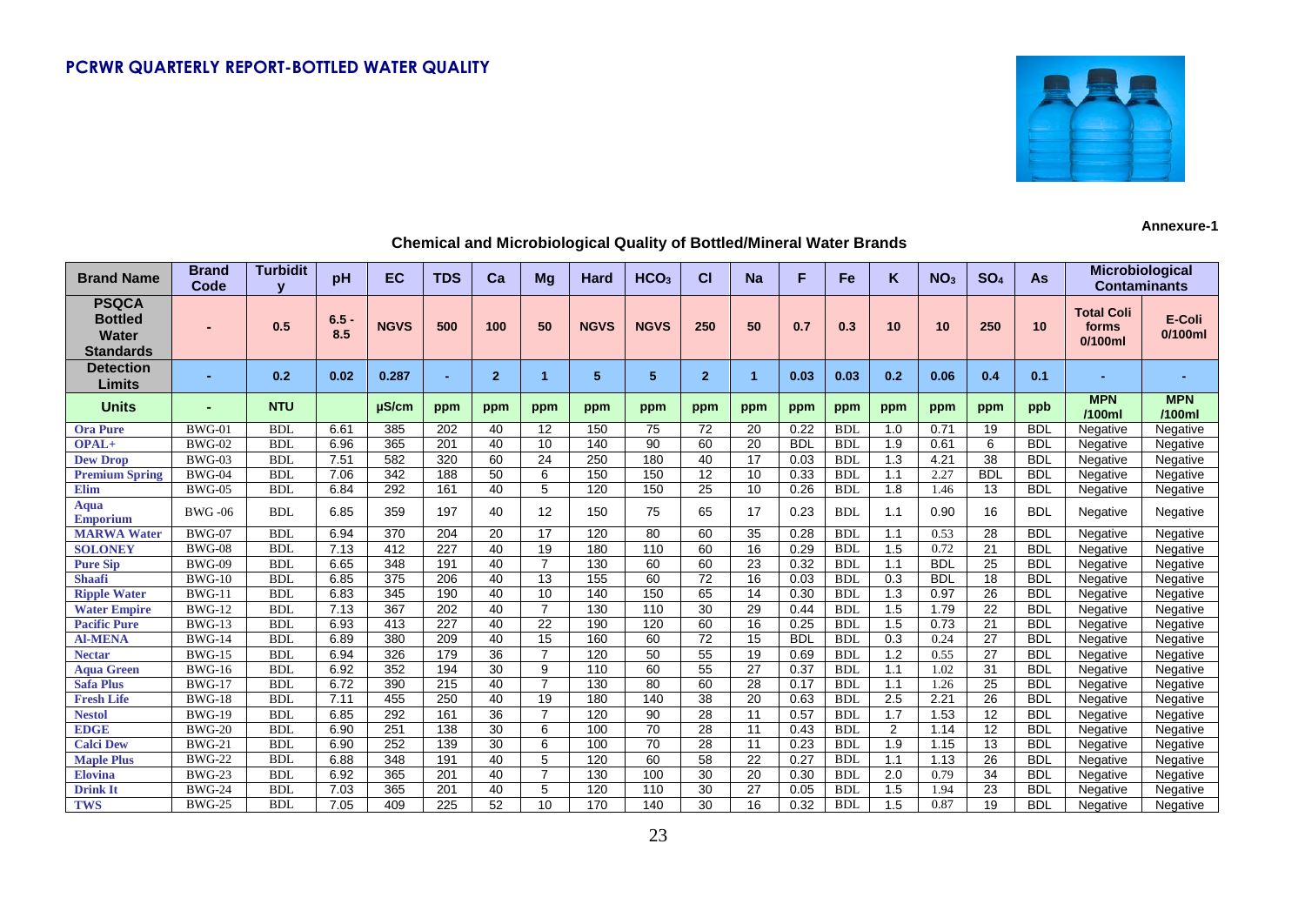

**Annexure-1**

| <b>Brand Name</b>                                                  | <b>Brand</b><br>Code | <b>Turbidit</b> | pH             | <b>EC</b>   | <b>TDS</b>       | Ca              | Mg              | Hard        | HCO <sub>3</sub> | <b>CI</b>    | <b>Na</b>       | F          | Fe         | K                | NO <sub>3</sub> | SO <sub>4</sub> | As         | Microbiological<br><b>Contaminants</b>   |                      |
|--------------------------------------------------------------------|----------------------|-----------------|----------------|-------------|------------------|-----------------|-----------------|-------------|------------------|--------------|-----------------|------------|------------|------------------|-----------------|-----------------|------------|------------------------------------------|----------------------|
| <b>PSQCA</b><br><b>Bottled</b><br><b>Water</b><br><b>Standards</b> |                      | 0.5             | $6.5 -$<br>8.5 | <b>NGVS</b> | 500              | 100             | 50              | <b>NGVS</b> | <b>NGVS</b>      | 250          | 50              | 0.7        | 0.3        | 10               | 10              | 250             | 10         | <b>Total Coli</b><br>forms<br>$0/100$ ml | E-Coli<br>$0/100$ ml |
| <b>Detection</b><br>Limits                                         |                      | 0.2             | 0.02           | 0.287       | ۰                | $\overline{2}$  | 1               | 5           | 5                | $\mathbf{2}$ | -1              | 0.03       | 0.03       | 0.2              | 0.06            | 0.4             | 0.1        |                                          |                      |
| <b>Units</b>                                                       |                      | <b>NTU</b>      |                | µS/cm       | ppm              | ppm             | ppm             | ppm         | ppm              | ppm          | ppm             | ppm        | ppm        | ppm              | ppm             | ppm             | ppb        | <b>MPN</b><br>/100ml                     | <b>MPN</b><br>/100ml |
| <b>Ora Pure</b>                                                    | $BWG-01$             | <b>BDI</b>      | 6.61           | 385         | 202              | 40              | 12              | 150         | 75               | 72           | 20              | 0.22       | <b>BDI</b> | 1.0              | 0.71            | 19              | <b>BDL</b> | Negative                                 | Negative             |
| OPAL+                                                              | <b>BWG-02</b>        | <b>BDL</b>      | 6.96           | 365         | $\overline{201}$ | 40              | $\overline{10}$ | 140         | 90               | 60           | $\overline{20}$ | <b>BDL</b> | <b>BDI</b> | 1.9              | 0.61            | 6               | <b>BDL</b> | Negative                                 | Negative             |
| <b>Dew Drop</b>                                                    | <b>BWG-03</b>        | <b>BDL</b>      | 7.51           | 582         | 320              | 60              | $\overline{24}$ | 250         | 180              | 40           | 17              | 0.03       | <b>BDL</b> | 1.3              | 4.21            | $\overline{38}$ | <b>BDL</b> | Negative                                 | Negative             |
| <b>Premium Spring</b>                                              | <b>BWG-04</b>        | <b>BDL</b>      | 7.06           | 342         | 188              | $\overline{50}$ | 6               | 150         | 150              | 12           | 10              | 0.33       | <b>BDL</b> | 1.1              | 2.27            | <b>BDL</b>      | <b>BDL</b> | Negative                                 | Negative             |
| <b>Elim</b>                                                        | <b>BWG-05</b>        | <b>BDL</b>      | 6.84           | 292         | 161              | 40              | 5               | 120         | 150              | 25           | 10              | 0.26       | <b>BDL</b> | 1.8              | 1.46            | 13              | <b>BDL</b> | Negative                                 | Negative             |
| <b>Aqua</b><br>Emporium                                            | <b>BWG-06</b>        | <b>BDL</b>      | 6.85           | 359         | 197              | 40              | 12              | 150         | 75               | 65           | 17              | 0.23       | <b>BDL</b> | 1.1              | 0.90            | 16              | <b>BDL</b> | Negative                                 | Negative             |
| <b>MARWA Water</b>                                                 | <b>BWG-07</b>        | <b>BDL</b>      | 6.94           | 370         | 204              | 20              | 17              | 120         | 80               | 60           | 35              | 0.28       | <b>BDL</b> | 1.1              | 0.53            | 28              | <b>BDL</b> | Negative                                 | Negative             |
| <b>SOLONEY</b>                                                     | <b>BWG-08</b>        | <b>BDL</b>      | 7.13           | 412         | 227              | 40              | 19              | 180         | 110              | 60           | 16              | 0.29       | <b>BDL</b> | 1.5              | 0.72            | 21              | <b>BDL</b> | Negative                                 | Negative             |
| <b>Pure Sip</b>                                                    | <b>BWG-09</b>        | <b>BDL</b>      | 6.65           | 348         | 191              | 40              | $\overline{7}$  | 130         | 60               | 60           | 23              | 0.32       | <b>BDL</b> | 1.1              | <b>BDL</b>      | 25              | <b>BDL</b> | Negative                                 | Negative             |
| <b>Shaafi</b>                                                      | $BWG-10$             | <b>BDL</b>      | 6.85           | 375         | 206              | 40              | 13              | 155         | 60               | 72           | 16              | 0.03       | <b>BDL</b> | 0.3              | <b>BDL</b>      | 18              | <b>BDL</b> | Negative                                 | Negative             |
| <b>Ripple Water</b>                                                | $BWG-11$             | <b>BDL</b>      | 6.83           | 345         | 190              | 40              | 10              | 140         | 150              | 65           | 14              | 0.30       | <b>BDL</b> | 1.3              | 0.97            | 26              | <b>BDL</b> | Negative                                 | Negative             |
| <b>Water Empire</b>                                                | <b>BWG-12</b>        | <b>BDL</b>      | 7.13           | 367         | 202              | 40              | $\overline{7}$  | 130         | 110              | 30           | 29              | 0.44       | <b>BDL</b> | 1.5              | 1.79            | 22              | <b>BDL</b> | Negative                                 | Negative             |
| <b>Pacific Pure</b>                                                | <b>BWG-13</b>        | <b>BDL</b>      | 6.93           | 413         | 227              | 40              | 22              | 190         | 120              | 60           | 16              | 0.25       | <b>BDL</b> | 1.5              | 0.73            | 21              | <b>BDL</b> | Negative                                 | Negative             |
| <b>Al-MENA</b>                                                     | <b>BWG-14</b>        | <b>BDL</b>      | 6.89           | 380         | 209              | 40              | 15              | 160         | 60               | 72           | 15              | <b>BDL</b> | <b>BDL</b> | 0.3              | 0.24            | 27              | <b>BDL</b> | Negative                                 | Negative             |
| <b>Nectar</b>                                                      | <b>BWG-15</b>        | <b>BDL</b>      | 6.94           | 326         | 179              | 36              | $\overline{7}$  | 120         | 50               | 55           | 19              | 0.69       | <b>BDL</b> | $\overline{1.2}$ | 0.55            | 27              | <b>BDL</b> | Negative                                 | Negative             |
| <b>Aqua Green</b>                                                  | $BWG-16$             | <b>BDL</b>      | 6.92           | 352         | 194              | 30              | 9               | 110         | 60               | 55           | 27              | 0.37       | <b>BDL</b> | 1.1              | 1.02            | 31              | <b>BDL</b> | Negative                                 | Negative             |
| <b>Safa Plus</b>                                                   | <b>BWG-17</b>        | <b>BDL</b>      | 6.72           | 390         | 215              | 40              | $\overline{7}$  | 130         | 80               | 60           | 28              | 0.17       | <b>BDL</b> | 1.1              | 1.26            | 25              | <b>BDL</b> | Negative                                 | Negative             |
| <b>Fresh Life</b>                                                  | <b>BWG-18</b>        | <b>BDL</b>      | 7.11           | 455         | 250              | 40              | 19              | 180         | 140              | 38           | 20              | 0.63       | <b>BDI</b> | 2.5              | 2.21            | 26              | <b>BDL</b> | Negative                                 | Negative             |
| <b>Nestol</b>                                                      | <b>BWG-19</b>        | <b>BDL</b>      | 6.85           | 292         | 161              | 36              | $\overline{7}$  | 120         | 90               | 28           | 11              | 0.57       | <b>BDL</b> | 1.7              | 1.53            | 12              | <b>BDL</b> | Negative                                 | Negative             |
| <b>EDGE</b>                                                        | <b>BWG-20</b>        | <b>BDL</b>      | 6.90           | 251         | 138              | 30              | 6               | 100         | 70               | 28           | 11              | 0.43       | <b>BDL</b> | $\overline{2}$   | 1.14            | 12              | <b>BDL</b> | Negative                                 | Negative             |
| <b>Calci Dew</b>                                                   | $BWG-21$             | <b>BDL</b>      | 6.90           | 252         | 139              | 30              | 6               | 100         | 70               | 28           | 11              | 0.23       | <b>BDL</b> | 1.9              | 1.15            | 13              | <b>BDL</b> | Negative                                 | Negative             |
| <b>Maple Plus</b>                                                  | <b>BWG-22</b>        | <b>BDL</b>      | 6.88           | 348         | 191              | 40              | 5               | 120         | 60               | 58           | 22              | 0.27       | <b>BDL</b> | 1.1              | 1.13            | 26              | <b>BDL</b> | Negative                                 | Negative             |
| <b>Elovina</b>                                                     | <b>BWG-23</b>        | <b>BDL</b>      | 6.92           | 365         | 201              | 40              | $\overline{7}$  | 130         | 100              | 30           | 20              | 0.30       | <b>BDL</b> | 2.0              | 0.79            | 34              | <b>BDL</b> | Negative                                 | Negative             |
| <b>Drink It</b>                                                    | <b>BWG-24</b>        | <b>BDL</b>      | 7.03           | 365         | 201              | 40              | 5               | 120         | 110              | 30           | 27              | 0.05       | <b>BDL</b> | 1.5              | 1.94            | 23              | <b>BDL</b> | Negative                                 | Negative             |
| <b>TWS</b>                                                         | <b>BWG-25</b>        | <b>BDL</b>      | 7.05           | 409         | 225              | 52              | 10              | 170         | 140              | 30           | 16              | 0.32       | <b>BDL</b> | 1.5              | 0.87            | 19              | <b>BDL</b> | Negative                                 | Negative             |

#### **Chemical and Microbiological Quality of Bottled/Mineral Water Brands**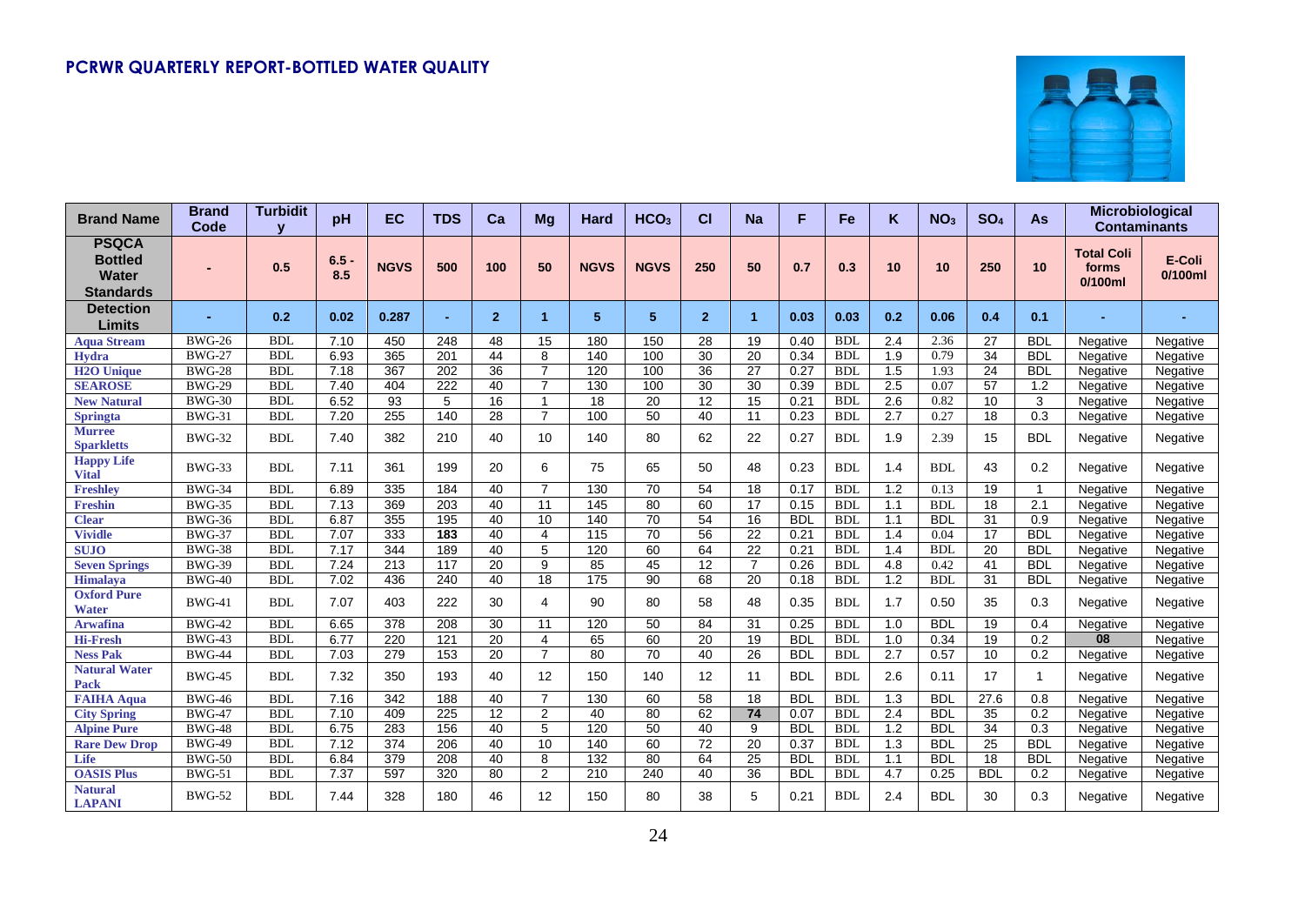

| <b>Brand Name</b>                                                  | <b>Brand</b><br>Code | <b>Turbidit</b> | pH             | EC               | <b>TDS</b>       | Ca              | Mg              | Hard           | HCO <sub>3</sub> | СI              | <b>Na</b>            | F          | Fe         | K                | NO <sub>3</sub> | SO <sub>4</sub> | <b>As</b>        | Microbiological                          | <b>Contaminants</b>  |
|--------------------------------------------------------------------|----------------------|-----------------|----------------|------------------|------------------|-----------------|-----------------|----------------|------------------|-----------------|----------------------|------------|------------|------------------|-----------------|-----------------|------------------|------------------------------------------|----------------------|
| <b>PSQCA</b><br><b>Bottled</b><br><b>Water</b><br><b>Standards</b> |                      | 0.5             | $6.5 -$<br>8.5 | <b>NGVS</b>      | 500              | 100             | 50              | <b>NGVS</b>    | <b>NGVS</b>      | 250             | 50                   | 0.7        | 0.3        | 10               | 10              | 250             | 10               | <b>Total Coli</b><br>forms<br>$0/100$ ml | E-Coli<br>$0/100$ ml |
| <b>Detection</b><br>Limits                                         |                      | 0.2             | 0.02           | 0.287            | $\blacksquare$   | $\overline{2}$  | 1               | 5 <sup>5</sup> | 5                | $\mathbf{2}$    | $\blacktriangleleft$ | 0.03       | 0.03       | 0.2              | 0.06            | 0.4             | 0.1              |                                          |                      |
| <b>Aqua Stream</b>                                                 | <b>BWG-26</b>        | <b>BDL</b>      | 7.10           | 450              | 248              | 48              | 15              | 180            | 150              | 28              | 19                   | 0.40       | <b>BDL</b> | 2.4              | 2.36            | 27              | <b>BDL</b>       | Negative                                 | Negative             |
| <b>Hydra</b>                                                       | <b>BWG-27</b>        | <b>BDL</b>      | 6.93           | 365              | 201              | 44              | 8               | 140            | 100              | 30              | 20                   | 0.34       | <b>BDL</b> | 1.9              | 0.79            | 34              | <b>BDL</b>       | Negative                                 | Negative             |
| <b>H2O Unique</b>                                                  | <b>BWG-28</b>        | <b>BDL</b>      | 7.18           | 367              | 202              | 36              | $\overline{7}$  | 120            | 100              | 36              | 27                   | 0.27       | <b>BDL</b> | 1.5              | 1.93            | 24              | <b>BDL</b>       | Negative                                 | Negative             |
| <b>SEAROSE</b>                                                     | <b>BWG-29</b>        | <b>BDL</b>      | 7.40           | 404              | 222              | 40              | $\overline{7}$  | 130            | 100              | 30              | 30                   | 0.39       | <b>BDL</b> | 2.5              | 0.07            | 57              | 1.2              | Negative                                 | Negative             |
| <b>New Natural</b>                                                 | <b>BWG-30</b>        | <b>BDL</b>      | 6.52           | 93               | 5                | 16              | 1               | 18             | $\overline{20}$  | 12              | $\overline{15}$      | 0.21       | <b>BDL</b> | 2.6              | 0.82            | 10              | 3                | Negative                                 | Negative             |
| <b>Springta</b>                                                    | <b>BWG-31</b>        | <b>BDL</b>      | 7.20           | 255              | 140              | 28              | $\overline{7}$  | 100            | $\overline{50}$  | 40              | 11                   | 0.23       | <b>BDL</b> | $\overline{2.7}$ | 0.27            | 18              | 0.3              | Negative                                 | Negative             |
| <b>Murree</b><br><b>Sparkletts</b>                                 | <b>BWG-32</b>        | <b>BDL</b>      | 7.40           | 382              | 210              | 40              | 10              | 140            | 80               | 62              | 22                   | 0.27       | <b>BDL</b> | 1.9              | 2.39            | 15              | <b>BDL</b>       | Negative                                 | Negative             |
| <b>Happy Life</b><br><b>Vital</b>                                  | <b>BWG-33</b>        | <b>BDL</b>      | 7.11           | 361              | 199              | 20              | 6               | 75             | 65               | 50              | 48                   | 0.23       | <b>BDL</b> | 1.4              | <b>BDL</b>      | 43              | 0.2              | Negative                                 | Negative             |
| <b>Freshlev</b>                                                    | <b>BWG-34</b>        | BDI.            | 6.89           | 335              | 184              | 40              | $\overline{7}$  | 130            | 70               | 54              | 18                   | 0.17       | <b>BDL</b> | 1.2              | 0.13            | 19              | $\mathbf{1}$     | Negative                                 | Negative             |
| <b>Freshin</b>                                                     | <b>BWG-35</b>        | <b>BDL</b>      | 7.13           | 369              | $\overline{203}$ | 40              | 11              | 145            | $\overline{80}$  | 60              | 17                   | 0.15       | <b>BDL</b> | 1.1              | <b>BDL</b>      | 18              | $\overline{2.1}$ | Negative                                 | Negative             |
| <b>Clear</b>                                                       | <b>BWG-36</b>        | <b>BDL</b>      | 6.87           | 355              | 195              | 40              | 10              | 140            | $\overline{70}$  | 54              | $\overline{16}$      | <b>BDL</b> | <b>BDL</b> | 1.1              | <b>BDL</b>      | 31              | 0.9              | Negative                                 | Negative             |
| <b>Vividle</b>                                                     | <b>BWG-37</b>        | <b>BDL</b>      | 7.07           | 333              | 183              | 40              | 4               | 115            | 70               | 56              | 22                   | 0.21       | <b>BDL</b> | 1.4              | 0.04            | 17              | <b>BDL</b>       | Negative                                 | Negative             |
| <b>SUJO</b>                                                        | <b>BWG-38</b>        | <b>BDL</b>      | 7.17           | 344              | 189              | 40              | 5               | 120            | 60               | 64              | 22                   | 0.21       | <b>BDL</b> | 1.4              | <b>BDL</b>      | 20              | <b>BDL</b>       | Negative                                 | Negative             |
| <b>Seven Springs</b>                                               | <b>BWG-39</b>        | <b>BDL</b>      | 7.24           | 213              | 117              | 20              | 9               | 85             | 45               | 12              | $\overline{7}$       | 0.26       | <b>BDL</b> | 4.8              | 0.42            | 41              | <b>BDL</b>       | Negative                                 | Negative             |
| <b>Himalaya</b>                                                    | <b>BWG-40</b>        | <b>BDL</b>      | 7.02           | 436              | 240              | 40              | $\overline{18}$ | 175            | 90               | 68              | $\overline{20}$      | 0.18       | <b>BDL</b> | 1.2              | <b>BDL</b>      | 31              | <b>BDL</b>       | Negative                                 | Negative             |
| <b>Oxford Pure</b><br><b>Water</b>                                 | <b>BWG-41</b>        | <b>BDL</b>      | 7.07           | 403              | 222              | 30              | 4               | 90             | 80               | 58              | 48                   | 0.35       | <b>BDL</b> | 1.7              | 0.50            | 35              | 0.3              | Negative                                 | Negative             |
| <b>Arwafina</b>                                                    | <b>BWG-42</b>        | <b>BDL</b>      | 6.65           | 378              | 208              | 30              | 11              | 120            | 50               | 84              | 31                   | 0.25       | <b>BDL</b> | 1.0              | <b>BDL</b>      | 19              | 0.4              | Negative                                 | Negative             |
| <b>Hi-Fresh</b>                                                    | <b>BWG-43</b>        | <b>BDL</b>      | 6.77           | 220              | 121              | 20              | 4               | 65             | 60               | 20              | 19                   | <b>BDL</b> | <b>BDL</b> | 1.0              | 0.34            | 19              | 0.2              | 08                                       | Negative             |
| <b>Ness Pak</b>                                                    | <b>BWG-44</b>        | <b>BDL</b>      | 7.03           | 279              | 153              | $\overline{20}$ | $\overline{7}$  | 80             | $\overline{70}$  | 40              | 26                   | <b>BDL</b> | <b>BDL</b> | 2.7              | 0.57            | 10              | 0.2              | Negative                                 | Negative             |
| <b>Natural Water</b><br><b>Pack</b>                                | <b>BWG-45</b>        | <b>BDL</b>      | 7.32           | 350              | 193              | 40              | 12              | 150            | 140              | 12              | 11                   | <b>BDL</b> | <b>BDL</b> | 2.6              | 0.11            | 17              | $\mathbf{1}$     | Negative                                 | Negative             |
| <b>FAIHA Aqua</b>                                                  | <b>BWG-46</b>        | <b>BDL</b>      | 7.16           | 342              | 188              | 40              | $\overline{7}$  | 130            | 60               | 58              | 18                   | <b>BDL</b> | <b>BDL</b> | 1.3              | <b>BDL</b>      | 27.6            | 0.8              | Negative                                 | Negative             |
| <b>City Spring</b>                                                 | <b>BWG-47</b>        | <b>BDL</b>      | 7.10           | 409              | 225              | 12              | $\overline{2}$  | 40             | 80               | 62              | $\overline{74}$      | 0.07       | <b>BDL</b> | 2.4              | <b>BDL</b>      | 35              | 0.2              | Negative                                 | Negative             |
| <b>Alpine Pure</b>                                                 | <b>BWG-48</b>        | <b>BDL</b>      | 6.75           | 283              | 156              | 40              | 5               | 120            | 50               | 40              | 9                    | <b>BDL</b> | <b>BDL</b> | 1.2              | <b>BDL</b>      | 34              | 0.3              | Negative                                 | Negative             |
| <b>Rare Dew Drop</b>                                               | <b>BWG-49</b>        | <b>BDL</b>      | 7.12           | $\overline{374}$ | 206              | 40              | $\overline{10}$ | 140            | 60               | $\overline{72}$ | $\overline{20}$      | 0.37       | <b>BDI</b> | $\overline{1.3}$ | <b>BDL</b>      | $\overline{25}$ | <b>BDL</b>       | Negative                                 | Negative             |
| Life                                                               | <b>BWG-50</b>        | <b>BDL</b>      | 6.84           | 379              | 208              | 40              | 8               | 132            | 80               | 64              | 25                   | <b>BDL</b> | <b>BDL</b> | 1.1              | <b>BDL</b>      | 18              | <b>BDL</b>       | Negative                                 | Negative             |
| <b>OASIS Plus</b>                                                  | <b>BWG-51</b>        | <b>BDL</b>      | 7.37           | 597              | 320              | 80              | $\overline{2}$  | 210            | 240              | 40              | $\overline{36}$      | <b>BDL</b> | <b>BDL</b> | 4.7              | 0.25            | <b>BDL</b>      | 0.2              | Negative                                 | Negative             |
| <b>Natural</b><br><b>LAPANI</b>                                    | <b>BWG-52</b>        | <b>BDL</b>      | 7.44           | 328              | 180              | 46              | 12              | 150            | 80               | 38              | 5                    | 0.21       | <b>BDL</b> | 2.4              | <b>BDL</b>      | 30              | 0.3              | Negative                                 | Negative             |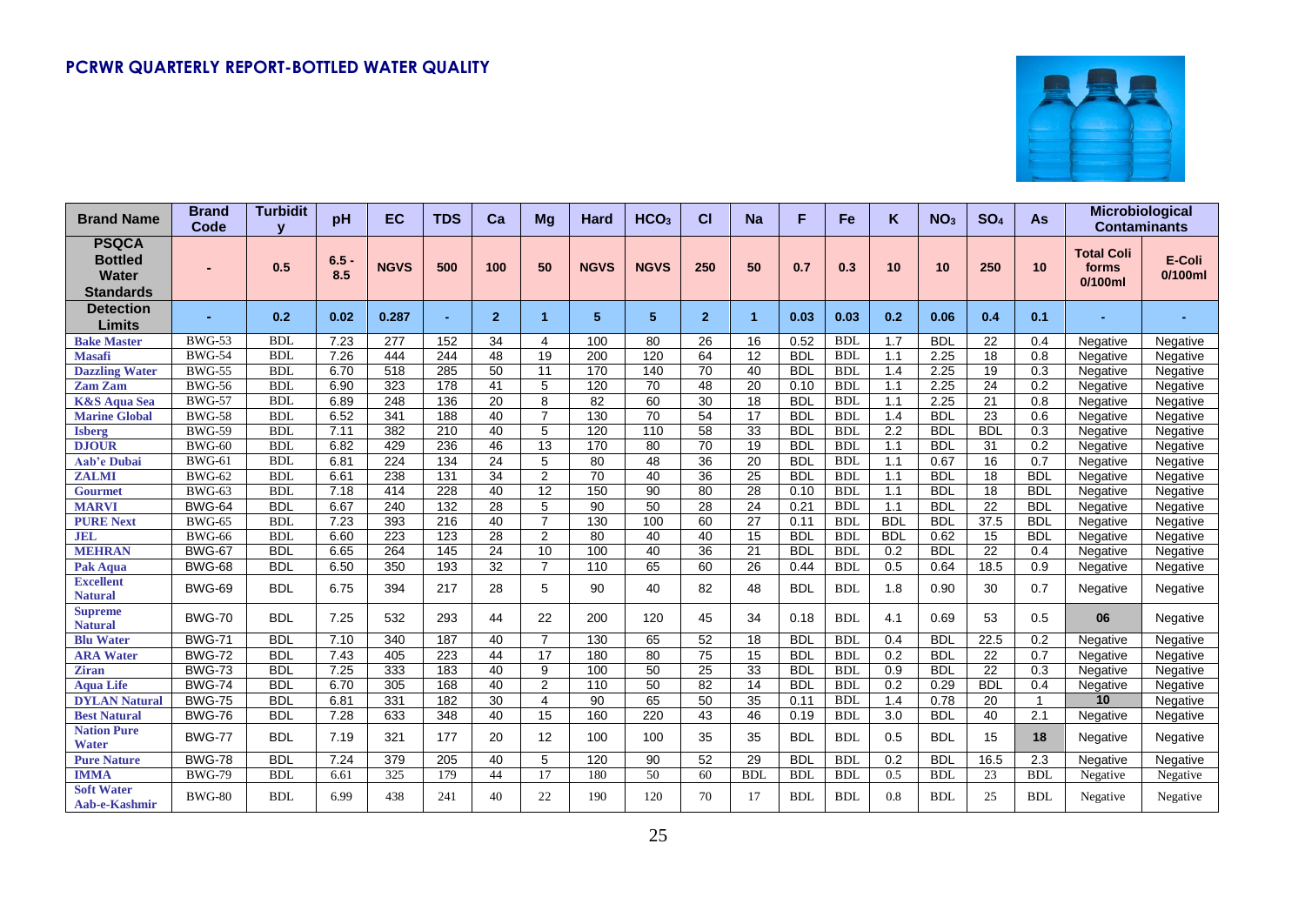

| <b>Brand Name</b>                                           | <b>Brand</b><br>Code | <b>Turbidit</b> | pH             | EC               | <b>TDS</b>       | Ca              | Mg              | Hard            | HCO <sub>3</sub> | СI             | <b>Na</b>            | F          | Fe         | K                | NO <sub>3</sub> | SO <sub>4</sub>   | As           | <b>Microbiological</b>                   | <b>Contaminants</b>  |
|-------------------------------------------------------------|----------------------|-----------------|----------------|------------------|------------------|-----------------|-----------------|-----------------|------------------|----------------|----------------------|------------|------------|------------------|-----------------|-------------------|--------------|------------------------------------------|----------------------|
| <b>PSQCA</b><br><b>Bottled</b><br>Water<br><b>Standards</b> |                      | 0.5             | $6.5 -$<br>8.5 | <b>NGVS</b>      | 500              | 100             | 50              | <b>NGVS</b>     | <b>NGVS</b>      | 250            | 50                   | 0.7        | 0.3        | 10               | 10              | 250               | 10           | <b>Total Coli</b><br>forms<br>$0/100$ ml | E-Coli<br>$0/100$ ml |
| <b>Detection</b><br>Limits                                  |                      | 0.2             | 0.02           | 0.287            | ٠                | $\overline{2}$  | 1               | 5 <sup>5</sup>  | 5                | $\overline{2}$ | $\blacktriangleleft$ | 0.03       | 0.03       | 0.2              | 0.06            | 0.4               | 0.1          |                                          |                      |
| <b>Bake Master</b>                                          | <b>BWG-53</b>        | <b>BDL</b>      | 7.23           | 277              | 152              | 34              | 4               | 100             | 80               | 26             | 16                   | 0.52       | <b>BDL</b> | 1.7              | <b>BDL</b>      | 22                | 0.4          | Negative                                 | Negative             |
| <b>Masafi</b>                                               | <b>BWG-54</b>        | <b>BDL</b>      | 7.26           | 444              | 244              | 48              | $\overline{19}$ | 200             | 120              | 64             | $\overline{12}$      | <b>BDL</b> | <b>BDL</b> | 1.1              | 2.25            | 18                | 0.8          | Negative                                 | Negative             |
| <b>Dazzling Water</b>                                       | <b>BWG-55</b>        | <b>BDL</b>      | 6.70           | 518              | 285              | 50              | 11              | 170             | 140              | 70             | 40                   | <b>BDL</b> | <b>BDL</b> | 1.4              | 2.25            | 19                | 0.3          | Negative                                 | Negative             |
| <b>Zam Zam</b>                                              | <b>BWG-56</b>        | <b>BDL</b>      | 6.90           | 323              | 178              | 41              | 5               | 120             | 70               | 48             | 20                   | 0.10       | <b>BDL</b> | 1.1              | 2.25            | 24                | 0.2          | Negative                                 | Negative             |
| <b>K&amp;S Aqua Sea</b>                                     | <b>BWG-57</b>        | <b>BDL</b>      | 6.89           | 248              | 136              | 20              | 8               | 82              | 60               | 30             | 18                   | <b>BDL</b> | <b>BDL</b> | 1.1              | 2.25            | 21                | 0.8          | Negative                                 | Negative             |
| <b>Marine Global</b>                                        | <b>BWG-58</b>        | <b>BDL</b>      | 6.52           | 341              | 188              | 40              | $\overline{7}$  | 130             | $\overline{70}$  | 54             | $\overline{17}$      | <b>BDL</b> | <b>BDL</b> | 1.4              | <b>BDL</b>      | 23                | 0.6          | Negative                                 | Negative             |
| <b>Isberg</b>                                               | <b>BWG-59</b>        | <b>BDL</b>      | 7.11           | 382              | 210              | 40              | 5               | 120             | 110              | 58             | 33                   | <b>BDL</b> | <b>BDI</b> | 2.2              | <b>BDL</b>      | <b>BDL</b>        | 0.3          | Negative                                 | Negative             |
| <b>DJOUR</b>                                                | <b>BWG-60</b>        | <b>BDI</b>      | 6.82           | 429              | 236              | 46              | $\overline{13}$ | 170             | $\overline{80}$  | 70             | $\overline{19}$      | <b>BDL</b> | <b>BDL</b> | 1.1              | <b>BDL</b>      | 31                | 0.2          | Negative                                 | Negative             |
| <b>Aab'e Dubai</b>                                          | <b>BWG-61</b>        | <b>BDL</b>      | 6.81           | $\overline{224}$ | 134              | $\overline{24}$ | 5               | 80              | 48               | 36             | 20                   | <b>BDL</b> | <b>BDI</b> | 1.1              | 0.67            | 16                | 0.7          | Negative                                 | Negative             |
| <b>ZALMI</b>                                                | <b>BWG-62</b>        | <b>BDL</b>      | 6.61           | 238              | 131              | $\overline{34}$ | $\overline{2}$  | $\overline{70}$ | 40               | 36             | 25                   | <b>BDL</b> | <b>BDL</b> | 1.1              | <b>BDL</b>      | 18                | <b>BDL</b>   | Negative                                 | Negative             |
| <b>Gourmet</b>                                              | <b>BWG-63</b>        | <b>BDL</b>      | 7.18           | 414              | 228              | 40              | 12              | 150             | 90               | 80             | 28                   | 0.10       | <b>BDL</b> | 1.1              | <b>BDL</b>      | 18                | <b>BDL</b>   | Negative                                 | Negative             |
| <b>MARVI</b>                                                | <b>BWG-64</b>        | <b>BDL</b>      | 6.67           | 240              | 132              | 28              | 5               | 90              | 50               | 28             | 24                   | 0.21       | <b>BDL</b> | 1.1              | <b>BDL</b>      | 22                | <b>BDL</b>   | Negative                                 | Negative             |
| <b>PURE Next</b>                                            | <b>BWG-65</b>        | <b>BDL</b>      | 7.23           | 393              | $\overline{216}$ | 40              | $\overline{7}$  | 130             | 100              | 60             | 27                   | 0.11       | <b>BDL</b> | <b>BDL</b>       | <b>BDL</b>      | $\overline{37.5}$ | <b>BDL</b>   | Negative                                 | Negative             |
| <b>JEL</b>                                                  | <b>BWG-66</b>        | <b>BDL</b>      | 6.60           | 223              | $\overline{123}$ | $\overline{28}$ | $\overline{2}$  | $\overline{80}$ | 40               | 40             | 15                   | <b>BDL</b> | <b>BDI</b> | <b>BDL</b>       | 0.62            | 15                | <b>BDL</b>   | Negative                                 | Negative             |
| <b>MEHRAN</b>                                               | <b>BWG-67</b>        | <b>BDL</b>      | 6.65           | 264              | 145              | 24              | $\overline{10}$ | 100             | 40               | 36             | $\overline{21}$      | <b>BDL</b> | <b>BDL</b> | 0.2              | <b>BDL</b>      | 22                | 0.4          | Negative                                 | Negative             |
| <b>Pak Aqua</b>                                             | <b>BWG-68</b>        | <b>BDL</b>      | 6.50           | 350              | 193              | $\overline{32}$ | $\overline{7}$  | 110             | 65               | 60             | 26                   | 0.44       | <b>BDL</b> | 0.5              | 0.64            | 18.5              | 0.9          | Negative                                 | Negative             |
| <b>Excellent</b><br><b>Natural</b>                          | <b>BWG-69</b>        | <b>BDL</b>      | 6.75           | 394              | 217              | 28              | 5               | 90              | 40               | 82             | 48                   | <b>BDL</b> | <b>BDL</b> | 1.8              | 0.90            | 30                | 0.7          | Negative                                 | Negative             |
| <b>Supreme</b><br>Natural                                   | <b>BWG-70</b>        | <b>BDL</b>      | 7.25           | 532              | 293              | 44              | 22              | 200             | 120              | 45             | 34                   | 0.18       | <b>BDL</b> | 4.1              | 0.69            | 53                | 0.5          | 06                                       | Negative             |
| <b>Blu Water</b>                                            | <b>BWG-71</b>        | <b>BDL</b>      | 7.10           | 340              | 187              | 40              | $\overline{7}$  | 130             | 65               | 52             | 18                   | <b>BDL</b> | <b>BDL</b> | 0.4              | <b>BDL</b>      | 22.5              | 0.2          | Negative                                 | Negative             |
| <b>ARA Water</b>                                            | <b>BWG-72</b>        | <b>BDL</b>      | 7.43           | 405              | 223              | 44              | 17              | 180             | 80               | 75             | 15                   | <b>BDL</b> | <b>BDL</b> | 0.2              | <b>BDL</b>      | 22                | 0.7          | Negative                                 | Negative             |
| <b>Ziran</b>                                                | <b>BWG-73</b>        | <b>BDL</b>      | 7.25           | 333              | 183              | 40              | 9               | 100             | 50               | 25             | 33                   | <b>BDL</b> | <b>BDI</b> | 0.9              | <b>BDL</b>      | 22                | 0.3          | Negative                                 | Negative             |
| <b>Aqua Life</b>                                            | <b>BWG-74</b>        | <b>BDL</b>      | 6.70           | 305              | 168              | 40              | $\overline{2}$  | 110             | $\overline{50}$  | 82             | $\overline{14}$      | <b>BDL</b> | <b>BDL</b> | 0.2              | 0.29            | <b>BDL</b>        | 0.4          | Negative                                 | Negative             |
| <b>DYLAN Natural</b>                                        | <b>BWG-75</b>        | <b>BDL</b>      | 6.81           | 331              | 182              | $\overline{30}$ | 4               | $\overline{90}$ | 65               | 50             | $\overline{35}$      | 0.11       | <b>BDL</b> | 1.4              | 0.78            | 20                | $\mathbf{1}$ | 10                                       | Negative             |
| <b>Best Natural</b>                                         | <b>BWG-76</b>        | <b>BDL</b>      | 7.28           | 633              | 348              | 40              | 15              | 160             | 220              | 43             | 46                   | 0.19       | <b>BDL</b> | $\overline{3.0}$ | <b>BDL</b>      | 40                | 2.1          | Negative                                 | Negative             |
| <b>Nation Pure</b><br><b>Water</b>                          | <b>BWG-77</b>        | <b>BDL</b>      | 7.19           | 321              | 177              | 20              | 12              | 100             | 100              | 35             | 35                   | <b>BDL</b> | <b>BDL</b> | 0.5              | <b>BDL</b>      | 15                | 18           | Negative                                 | Negative             |
| <b>Pure Nature</b>                                          | <b>BWG-78</b>        | <b>BDL</b>      | 7.24           | 379              | 205              | 40              | 5               | 120             | 90               | 52             | 29                   | <b>BDL</b> | <b>BDI</b> | 0.2              | <b>BDL</b>      | 16.5              | 2.3          | Negative                                 | Negative             |
| <b>IMMA</b>                                                 | <b>BWG-79</b>        | <b>BDL</b>      | 6.61           | 325              | 179              | 44              | 17              | 180             | 50               | 60             | <b>BDL</b>           | <b>BDL</b> | <b>BDL</b> | 0.5              | <b>BDL</b>      | 23                | <b>BDL</b>   | Negative                                 | Negative             |
| <b>Soft Water</b><br>Aab-e-Kashmir                          | <b>BWG-80</b>        | <b>BDL</b>      | 6.99           | 438              | 241              | 40              | 22              | 190             | 120              | 70             | 17                   | <b>BDL</b> | <b>BDL</b> | 0.8              | <b>BDL</b>      | 25                | <b>BDL</b>   | Negative                                 | Negative             |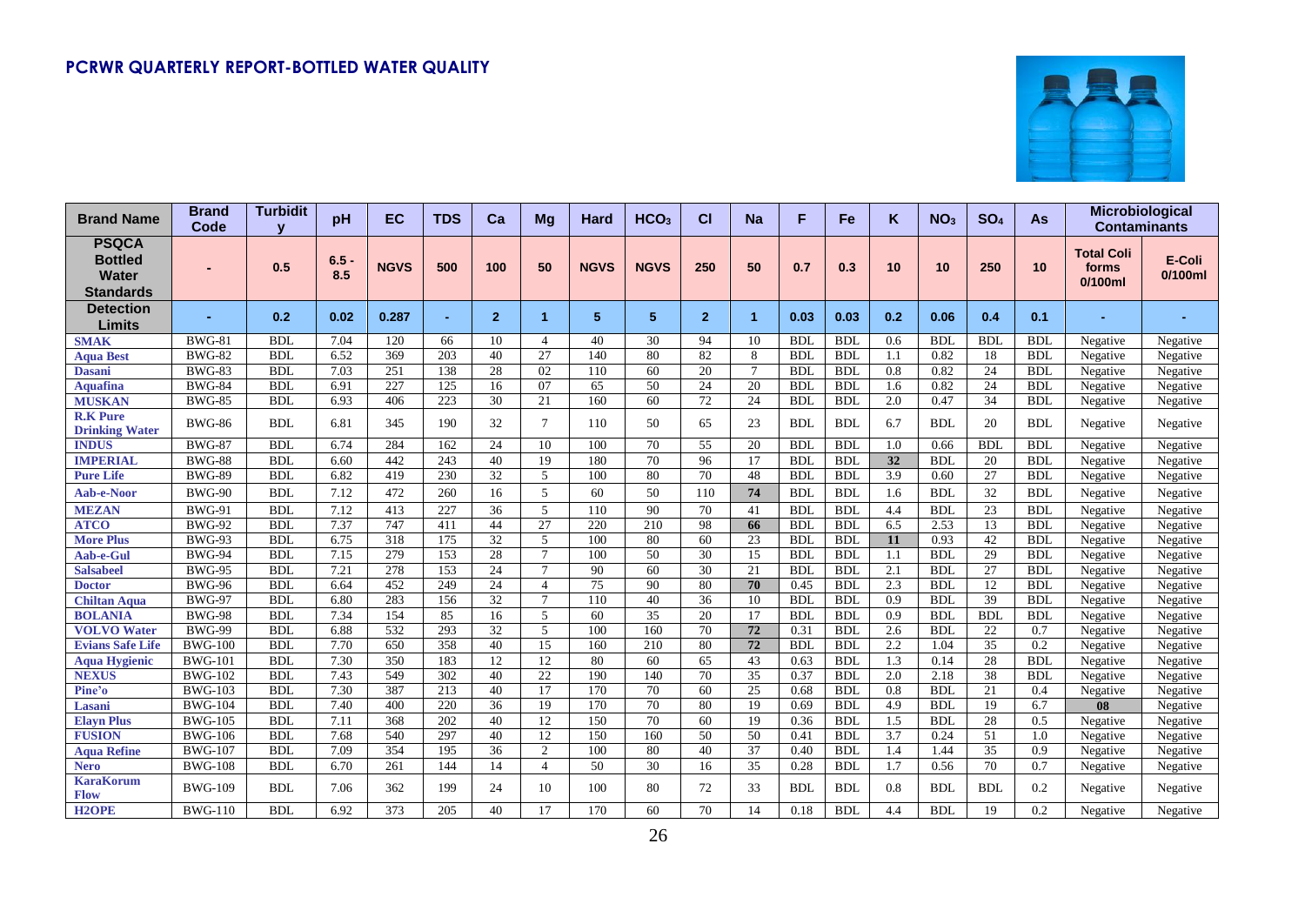

| <b>Brand Name</b>                                                  | <b>Brand</b><br>Code | <b>Turbidit</b> | pH             | EC          | <b>TDS</b>     | Ca              | Mq              | Hard           | HCO <sub>3</sub> | <b>CI</b>      | Na                   | F          | Fe         | K                | NO <sub>3</sub> | SO <sub>4</sub> | <b>As</b>  | Microbiological<br><b>Contaminants</b>   |                      |
|--------------------------------------------------------------------|----------------------|-----------------|----------------|-------------|----------------|-----------------|-----------------|----------------|------------------|----------------|----------------------|------------|------------|------------------|-----------------|-----------------|------------|------------------------------------------|----------------------|
| <b>PSQCA</b><br><b>Bottled</b><br><b>Water</b><br><b>Standards</b> |                      | 0.5             | $6.5 -$<br>8.5 | <b>NGVS</b> | 500            | 100             | 50              | <b>NGVS</b>    | <b>NGVS</b>      | 250            | 50                   | 0.7        | 0.3        | 10               | 10              | 250             | 10         | <b>Total Coli</b><br>forms<br>$0/100$ ml | E-Coli<br>$0/100$ ml |
| <b>Detection</b><br>Limits                                         |                      | 0.2             | 0.02           | 0.287       | $\blacksquare$ | $\overline{2}$  | 1               | 5 <sup>5</sup> | 5                | $\overline{2}$ | $\blacktriangleleft$ | 0.03       | 0.03       | 0.2              | 0.06            | 0.4             | 0.1        |                                          |                      |
| <b>SMAK</b>                                                        | <b>BWG-81</b>        | <b>BDL</b>      | 7.04           | 120         | 66             | 10              | 4               | 40             | 30               | 94             | 10                   | <b>BDI</b> | <b>BDL</b> | 0.6              | <b>BDL</b>      | <b>BDI</b>      | <b>BDL</b> | Negative                                 | Negative             |
| <b>Aqua Best</b>                                                   | <b>BWG-82</b>        | <b>BDL</b>      | 6.52           | 369         | 203            | 40              | 27              | 140            | 80               | 82             | 8                    | <b>BDL</b> | <b>BDL</b> | 1.1              | 0.82            | 18              | <b>BDI</b> | Negative                                 | Negative             |
| <b>Dasani</b>                                                      | <b>BWG-83</b>        | <b>BDL</b>      | 7.03           | 251         | 138            | 28              | 02              | 110            | 60               | 20             | $7\phantom{.0}$      | <b>BDL</b> | <b>BDL</b> | 0.8              | 0.82            | 24              | <b>BDL</b> | Negative                                 | Negative             |
| <b>Aquafina</b>                                                    | <b>BWG-84</b>        | <b>BDL</b>      | 6.91           | 227         | 125            | 16              | 07              | 65             | 50               | 24             | 20                   | <b>BDL</b> | <b>BDL</b> | 1.6              | 0.82            | 24              | <b>BDI</b> | Negative                                 | Negative             |
| <b>MUSKAN</b>                                                      | <b>BWG-85</b>        | <b>BDL</b>      | 6.93           | 406         | 223            | 30              | 21              | 160            | 60               | 72             | 24                   | <b>BDL</b> | <b>BDL</b> | 2.0              | 0.47            | 34              | <b>BDL</b> | Negative                                 | Negative             |
| <b>R.K Pure</b><br><b>Drinking Water</b>                           | <b>BWG-86</b>        | <b>BDL</b>      | 6.81           | 345         | 190            | 32              | $\tau$          | 110            | 50               | 65             | 23                   | <b>BDL</b> | <b>BDL</b> | 6.7              | <b>BDL</b>      | 20              | <b>BDL</b> | Negative                                 | Negative             |
| <b>INDUS</b>                                                       | <b>BWG-87</b>        | <b>BDL</b>      | 6.74           | 284         | 162            | 24              | 10              | 100            | 70               | 55             | 20                   | <b>BDL</b> | <b>BDL</b> | 1.0              | 0.66            | <b>BDI</b>      | <b>BDL</b> | Negative                                 | Negative             |
| <b>IMPERIAL</b>                                                    | <b>BWG-88</b>        | <b>BDL</b>      | 6.60           | 442         | 243            | 40              | 19              | 180            | 70               | 96             | 17                   | <b>BDL</b> | <b>BDL</b> | 32               | <b>BDL</b>      | 20              | <b>BDL</b> | Negative                                 | Negative             |
| <b>Pure Life</b>                                                   | <b>BWG-89</b>        | <b>BDL</b>      | 6.82           | 419         | 230            | 32              | 5               | 100            | 80               | 70             | 48                   | <b>BDL</b> | <b>BDL</b> | 3.9              | 0.60            | 27              | <b>BDL</b> | Negative                                 | Negative             |
| Aab-e-Noor                                                         | <b>BWG-90</b>        | <b>BDL</b>      | 7.12           | 472         | 260            | 16              | 5               | 60             | 50               | 110            | 74                   | <b>BDL</b> | <b>BDL</b> | 1.6              | <b>BDL</b>      | 32              | <b>BDL</b> | Negative                                 | Negative             |
| <b>MEZAN</b>                                                       | <b>BWG-91</b>        | <b>BDL</b>      | 7.12           | 413         | 227            | 36              | 5               | 110            | 90               | 70             | 41                   | <b>BDL</b> | <b>BDL</b> | 4.4              | <b>BDL</b>      | 23              | <b>BDL</b> | Negative                                 | Negative             |
| <b>ATCO</b>                                                        | <b>BWG-92</b>        | <b>BDL</b>      | 7.37           | 747         | 411            | 44              | $\overline{27}$ | 220            | 210              | 98             | 66                   | <b>BDL</b> | <b>BDI</b> | 6.5              | 2.53            | 13              | <b>BDL</b> | Negative                                 | Negative             |
| <b>More Plus</b>                                                   | <b>BWG-93</b>        | <b>BDL</b>      | 6.75           | 318         | 175            | 32              | 5               | 100            | 80               | 60             | 23                   | <b>BDL</b> | <b>BDL</b> | 11               | 0.93            | 42              | <b>BDL</b> | Negative                                 | Negative             |
| Aab-e-Gul                                                          | <b>BWG-94</b>        | <b>BDL</b>      | 7.15           | 279         | 153            | 28              | $\tau$          | 100            | $\overline{50}$  | 30             | $\overline{15}$      | <b>BDL</b> | <b>BDL</b> | 1.1              | <b>BDL</b>      | 29              | <b>BDL</b> | Negative                                 | Negative             |
| <b>Salsabeel</b>                                                   | <b>BWG-95</b>        | <b>BDL</b>      | 7.21           | 278         | 153            | 24              | $\tau$          | 90             | 60               | 30             | 21                   | <b>BDL</b> | <b>BDL</b> | 2.1              | <b>BDL</b>      | 27              | <b>BDL</b> | Negative                                 | Negative             |
| <b>Doctor</b>                                                      | <b>BWG-96</b>        | <b>BDL</b>      | 6.64           | 452         | 249            | 24              | $\overline{4}$  | 75             | 90               | 80             | 70                   | 0.45       | <b>BDL</b> | 2.3              | <b>BDL</b>      | 12              | <b>BDL</b> | Negative                                 | Negative             |
| <b>Chiltan Aqua</b>                                                | <b>BWG-97</b>        | <b>BDL</b>      | 6.80           | 283         | 156            | 32              | $\tau$          | 110            | 40               | 36             | 10                   | <b>BDL</b> | <b>BDL</b> | 0.9              | <b>BDL</b>      | 39              | <b>BDL</b> | Negative                                 | Negative             |
| <b>BOLANIA</b>                                                     | <b>BWG-98</b>        | <b>BDL</b>      | 7.34           | 154         | 85             | 16              | 5               | 60             | 35               | 20             | 17                   | <b>BDI</b> | <b>BDL</b> | 0.9              | <b>BDL</b>      | <b>BDL</b>      | <b>BDL</b> | Negative                                 | Negative             |
| <b>VOLVO</b> Water                                                 | $BW\overline{G-99}$  | <b>BDL</b>      | 6.88           | 532         | 293            | $\overline{32}$ | 5               | 100            | 160              | 70             | $\overline{72}$      | 0.31       | <b>BDL</b> | 2.6              | <b>BDL</b>      | 22              | 0.7        | Negative                                 | Negative             |
| <b>Evians Safe Life</b>                                            | <b>BWG-100</b>       | <b>BDL</b>      | 7.70           | 650         | 358            | 40              | $\overline{15}$ | 160            | 210              | 80             | 72                   | <b>BDL</b> | <b>BDL</b> | 2.2              | 1.04            | $\overline{35}$ | 0.2        | Negative                                 | Negative             |
| <b>Aqua Hygienic</b>                                               | <b>BWG-101</b>       | <b>BDL</b>      | 7.30           | 350         | 183            | $\overline{12}$ | 12              | 80             | 60               | 65             | 43                   | 0.63       | <b>BDL</b> | 1.3              | 0.14            | 28              | <b>BDL</b> | Negative                                 | Negative             |
| <b>NEXUS</b>                                                       | <b>BWG-102</b>       | <b>BDL</b>      | 7.43           | 549         | 302            | 40              | 22              | 190            | 140              | 70             | $\overline{35}$      | 0.37       | <b>BDL</b> | 2.0              | 2.18            | 38              | <b>BDI</b> | Negative                                 | Negative             |
| Pine'o                                                             | <b>BWG-103</b>       | <b>BDL</b>      | 7.30           | 387         | 213            | 40              | 17              | 170            | 70               | 60             | 25                   | 0.68       | <b>BDL</b> | 0.8              | <b>BDL</b>      | 21              | 0.4        | Negative                                 | Negative             |
| Lasani                                                             | <b>BWG-104</b>       | <b>BDL</b>      | 7.40           | 400         | 220            | 36              | 19              | 170            | 70               | 80             | 19                   | 0.69       | <b>BDL</b> | 4.9              | <b>BDL</b>      | 19              | 6.7        | 08                                       | Negative             |
| <b>Elayn Plus</b>                                                  | <b>BWG-105</b>       | <b>BDL</b>      | 7.11           | 368         | 202            | 40              | 12              | 150            | 70               | 60             | 19                   | 0.36       | <b>BDL</b> | 1.5              | <b>BDL</b>      | 28              | 0.5        | Negative                                 | Negative             |
| <b>FUSION</b>                                                      | <b>BWG-106</b>       | <b>BDL</b>      | 7.68           | 540         | 297            | 40              | 12              | 150            | 160              | 50             | 50                   | 0.41       | <b>BDL</b> | $\overline{3.7}$ | 0.24            | 51              | 1.0        | Negative                                 | Negative             |
| <b>Aqua Refine</b>                                                 | <b>BWG-107</b>       | <b>BDL</b>      | 7.09           | 354         | 195            | 36              | $\overline{2}$  | 100            | 80               | 40             | 37                   | 0.40       | <b>BDL</b> | 1.4              | 1.44            | 35              | 0.9        | Negative                                 | Negative             |
| <b>Nero</b>                                                        | <b>BWG-108</b>       | <b>BDL</b>      | 6.70           | 261         | 144            | 14              | $\overline{4}$  | 50             | 30               | 16             | 35                   | 0.28       | <b>BDL</b> | 1.7              | 0.56            | 70              | 0.7        | Negative                                 | Negative             |
| <b>KaraKorum</b><br><b>Flow</b>                                    | <b>BWG-109</b>       | <b>BDL</b>      | 7.06           | 362         | 199            | 24              | 10              | 100            | 80               | 72             | 33                   | <b>BDL</b> | <b>BDL</b> | 0.8              | <b>BDL</b>      | <b>BDL</b>      | 0.2        | Negative                                 | Negative             |
| <b>H2OPE</b>                                                       | <b>BWG-110</b>       | <b>BDL</b>      | 6.92           | 373         | 205            | 40              | 17              | 170            | 60               | 70             | 14                   | 0.18       | <b>BDL</b> | 4.4              | <b>BDL</b>      | 19              | 0.2        | Negative                                 | Negative             |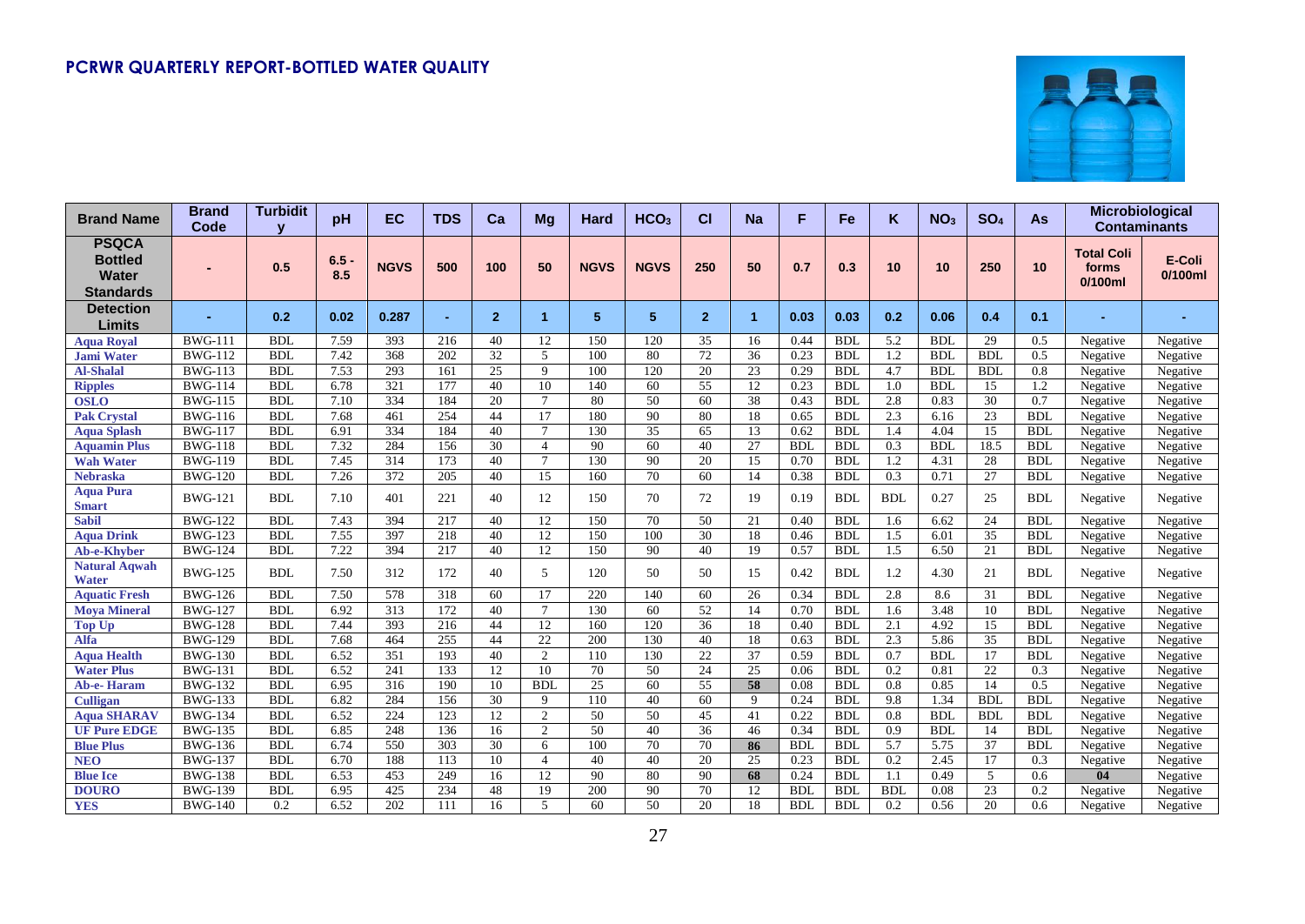

| <b>Brand Name</b>                                                  | <b>Brand</b><br>Code | <b>Turbidit</b><br>$\overline{\mathbf{v}}$ | pH             | <b>EC</b>        | <b>TDS</b>       | Ca              | <b>Mg</b>      | Hard        | HCO <sub>3</sub> | СI             | <b>Na</b>            | F          | Fe         | Κ                | NO <sub>3</sub>   | SO <sub>4</sub> | <b>As</b>     |                                          | Microbiological<br><b>Contaminants</b> |
|--------------------------------------------------------------------|----------------------|--------------------------------------------|----------------|------------------|------------------|-----------------|----------------|-------------|------------------|----------------|----------------------|------------|------------|------------------|-------------------|-----------------|---------------|------------------------------------------|----------------------------------------|
| <b>PSQCA</b><br><b>Bottled</b><br><b>Water</b><br><b>Standards</b> |                      | 0.5                                        | $6.5 -$<br>8.5 | <b>NGVS</b>      | 500              | 100             | 50             | <b>NGVS</b> | <b>NGVS</b>      | 250            | 50                   | 0.7        | 0.3        | 10               | 10                | 250             | 10            | <b>Total Coli</b><br>forms<br>$0/100$ ml | E-Coli<br>$0/100$ ml                   |
| <b>Detection</b><br>Limits                                         |                      | 0.2                                        | 0.02           | 0.287            | $\sim$           | $\overline{2}$  | 1              | 5           | 5                | $\overline{2}$ | $\blacktriangleleft$ | 0.03       | 0.03       | 0.2              | 0.06              | 0.4             | 0.1           |                                          |                                        |
| <b>Aqua Royal</b>                                                  | <b>BWG-111</b>       | <b>BDI</b>                                 | 7.59           | 393              | 216              | 40              | 12             | 150         | 120              | 35             | 16                   | 0.44       | <b>BDL</b> | 5.2              | <b>BDL</b>        | 29              | 0.5           | Negative                                 | Negative                               |
| <b>Jami Water</b>                                                  | <b>BWG-112</b>       | <b>BDI</b>                                 | 7.42           | 368              | 202              | 32              | 5              | 100         | 80               | 72             | $\overline{36}$      | 0.23       | <b>BDL</b> | 1.2              | <b>BDL</b>        | <b>BDL</b>      | 0.5           | Negative                                 | Negative                               |
| <b>Al-Shalal</b>                                                   | <b>BWG-113</b>       | <b>BDI</b>                                 | 7.53           | 293              | 161              | 25              | 9              | 100         | 120              | 20             | 23                   | 0.29       | <b>BDL</b> | 4.7              | <b>BDL</b>        | <b>BDL</b>      | 0.8           | Negative                                 | Negative                               |
| <b>Ripples</b>                                                     | <b>BWG-114</b>       | <b>BDL</b>                                 | 6.78           | 321              | 177              | 40              | 10             | 140         | 60               | 55             | 12                   | 0.23       | <b>BDL</b> | 1.0              | <b>BDL</b>        | 15              | 1.2           | Negative                                 | Negative                               |
| <b>OSLO</b>                                                        | <b>BWG-115</b>       | <b>BDL</b>                                 | 7.10           | 334              | 184              | 20              | $\tau$         | 80          | 50               | 60             | 38                   | 0.43       | <b>BDL</b> | 2.8              | 0.83              | 30              | 0.7           | Negative                                 | Negative                               |
| <b>Pak Crystal</b>                                                 | <b>BWG-116</b>       | <b>BDI</b>                                 | 7.68           | 461              | 254              | 44              | 17             | 180         | 90               | 80             | 18                   | 0.65       | <b>BDL</b> | 2.3              | 6.16              | 23              | <b>BDL</b>    | Negative                                 | Negative                               |
| <b>Aqua Splash</b>                                                 | <b>BWG-117</b>       | <b>BDL</b>                                 | 6.91           | 334              | 184              | 40              | $\tau$         | 130         | 35               | 65             | 13                   | 0.62       | <b>BDL</b> | 1.4              | 4.04              | 15              | <b>BDL</b>    | Negative                                 | Negative                               |
| <b>Aquamin Plus</b>                                                | <b>BWG-118</b>       | <b>BDL</b>                                 | 7.32           | 284              | 156              | 30              | $\overline{4}$ | 90          | 60               | 40             | 27                   | <b>BDI</b> | <b>BDL</b> | 0.3              | <b>BDL</b>        | 18.5            | <b>BDL</b>    | Negative                                 | Negative                               |
| <b>Wah Water</b>                                                   | $\overline{BWG-119}$ | <b>BDI</b>                                 | 7.45           | 314              | 173              | 40              | $\tau$         | 130         | 90               | 20             | 15                   | 0.70       | <b>BDL</b> | 1.2              | 4.31              | 28              | <b>BDL</b>    | Negative                                 | Negative                               |
| <b>Nebraska</b>                                                    | <b>BWG-120</b>       | <b>BDL</b>                                 | 7.26           | 372              | 205              | 40              | 15             | 160         | 70               | 60             | 14                   | 0.38       | <b>BDL</b> | 0.3              | 0.71              | 27              | <b>BDL</b>    | Negative                                 | Negative                               |
| <b>Aqua Pura</b><br><b>Smart</b>                                   | <b>BWG-121</b>       | <b>BDL</b>                                 | 7.10           | 401              | 221              | 40              | 12             | 150         | 70               | 72             | 19                   | 0.19       | <b>BDL</b> | <b>BDL</b>       | 0.27              | 25              | <b>BDL</b>    | Negative                                 | Negative                               |
| <b>Sabil</b>                                                       | <b>BWG-122</b>       | <b>BDL</b>                                 | 7.43           | 394              | 217              | 40              | 12             | 150         | 70               | 50             | 21                   | 0.40       | <b>BDL</b> | 1.6              | 6.62              | 24              | <b>BDL</b>    | Negative                                 | Negative                               |
| <b>Aqua Drink</b>                                                  | <b>BWG-123</b>       | <b>BDI</b>                                 | 7.55           | 397              | 218              | 40              | 12             | 150         | 100              | 30             | 18                   | 0.46       | <b>BDL</b> | 1.5              | 6.01              | 35              | <b>BDL</b>    | Negative                                 | Negative                               |
| Ab-e-Khyber                                                        | <b>BWG-124</b>       | <b>BDL</b>                                 | 7.22           | 394              | 217              | 40              | 12             | 150         | 90               | 40             | 19                   | 0.57       | <b>BDL</b> | 1.5              | 6.50              | 21              | <b>BDL</b>    | Negative                                 | Negative                               |
| <b>Natural Aqwah</b><br><b>Water</b>                               | <b>BWG-125</b>       | <b>BDL</b>                                 | 7.50           | 312              | 172              | 40              | 5              | 120         | 50               | 50             | 15                   | 0.42       | <b>BDL</b> | 1.2              | 4.30              | 21              | <b>BDL</b>    | Negative                                 | Negative                               |
| <b>Aquatic Fresh</b>                                               | <b>BWG-126</b>       | <b>BDL</b>                                 | 7.50           | 578              | 318              | 60              | 17             | 220         | 140              | 60             | 26                   | 0.34       | <b>BDL</b> | 2.8              | 8.6               | 31              | <b>BDL</b>    | Negative                                 | Negative                               |
| <b>Mova Mineral</b>                                                | <b>BWG-127</b>       | <b>BDL</b>                                 | 6.92           | $\overline{313}$ | 172              | 40              | $\tau$         | 130         | 60               | 52             | 14                   | 0.70       | <b>BDL</b> | 1.6              | 3.48              | 10              | <b>BDL</b>    | Negative                                 | Negative                               |
| <b>Top Up</b>                                                      | <b>BWG-128</b>       | <b>BDL</b>                                 | 7.44           | 393              | 216              | 44              | 12             | 160         | 120              | 36             | 18                   | 0.40       | <b>BDL</b> | 2.1              | 4.92              | 15              | <b>BDL</b>    | Negative                                 | Negative                               |
| <b>Alfa</b>                                                        | <b>BWG-129</b>       | <b>BDI</b>                                 | 7.68           | 464              | 255              | 44              | 22             | 200         | 130              | 40             | 18                   | 0.63       | <b>BDL</b> | 2.3              | 5.86              | 35              | <b>BDL</b>    | Negative                                 | Negative                               |
| <b>Aqua Health</b>                                                 | <b>BWG-130</b>       | <b>BDL</b>                                 | 6.52           | 351              | 193              | 40              | $\overline{2}$ | 110         | 130              | 22             | 37                   | 0.59       | <b>BDL</b> | 0.7              | <b>BDL</b>        | 17              | <b>BDL</b>    | Negative                                 | Negative                               |
| <b>Water Plus</b>                                                  | <b>BWG-131</b>       | <b>BDL</b>                                 | 6.52           | 241              | 133              | 12              | 10             | 70          | 50               | 24             | 25                   | 0.06       | <b>BDL</b> | 0.2              | 0.81              | 22              | 0.3           | Negative                                 | Negative                               |
| Ab-e-Haram                                                         | <b>BWG-132</b>       | <b>BDI</b>                                 | 6.95           | 316              | 190              | 10              | <b>BDL</b>     | 25          | 60               | 55             | 58                   | 0.08       | <b>BDL</b> | 0.8              | 0.85              | 14              | 0.5           | Negative                                 | Negative                               |
| <b>Culligan</b>                                                    | <b>BWG-133</b>       | <b>BDL</b>                                 | 6.82           | 284              | 156              | 30              | 9              | 110         | 40               | 60             | 9                    | 0.24       | <b>BDL</b> | 9.8              | 1.34              | <b>BDL</b>      | <b>BDL</b>    | Negative                                 | Negative                               |
| <b>Aqua SHARAV</b>                                                 | <b>BWG-134</b>       | <b>BDL</b>                                 | 6.52           | 224              | 123              | 12              | $\overline{2}$ | 50          | 50               | 45             | 41                   | 0.22       | <b>BDL</b> | 0.8              | <b>BDL</b>        | <b>BDL</b>      | <b>BDL</b>    | Negative                                 | Negative                               |
| <b>UF Pure EDGE</b>                                                | <b>BWG-135</b>       | <b>BDI</b>                                 | 6.85           | 248              | 136              | 16              | 2              | 50          | 40               | 36             | 46                   | 0.34       | <b>BDL</b> | 0.9              | <b>BDL</b>        | 14              | <b>BDL</b>    | Negative                                 | Negative                               |
| <b>Blue Plus</b>                                                   | <b>BWG-136</b>       | <b>BDI</b>                                 | 6.74           | 550              | $\overline{303}$ | $\overline{30}$ | 6              | 100         | 70               | 70             | 86                   | <b>BDI</b> | <b>BDL</b> | $\overline{5.7}$ | $\overline{5.75}$ | 37              | <b>BDL</b>    | Negative                                 | Negative                               |
| <b>NEO</b>                                                         | <b>BWG-137</b>       | <b>BDL</b>                                 | 6.70           | 188              | 113              | 10              | $\overline{4}$ | 40          | 40               | 20             | 25                   | 0.23       | <b>BDL</b> | 0.2              | 2.45              | 17              | 0.3           | Negative                                 | Negative                               |
| <b>Blue Ice</b>                                                    | <b>BWG-138</b>       | <b>BDL</b>                                 | 6.53           | 453              | 249              | 16              | 12             | 90          | 80               | 90             | 68                   | 0.24       | <b>BDL</b> | 1.1              | 0.49              | 5               | 0.6           | 04                                       | Negative                               |
| <b>DOURO</b>                                                       | <b>BWG-139</b>       | <b>BDL</b>                                 | 6.95           | 425              | 234              | 48              | 19             | 200         | 90               | 70             | 12                   | <b>BDI</b> | <b>BDL</b> | <b>BDL</b>       | 0.08              | 23              | 0.2           | Negative                                 | Negative                               |
| <b>YES</b>                                                         | <b>BWG-140</b>       | 0.2                                        | 6.52           | 202              | 111              | 16              | 5              | 60          | 50               | 20             | 18                   | <b>BDI</b> | <b>BDL</b> | 0.2              | 0.56              | 20              | $0.6^{\circ}$ | Negative                                 | Negative                               |